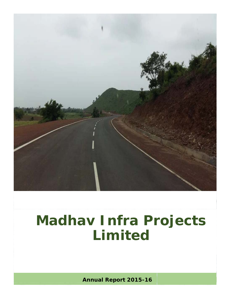

**Annual Report 2015-16**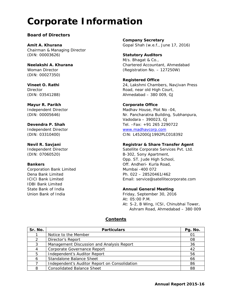## **Corporate Information**

#### **Board of Directors**

*Chairman & Managing Director*  (DIN: 00003626) **Statutory Auditors**

(DIN: 00027350)

**Mayur R. Parikh Corporate Office** 

Corporation Bank Limited Mumbai -400 072 IDBI Bank Limited

**Company Secretary Amit A. Khurana Gopal Shah** *(w.e.f., June 17, 2016) Gopal Shah (w.e.f., June 17, 2016)* 

M/s. Bhagat & Co., **Neelakshi A. Khurana** Chartered Accountant, Ahmedabad *Woman Director (Registration No. – 127250W)* 

**Registered Office Vineet O. Rathi** 24, Lakshmi Chambers, Navjivan Press *Director* **Road, near old High Court, Road, near old High Court**, (DIN: 03541288) Ahmedabad – 380 009, GJ

*Independent Director* **Madhav House, Plot No -04**, (*DIN: 00005646)* Nr. Pancharatna Building, Subhanpura, Vadodara – 390023, GJ **Devendra P. Shah** Tel. –Fax: +91 265 2290722 *Independent Director* www.madhavcorp.com (*DIN: 03310400)* CIN: L45200GJ1992PLC018392

#### **Nevil R. Savjani Charlotte Charlotte Bellings and Registrar & Share Transfer Agent**

*Independent Director* **Satellite Corporate Services Pvt. Ltd.** Satellite Corporate Services Pvt. Ltd. (DIN: 07060520) B-302, Sony Apartment, Opp. ST. Jude High School, **Bankers Bankers Communist Communist Communist Communist Communist Communist Communist Communist Communist Communist Communist Communist Communist Communist Communist Communist Communist Communist Communist Communist C** Dena Bank Limited Ph. 022 – 28520461/462 ICICI Bank Limited Email: service@satellitecorporate.com

#### State Bank of India **Annual General Meeting**

Union Bank of India Friday, September 30, 2016 At: 05:00 P.M. At: S-2, B Wing, ICSI, Chinubhai Tower, Ashram Road, Ahmedabad – 380 009

#### **Contents**

| Sr. No. | <b>Particulars</b>                            |    |
|---------|-----------------------------------------------|----|
|         | Notice to the Member                          | 01 |
|         | Director's Report                             | 08 |
| 3       | Management Discussion and Analysis Report     | 36 |
|         | Corporate Governance Report                   | 42 |
| 5       | Independent's Auditor Report                  | 56 |
|         | <b>Standalone Balance Sheet</b>               | 66 |
|         | Independent's Auditor Report on Consolidation | 86 |
| 8       | <b>Consolidated Balance Sheet</b>             | 88 |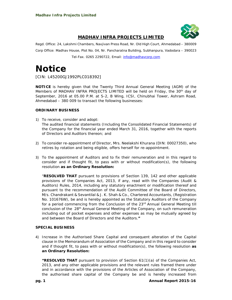

#### **MADHAV INFRA PROJECTS LIMITED**

Regd. Office: 24, Lakshmi Chambers, Navjivan Press Road, Nr. Old High Court, Ahmedabad – 380009 Corp Office: Madhav House, Plot No. 04, Nr. Pancharatna Building, Subhanpura, Vadodara – 390023

Tel-Fax. 0265 2290722, Email: info@madhavcorp.com

### **Notice**

*[CIN: L45200GJ1992PLC018392]* 

**NOTICE** is hereby given that the Twenty Third Annual General Meeting (AGM) of the Members of MADHAV INFRA PROJECTS LIMITED will be held on Friday, the 30<sup>th</sup> day of September, 2016 at 05.00 P.M. at S-2, B Wing, ICSI, Chinubhai Tower, Ashram Road, Ahmedabad – 380 009 to transact the following businesses:

#### **ORDINARY BUSINESS**

- 1) To receive, consider and adopt: The audited financial statements (Including the Consolidated Financial Statements) of the Company for the financial year ended March 31, 2016, together with the reports of Directors and Auditors thereon; and
- 2) To consider re-appointment of Director, Mrs. Neelakshi Khurana (DIN: 00027350), who retires by rotation and being eligible, offers herself for re-appointment.
- 3) To the appointment of Auditors and to fix their remuneration and in this regard to consider and if thought fit, to pass with or without modification(s), the following resolution **as an Ordinary Resolution:**

"**RESOLVED THAT** pursuant to provisions of Section 139, 142 and other applicable provisions of the Companies Act, 2013, if any, read with the Companies (Audit & Auditors) Rules, 2014, including any statutory enactment or modification thereof and pursuant to the recommendation of the Audit Committee of the Board of Directors, M/s. Chandrakant & Sevantilal & J. K. Shah & Co., Chartered Accountants, (Registration No. 101676W), be and is hereby appointed as the Statutory Auditors of the Company for a period commencing from the Conclusion of the 23<sup>rd</sup> Annual General Meeting till conclusion of the 28th Annual General Meeting of the Company, on such remuneration including out of pocket expenses and other expenses as may be mutually agreed by and between the Board of Directors and the Auditors.**"**

#### **SPECIAL BUSINESS**

4) Increase in the Authorised Share Capital and consequent alteration of the Capital clause in the Memorandum of Association of the Company and in this regard to consider and if thought fit, to pass with or without modification(s), the following resolution **as an Ordinary Resolution:**

**"RESOLVED THAT** pursuant to provision of Section 61(1)(a) of the Companies Act, 2013, and any other applicable provisions and the relevant rules framed there under and in accordance with the provisions of the Articles of Association of the Company, the authorised share capital of the Company be and is hereby increased from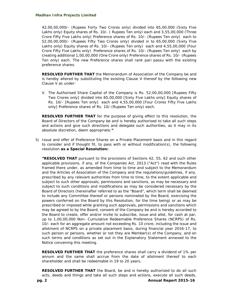42,00,00,000/- (Rupees Forty Two Crores only) divided into 65,00,000 (Sixty Five Lakhs only) Equity shares of Rs. 10/- ( Rupees Ten only) each and 3,55,00,000 (Three Crore Fifty Five Lakhs only) Preference shares of Rs. 10/- (Rupees Ten only) each to 52,00,00,000/- (Rupees Fifty Two Crores only) divided in to 65,00,000 (Sixty Five Lakhs only) Equity shares of Rs. 10/- (Rupees Ten only) each and 4,55,00,000 (Four Crore Fifty Five Lakhs only) Preference shares of Rs. 10/- (Rupees Ten only) each by creating additional 1,00,00,000 (One Crore only) Preference shares of Rs. 10/- (Rupees Ten only) each. The new Preference shares shall rank pari passu with the existing preference shares.

**RESOLVED FURTHER THAT** the Memorandum of Association of the Company be and is hereby altered by substituting the existing Clause V thereof by the following new Clause V as under:

V. The Authorised Share Capital of the Company is Rs. 52,00,00,000 [Rupees Fifty Two Crores only] divided into 65,00,000 [Sixty Five Lakhs only] Equity shares of Rs. 10/- [Rupees Ten only] each and 4,55,00,000 [Four Crores Fifty Five Lakhs only] Preference shares of Rs. 10/-(Rupees Ten only) each.

**RESOLVED FURTHER THAT** for the purpose of giving effect to this resolution, the Board of Directors of the Company be and is hereby authorised to take all such steps and actions and give such directions and delegate such authorities, as it may in its absolute discretion, deem appropriate.**"**

5) Issue and offer of Preference Shares on a Private Placement basis and in this regard to consider and if thought fit, to pass with or without modification(s), the following resolution **as a Special Resolution:** 

**"RESOLVED THAT** pursuant to the provisions of Sections 42, 55, 62 and such other applicable provisions, if any, of the Companies Act, 2013 ("Act") read with the Rules framed there under, as amended from time to time and subject to the Memorandum and the Articles of Association of the Company and the regulations/guidelines, if any, prescribed by any relevant authorities from time to time, to the extent applicable and subject to such other approvals, permissions and sanctions, as may be necessary and subject to such conditions and modifications as may be considered necessary by the Board of Directors (hereinafter referred to as the "Board", which term shall be deemed to include any Committee thereof or persons nominated by the Board, exercising the powers conferred on the Board by this Resolution, for the time being) or as may be prescribed or imposed while granting such approvals, permissions and sanctions which may be agreed to by the Board, consent of the Company be and is hereby accorded to the Board to create, offer and/or invite to subscribe, issue and allot, for cash at par, up to 1,00,00,000 Non- Cumulative Redeemable Preference Shares (NCRPS) of Rs. 10/- each for an aggregate amount not exceeding Rs. 10 crore, including the issue and allotment of NCRPS on a private placement basis, during financial year 2016-17, to such person or persons, whether or not they are Member(s) of the Company, and on such terms and conditions as set out in the Explanatory Statement annexed to the Notice convening this meeting.

**RESOLVED FURTHER THAT** the preference shares shall carry a dividend of 1% per annum and the same shall accrue from the date of allotment thereof to each shareholder and shall be redeemable in 19 to 20 years.

**RESOLVED FURTHER THAT** the Board, be and is hereby authorized to do all such acts, deeds and things and take all such steps and actions, execute all such deeds,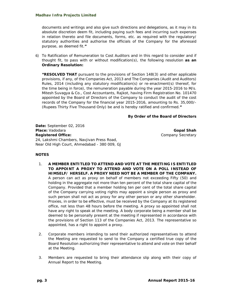documents and writings and also give such directions and delegations, as it may in its absolute discretion deem fit, including paying such fees and incurring such expenses in relation thereto and file documents, forms, etc. as required with the regulatory/ statutory authorities and authorise the officials of the Company for the aforesaid purpose, as deemed fit.**"**

6) To Ratification of Remuneration to Cost Auditors and in this regard to consider and if thought fit, to pass with or without modification(s), the following resolution **as an Ordinary Resolution:** 

**"RESOLVED THAT** pursuant to the provisions of Section 148(3) and other applicable provisions, if any, of the Companies Act, 2013 and The Companies (Audit and Auditors) Rules, 2014 (including any statutory modification(s) or re-enactment(s) thereof, for the time being in force), the remuneration payable during the year 2015-2016 to M/s. Mitesh Suvagya & Co., Cost Accountants, Rajkot, having Firm Registration No. 101470 appointed by the Board of Directors of the Company to conduct the audit of the cost records of the Company for the financial year 2015-2016, amounting to Rs. 35,000/- (Rupees Thirty Five Thousand Only) be and is hereby ratified and confirmed.**"** 

#### **By Order of the Board of Directors**

**Date:** September 02, 2016 **Place:** Vadodara **Gopal Shah Gopal Shah Gopal Shah Registered Office:** Company Secretary **Company Secretary** 24, Lakshmi Chambers, Navjivan Press Road, Near Old High Court, Ahmedabad - 380 009, GJ

#### **NOTES**

- 1. **A MEMBER ENTITLED TO ATTEND AND VOTE AT THE MEETING IS ENTITLED TO APPOINT A PROXY TO ATTEND AND VOTE ON A POLL INSTEAD OF HIMSELF/ HERSELF. A PROXY NEED NOT BE A MEMBER OF THE COMPANY.**  A person can act as proxy on behalf of members not exceeding Fifty (50) and holding in the aggregate not more than ten percent of the total share capital of the Company. Provided that a member holding ten per cent of the total share capital of the Company carrying voting rights may appoint a single person as proxy and such person shall not act as proxy for any other person or any other shareholder. Proxies, in order to be effective, must be received by the Company at its registered office, not less than 48 hours before the meeting. A proxy so appointed shall not have any right to speak at the meeting. A body corporate being a member shall be deemed to be personally present at the meeting if represented in accordance with the provisions of Section 113 of the Companies Act, 2013. The representative so appointed, has a right to appoint a proxy.
- 2. Corporate members intending to send their authorized representatives to attend the Meeting are requested to send to the Company a certified true copy of the Board Resolution authorizing their representative to attend and vote on their behalf at the Meeting.
- 3. Members are requested to bring their attendance slip along with their copy of Annual Report to the Meeting.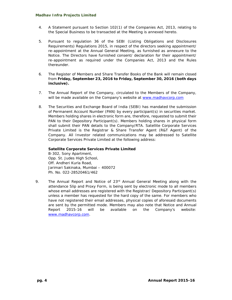- 4. A Statement pursuant to Section 102(1) of the Companies Act, 2013, relating to the Special Business to be transacted at the Meeting is annexed hereto.
- 5. Pursuant to regulation 36 of the SEBI (Listing Obligations and Disclosures Requirements) Regulations 2015, in respect of the directors seeking appointment/ re-appointment at the Annual General Meeting, as furnished as annexure to the Notice. The Directors have furnished consent/ declaration for their appointment/ re-appointment as required under the Companies Act, 2013 and the Rules thereunder.
- 6. The Register of Members and Share Transfer Books of the Bank will remain closed from **Friday, September 23, 2016 to Friday, September 30, 2016 (both days inclusive).**
- 7. The Annual Report of the Company, circulated to the Members of the Company, will be made available on the Company's website at www.madhavcorp.com
- 8. The Securities and Exchange Board of India (SEBI) has mandated the submission of Permanent Account Number (PAN) by every participant(s) in securities market. Members holding shares in electronic form are, therefore, requested to submit their PAN to their Depository Participant(s). Members holding shares in physical form shall submit their PAN details to the Company/RTA. Satellite Corporate Services Private Limited is the Registrar & Share Transfer Agent (R&T Agent) of the Company. All Investor related communications may be addressed to Satellite Corporate Services Private Limited at the following address:

#### **Satellite Corporate Services Private Limited**

B-302, Sony Apartment, Opp. St. Judes High School, Off. Andheri Kurla Road, Jarimari Sakinaka, Mumbai – 400072 Ph. No. 022-28520461/462

9. The Annual Report and Notice of 23<sup>rd</sup> Annual General Meeting along with the attendance Slip and Proxy Form, is being sent by electronic mode to all members whose email addresses are registered with the Registrar/ Depository Participant(s) unless a member has requested for the hard copy of the same. For members who have not registered their email addresses, physical copies of aforesaid documents are sent by the permitted mode. Members may also note that Notice and Annual Report 2015-16 will be available on the Company's website: www.madhavcorp.com.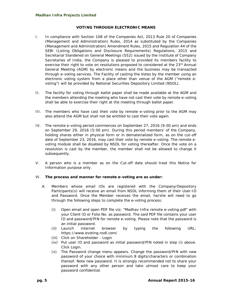#### **VOTING THROUGH ELECTRONIC MEANS**

- I. In compliance with Section 108 of the Companies Act, 2013 Rule 20 of Companies (Management and Administration) Rules, 2014 as substituted by the Companies (Management and Administration) Amendment Rules, 2015 and Regulation 44 of the SEBI (Listing Obligations and Disclosure Requirements) Regulations, 2015 and Secretarial Slandered on General Meetings (SS2) issued by the Institute of Company Secretaries of India, the Company is pleased to provided its members facility to exercise their right to vote on resolutions proposed to considered at the  $23<sup>rd</sup>$  Annual General Meeting (AGM) by electronic means and the business may be transacted through e-voting services. The Facility of casting the Votes by the member using an electronic voting system from a place other than venue of the AGM ("remote evoting") will be provided by National Securities Depository Limited (NSDL).
- II. The facility for voting through ballot paper shall be made available at the AGM and the members attending the meeting who have not cast their vote by remote e-voting shall be able to exercise their right at the meeting through ballot paper.
- III. The members who have cast their vote by remote e-voting prior to the AGM may also attend the AGM but shall not be entitled to cast their vote again.
- IV. The remote e-voting period commences on September 27, 2016 (9:00 am) and ends on September 29, 2016 (5:00 pm). During this period members' of the Company, holding shares either in physical form or in dematerialized form, as on the cut-off date of September 23, 2016, may cast their vote by remote e-voting. The remote evoting module shall be disabled by NSDL for voting thereafter. Once the vote on a resolution is cast by the member, the member shall not be allowed to change it subsequently.
- V. A person who is a member as on the Cut-off date should treat this Notice for Information purpose only.

#### VI. **The process and manner for remote e-voting are as under:**

- A. Members whose email IDs are registered with the Company/Depository Participants(s) will receive an email from NSDL informing them of their User-ID and Password. Once the Member receives the email, he/she will need to go through the following steps to complete the e-voting process:
	- (i) Open email and open PDF file *viz;* "Madhav Infra remote e-voting.pdf" with your Client ID or Folio No. as password. The said PDF file contains your user ID and password/PIN for remote e-voting. Please note that the password is an initial password.
	- (ii) Launch internet browser by typing the following URL: https://www.evoting.nsdl.com/
	- (iii) Click on Shareholder Login
	- (iv) Put user ID and password as initial password/PIN noted in step (i) above. Click Login.
	- (v) The Password change menu appears. Change the password/PIN with new password of your choice with minimum 8 digits/characters or combination thereof. Note new password. It is strongly recommended not to share your password with any other person and take utmost care to keep your password confidential.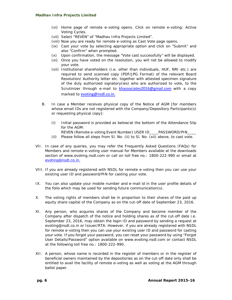- (vi) Home page of remote e-voting opens. Click on remote e-voting: Active Voting Cycles.
- (vii) Select "REVEN" of "Madhav Infra Projects Limited".
- (viii) Now you are ready for remote e-voting as Cast Vote page opens.
- (ix) Cast your vote by selecting appropriate option and click on "Submit" and also "Confirm" when prompted.
- (x) Upon confirmation, the message "Vote cast successfully" will be displayed.
- (xi) Once you have voted on the resolution, you will not be allowed to modify your vote.
- (xii) Institutional shareholders (*i.e.* other than individuals, HUF, NRI etc.) are required to send scanned copy (PDF/JPG Format) of the relevant Board Resolution/ Authority letter etc. together with attested specimen signature of the duly authorized signatory(ies) who are authorized to vote, to the Scrutinizer through e-mail to khassociates2016@gmail.com with a copy marked to evoting@nsdl.co.in.
- B. In case a Member receives physical copy of the Notice of AGM [for members whose email IDs are not registered with the Company/Depository Participants(s) or requesting physical copy]:
	- (i) Initial password is provided as below/at the bottom of the Attendance Slip for the AGM:
		- REVEN (Remote e-voting Event Number) USER ID\_\_\_\_PASSWORD/PIN\_\_\_\_
	- (ii) Please follow all steps from Sl. No. (ii) to Sl. No. (xii) above, to cast vote.
- VII. In case of any queries, you may refer the Frequently Asked Questions (FAQs) for Members and remote e-voting user manual for Members available at the downloads section of www.evoting.nsdl.com or call on toll free no.: 1800-222-990 or email at evoting@nsdl.co.in.
- VIII. If you are already registered with NSDL for remote e-voting then you can use your existing user ID and password/PIN for casting your vote.
- IX. You can also update your mobile number and e-mail id in the user profile details of the folio which may be used for sending future communication(s).
- X. The voting rights of members shall be in proportion to their shares of the paid up equity share capital of the Company as on the cut-off date of September 23, 2016.
- XI. Any person, who acquires shares of the Company and become member of the Company after dispatch of the notice and holding shares as of the cut-off date *i.e.* September 23, 2016, may obtain the login ID and password by sending a request at evoting@nsdl.co.in or Issuer/RTA. However, if you are already registered with NSDL for remote e-voting then you can use your existing user ID and password for casting your vote. If you forgot your password, you can reset your password by using "Forgot User Details/Password" option available on www.evoting.nsdl.com or contact NSDL at the following toll free no.: 1800-222-990.
- XII. A person, whose name is recorded in the register of members or in the register of beneficial owners maintained by the depositories as on the cut-off date only shall be entitled to avail the facility of remote e-voting as well as voting at the AGM through ballot paper.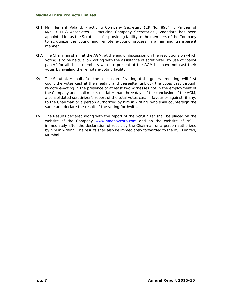- XIII. Mr. Hemant Valand, Practicing Company Secretary (CP No. 8904 ), Partner of M/s. K H & Associates ( Practicing Company Secretaries), Vadodara has been appointed for as the Scrutinizer for providing facility to the members of the Company to scrutinize the voting and remote e-voting process in a fair and transparent manner.
- XIV. The Chairman shall, at the AGM, at the end of discussion on the resolutions on which voting is to be held, allow voting with the assistance of scrutinizer, by use of "ballot paper" for all those members who are present at the AGM but have not cast their votes by availing the remote e-voting facility.
- XV. The Scrutinizer shall after the conclusion of voting at the general meeting, will first count the votes cast at the meeting and thereafter unblock the votes cast through remote e-voting in the presence of at least two witnesses not in the employment of the Company and shall make, not later than three days of the conclusion of the AGM, a consolidated scrutinizer's report of the total votes cast in favour or against, if any, to the Chairman or a person authorized by him in writing, who shall countersign the same and declare the result of the voting forthwith.
- XVI. The Results declared along with the report of the Scrutinizer shall be placed on the website of the Company www.madhavcorp.com and on the website of NSDL immediately after the declaration of result by the Chairman or a person authorized by him in writing. The results shall also be immediately forwarded to the BSE Limited, Mumbai.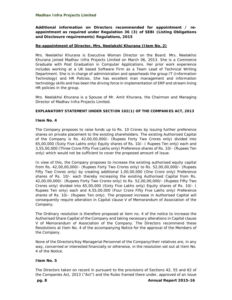**Additional information on Directors recommended for appointment / reappointment as required under Regulation 36 (3) of SEBI (Listing Obligations and Disclosure requirements) Regulations, 2015** 

#### **Re-appointment of Director, Mrs. Neelakshi Khurana (Item No. 2)**

Mrs. Neelakhsi Khurana is Executive Woman Director on the Board. Mrs. Neelakhsi Khurana joined Madhav Infra Projects Limited on March 06, 2013. She is a Commerce Graduate with Post Graduation in Computer Applications. Her prior work experience includes working at a UK based Software Firm as a Team Lead of Technical Writing Department. She is in charge of administration and spearheads the group IT (Information Technology) and HR Policies. She has excellent man management and information technology skills and has been the driving force in implementation of ERP and stream lining HR policies in the group.

Mrs. Neelakhsi Khurana is a Spouse of Mr. Amit Khurana, the Chairman and Managing Director of Madhav Infra Projects Limited.

#### **EXPLANATORY STATEMENT UNDER SECTION 102(1) OF THE COMPANIES ACT, 2013**

#### **Item No. 4**

The Company proposes to raise funds up to Rs. 10 Crores by issuing further preference shares on private placement to the existing shareholders. The existing Authorised Capital of the Company is Rs. 42,00,00,000/- (Rupees Forty Two Crores only) divided into 65,00,000 (Sixty Five Lakhs only) Equity shares of Rs. 10/- ( Rupees Ten only) each and 3,55,00,000 (Three Crore Fifty Five Lakhs only) Preference shares of Rs. 10/- (Rupees Ten only) which would not be sufficient to cover the proposed amount of issue.

In view of this, the Company proposes to increase the existing authorised equity capital from Rs. 42,00,00,000/- (Rupees Forty Two Crores only) to Rs. 52,00,00,000/- (Rupees Fifty Two Crores only) by creating additional 1,00,00,000 (One Crore only) Preference shares of Rs. 10/- each thereby increasing the existing Authorised Capital from Rs. 42,00,00,000/- (Rupees Forty Two Crores only) to Rs. 52,00,00,000/- (Rupees Fifty Two Crores only) divided into 65,00,000 (Sixty Five Lakhs only) Equity shares of Rs. 10/- ( Rupees Ten only) each and 4,55,00,000 (Four Crore Fifty Five Lakhs only) Preference shares of Rs. 10/- (Rupees Ten only). The proposed increase in Authorised Capital will consequently require alteration in Capital clause V of Memorandum of Association of the Company.

The Ordinary resolution is therefore proposed at item no. 4 of the notice to increase the Authorised Share Capital of the Company and taking necessary alterations in Capital clause V of Memorandum of Association of the Company. The Directors recommend these Resolutions at Item No. 4 of the accompanying Notice for the approval of the Members of the Company.

None of the Directors/Key Managerial Personnel of the Company/their relatives are, in any way, concerned or interested financially or otherwise, in the resolution set out at Item No. 4 of the Notice.

#### **Item No. 5**

The Directors taken on record in pursuant to the provisions of Sections 42, 55 and 62 of the Companies Act, 2013 ("Act") and the Rules framed there under, approved of an issue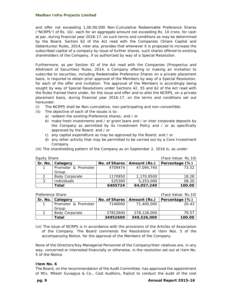and offer not exceeding 1,00,00,000 Non-Cumulative Redeemable Preference Shares ("NCRPS") of Rs. 10/- each for an aggregate amount not exceeding Rs. 10 crore, for cash at par, during financial year 2016-17, on such terms and conditions as may be determined by the Board. Section 62 of the Act read with the Companies (Share Capital and Debentures) Rules, 2014, inter alia, provides that whenever it is proposed to increase the subscribed capital of a company by issue of further shares, such shares offered to existing shareholders of the Company, if so authorized by way of a Special Resolution.

Furthermore, as per Section 42 of the Act read with the Companies (Prospectus and Allotment of Securities) Rules, 2014, a Company offering or making an invitation to subscribe to securities, including Redeemable Preference Shares on a private placement basis, is required to obtain prior approval of the Members by way of a Special Resolution, for each of the offer and invitation. The approval of the Members is accordingly being sought by way of Special Resolutions under Sections 42, 55 and 62 of the Act read with the Rules framed there under, for the issue and offer and to allot the NCRPS, on a private placement basis, during financial year 2016-17, on the terms and conditions set out hereunder.

- (i) The NCRPS shall be Non-cumulative, non-participating and non-convertible.
- (ii) The objective of each of the issues is to:
	- a) redeem the existing Preference shares; and / or
	- b) make fresh investments and / or grant loans and / or inter corporate deposits by the Company as permitted by its Investment Policy and / or as specifically approved by the Board; and / or
	- c) any capital expenditure as may be approved by the Board; and / or
	- d) any other activity that may be permitted to be carried out by a Core Investment Company.
- (iii) The shareholding pattern of the Company as on September 2, 2016 is, as under:

| Equity Share  |                       |               |              | (Face Value: Rs.10) |
|---------------|-----------------------|---------------|--------------|---------------------|
| Sr. No.       | Category              | No. of Shares | Amount (Rs.) | Percentage (%)      |
|               | Promoter & Promoter   | 4709474       | 47.094.740   | 73.52               |
|               | Group                 |               |              |                     |
| $\mathcal{P}$ | <b>Body Corporate</b> | 1170950       | 1,170,9500   | 18.28               |
| 3             | <b>Individuals</b>    | 525300        | 5,253,000    | 08.20               |
|               | Total                 | 6405724       | 64,057,240   | 100.00              |

| Preference Share |                       |          |                              | (Face Value: Rs.10) |
|------------------|-----------------------|----------|------------------------------|---------------------|
|                  | Sr. No.   Category    |          | No. of Shares   Amount (Rs.) | Percentage (%)      |
|                  | Promoter & Promoter   | 7140000  | 71,400,000                   | 20.43               |
|                  | Group                 |          |                              |                     |
|                  | <b>Body Corporate</b> | 27812600 | 278,126,000                  | 79.57               |
|                  | Total                 | 34952600 | 349,526,000                  | 100.00              |

(vi) The issue of NCRPS is in accordance with the provisions of the Articles of Association of the Company. The Board commends the Resolutions at Item Nos. 5 of the accompanying Notice, for the approval of the Members of the Company.

None of the Directors/Key Managerial Personnel of the Company/their relatives are, in any way, concerned or interested financially or otherwise, in the resolution set out at Item No. 5 of the Notice.

#### **Item No. 6**

The Board, on the recommendation of the Audit Committee, has approved the appointment of M/s. Mitesh Suvagiya & Co., Cost Auditors, Rajkot to conduct the audit of the cost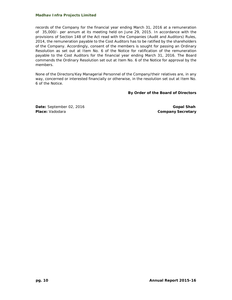records of the Company for the financial year ending March 31, 2016 at a remuneration of 35,000/- per annum at its meeting held on June 29, 2015. In accordance with the provisions of Section 148 of the Act read with the Companies (Audit and Auditors) Rules, 2014, the remuneration payable to the Cost Auditors has to be ratified by the shareholders of the Company. Accordingly, consent of the members is sought for passing an Ordinary Resolution as set out at Item No. 6 of the Notice for ratification of the remuneration payable to the Cost Auditors for the financial year ending March 31, 2016. The Board commends the Ordinary Resolution set out at Item No. 6 of the Notice for approval by the members.

None of the Directors/Key Managerial Personnel of the Company/their relatives are, in any way, concerned or interested financially or otherwise, in the resolution set out at Item No. 6 of the Notice.

#### **By Order of the Board of Directors**

**Date:** September 02, 2016 **Gopal Shah** *Gopal Shah* **Gopal Shah Place:** Vadodara **Company Secretary Company Secretary**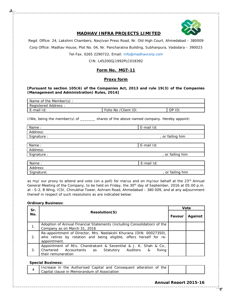

#### **MADHAV INFRA PROJECTS LIMITED**

Regd. Office: 24, Lakshmi Chambers, Navjivan Press Road, Nr. Old High Court, Ahmedabad – 380009 Corp Office: Madhav House, Plot No. 04, Nr. Pancharatna Building, Subhanpura, Vadodara – 390023

Tel-Fax. 0265 2290722, Email: info@madhavcorp.com

CIN: L45200GJ1992PLC018392

#### **Form No. MGT-11**

#### **Proxy form**

#### **[Pursuant to section 105(6) of the Companies Act, 2013 and rule 19(3) of the Companies (Management and Administration) Rules, 2014]**

| Name of the Member(s):                            |  |  |  |  |
|---------------------------------------------------|--|--|--|--|
| Registered Address:                               |  |  |  |  |
| Folio No / Client ID:<br>E-mail Id:<br>DP.<br>ID: |  |  |  |  |

I/We, being the member(s) of \_\_\_\_\_\_\_ shares of the above named company. Hereby appoint:

| Name:       | E-mail Id:       |
|-------------|------------------|
| Address:    |                  |
| Signature : | , or failing him |
|             |                  |
| Name:       | E-mail Id:       |
| Address:    |                  |
| Signature : | , or failing him |
|             |                  |
| Name:       | E-mail Id:       |
| Address:    |                  |
| Signature:  | or failing him   |

as my/ our proxy to attend and vote (on a poll) for me/us and on my/our behalf at the 23<sup>rd</sup> Annual General Meeting of the Company, to be held on Friday, the 30<sup>th</sup> day of September, 2016 at 05:00 p.m. at - S-2, B Wing, ICSI, Chinubhai Tower, Ashram Road, Ahmedabad – 380 009, and at any adjournment thereof in respect of such resolutions as are indicated below:

#### **Ordinary Business:**

| Sr. | <b>Resolution(S)</b>                                                                                                                                      |  | Vote    |  |
|-----|-----------------------------------------------------------------------------------------------------------------------------------------------------------|--|---------|--|
| No. |                                                                                                                                                           |  | Against |  |
| 1.  | Adoption of Annual Financial Statements (including Consolidation) of the<br>Company as on March 31, 2016                                                  |  |         |  |
| 2.  | Re-appointment of Director, Mrs. Neelakshi Khurana (DIN: 00027350),<br>who retires by rotation and being eligible, offers herself for re-<br>appointment. |  |         |  |
| 3.  | Appointment of M/s. Chandrakant & Seventilal & J. K. Shah & Co.,<br>Chartered Accountants as<br>Statutory Auditors<br>fixing<br>&<br>their remuneration   |  |         |  |

#### **Special Business:**

| the<br>Increase in the Authorised Capital and Consequent alteration of |  |
|------------------------------------------------------------------------|--|
| Capital clause in Memorandum of Association                            |  |

#### **Annual Report 2015-16**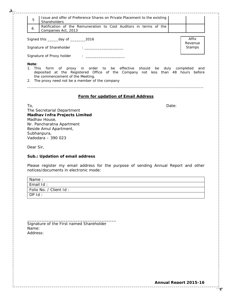| Issue and offer of Preference Shares on Private Placement to the existing<br>5<br>Shareholders                                                                                                                                                  |       |                            |
|-------------------------------------------------------------------------------------------------------------------------------------------------------------------------------------------------------------------------------------------------|-------|----------------------------|
| Ratification of the Remuneration to Cost Auditors in terms of the<br>6.<br>Companies Act, 2013                                                                                                                                                  |       |                            |
| Signed this ______ day of __________2016<br>Signature of Shareholder<br>the company of the company of the company of                                                                                                                            |       | Affix<br>Revenue<br>Stamps |
|                                                                                                                                                                                                                                                 |       |                            |
| Note:<br>1. This<br>form of proxy in order to be effective should be<br>deposited at the Registered Office of the Company not less than 48 hours before<br>the commencement of the Meeting.<br>2. The proxy need not be a member of the company |       | duly completed<br>and      |
| Form for updation of Email Address<br>To,                                                                                                                                                                                                       | Date: |                            |
| The Secretarial Department<br><b>Madhav Infra Projects Limited</b><br>Madhav House,<br>Nr. Pancharatna Apartment<br>Beside Amul Apartment,<br>Subhanpura,<br>Vadodara - 390 023                                                                 |       |                            |
| Dear Sir,                                                                                                                                                                                                                                       |       |                            |
| Sub.: Updation of email address                                                                                                                                                                                                                 |       |                            |

Please register my email address for the purpose of sending Annual Report and other notices/documents in electronic mode:

| Name:                  |
|------------------------|
| Email Id:              |
| Folio No. / Client Id: |
| DPId:                  |

| Signature of the First named Shareholder |  |
|------------------------------------------|--|
| Name:                                    |  |
| Address:                                 |  |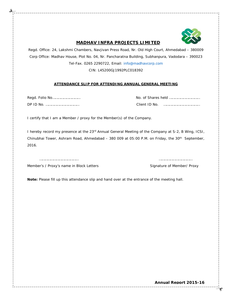

#### **MADHAV INFRA PROJECTS LIMITED**

Regd. Office: 24, Lakshmi Chambers, Navjivan Press Road, Nr. Old High Court, Ahmedabad – 380009 Corp Office: Madhav House, Plot No. 04, Nr. Pancharatna Building, Subhanpura, Vadodara – 390023 Tel-Fax. 0265 2290722, Email: info@madhavcorp.com

CIN: L45200GJ1992PLC018392

#### **ATTENDANCE SLIP FOR ATTENDING ANNUAL GENERAL MEETING**

Regd. Folio No………………………… No. of Shares held …………………………… DP ID No. ……………………………… Client ID No. …………………………………

I certify that I am a Member / proxy for the Member(s) of the Company.

I hereby record my presence at the 23<sup>rd</sup> Annual General Meeting of the Company at S-2, B Wing, ICSI, Chinubhai Tower, Ashram Road, Ahmedabad - 380 009 at 05:00 P.M. on Friday, the 30<sup>th</sup> September, 2016.

…………………………………… ………………………………

Member's / Proxy's name in Block Letters Signature of Member/ Proxy

**Note:** Please fill up this attendance slip and hand over at the entrance of the meeting hall.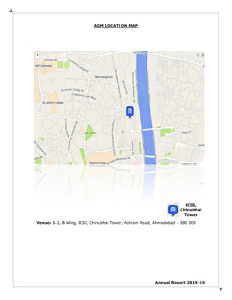#### **AGM LOCATION MAP**





ఈ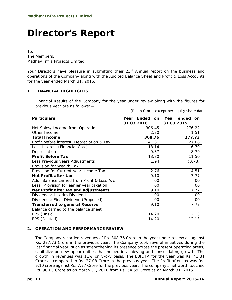## **Director's Report**

To, The Members, Madhav Infra Projects Limited

Your Directors have pleasure in submitting their 23<sup>rd</sup> Annual report on the business and operations of the Company along with the Audited Balance Sheet and Profit & Loss Accounts for the year ended March 31, 2016.

#### **1. FINANCIAL HIGHLIGHTS**

Financial Results of the Company for the year under review along with the figures for previous year are as follows:—

| (Rs. in Crore) except per equity share data |  |  |  |
|---------------------------------------------|--|--|--|
|---------------------------------------------|--|--|--|

| <b>Particulars</b>                          | Year Ended on<br>31.03.2016 | Year ended<br>on<br>31.03.2015 |
|---------------------------------------------|-----------------------------|--------------------------------|
| Net Sales/ Income from Operation            | 306.45                      | 276.22                         |
| Other Income                                | 2.30                        | 1.51                           |
| <b>Total Income</b>                         | 308.76                      | 277.73                         |
| Profit before interest, Depreciation & Tax  | 41.31                       | 27.08                          |
| Less Interest (Financial Cost)              | 18.14                       | 6.79                           |
| Depreciation                                | 9.37                        | 8.79                           |
| <b>Profit Before Tax</b>                    | 13.80                       | 11.50                          |
| Less Previous years Adjustments             | 1.94                        | (0.78)                         |
| Provision for Wealth Tax                    |                             |                                |
| Provision for Current year Income Tax       | 2.76                        | 4.51                           |
| Net Profit after tax                        | 9.10                        | 7.77                           |
| Add: Balance carried from Profit & Loss A/c | $00 \,$                     | 00                             |
| Less: Provision for earlier year taxation   | $00 \,$                     | 00                             |
| Net Profit after tax and adjustments        | 9.10                        | 7.77                           |
| Dividends: Interim Dividend                 | $00 \,$                     | 00                             |
| Dividends: Final Dividend (Proposed)        | $00\,$                      | 00                             |
| <b>Transferred to general Reserve</b>       | 9.10                        | 7.77                           |
| Balance carried to the balance sheet        |                             |                                |
| EPS (Basic)                                 | 14.20                       | 12.13                          |
| EPS (Diluted)                               | 14.20                       | 12.13                          |

#### **2. OPERATION AND PERFORMANCE REVIEW**

The Company recorded revenues of Rs. 308.76 Crore in the year under review as against Rs. 277.73 Crore in the previous year. The Company took several initiatives during the last financial year, such as strengthening its presence across the present operating areas, capitalize on new opportunities that helped in achieving and consolidating growth. The growth in revenues was 11% on y-o-y basis. The EBIDTA for the year was Rs. 41.31 Crore as compared to Rs. 27.08 Crore in the previous year. The Profit after tax was Rs. 9.10 crore against Rs. 7.77 Crore for the previous year. The company's net worth touched Rs. 98.63 Crore as on March 31, 2016 from Rs. 54.59 Crore as on March 31, 2015.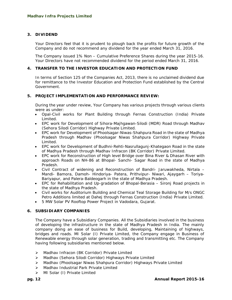#### **3. DIVIDEND**

Your Directors feel that it is prudent to plough back the profits for future growth of the Company and do not recommend any dividend for the year ended March 31, 2016.

The Company issued 1% Non – Cumulative Preference Shares during the year 2015-16. Your Directors have not recommended dividend for the period ended March 31, 2016.

#### **4. TRANSFER TO THE INVESTOR EDUCATION AND PROTECTION FUND**

In terms of Section 125 of the Companies Act, 2013, there is no unclaimed dividend due for remittance to the Investor Education and Protection Fund established by the Central Government.

#### **5. PROJECT IMPLEMENTATION AND PERFORMANCE REVIEW:**

During the year under review, Your Company has various projects through various clients were as under:

- Opal-Civil works for Plant Building through Fernas Construction (India) Private Limited.
- EPC work for Development of Sihora-Majhgawan-Silodi (MDR) Road through Madhav (Sehora Silodi Corridor) Highway Private Limited.
- EPC work for Development of Phoolsagar-Niwas-Shahpura Road in the state of Madhya Pradesh through Madhav (Phoolsagar Niwas Shahpura Corridor) Highway Private Limited.
- EPC work for Development of Budhni-Rehti-Nasrullagunj-Khategaon Road in the state of Madhya Pradesh through Madhav Infracon (BK Corridor) Private Limited.
- EPC work for Reconstruction of High level Bridge over Bina River & Dhasan River with approach Roads on NH-86 at Bhopal- Sanchi- Sagar Road in the state of Madhya Pradesh.
- Civil Contract of widening and Reconstruction of Bandri- Jaruwakheda, Nirtala Mandi- Bamora, Damoh- Hindoriya- Patera, Prithvipur- Niwari, Ajaygarh – Toriya-Bariyapur, and Palera-Baldeogarh in the state of Madhya Pradesh.
- EPC for Rehabilitation and Up-gradation of Bhopal-Berasia Sironj Road projects in the state of Madhya Pradesh.
- Civil works for Auditorium Building and Chemical Teal Storage Building for M/s ONGC Petro Additions limited at Dahej through Fernas Construction (India) Private Limited.
- 5 MW Solar PV Rooftop Power Project in Vadodara, Gujarat.

#### **6. SUBSIDIARY COMPANIES**

The Company have a Subsidiary Companies. All the Subsidiaries involved in the business of developing the infrastructure in the state of Madhya Pradesh in India. The mainly company doing an ease of business for Build, developing, Maintaining of highways, bridges and roads. MI Solar (I) Private Limited, the Company engage in Business of Renewable energy through solar generation, trading and transmitting etc. The Company having following subsidiaries mentioned below.

- Madhav Infracon (BK Corridor) Private Limited
- Madhav (Sehora Silodi Corridor) Highways Private Limited
- Madhav (Phoolsagar Niwas Shahpura Corridor) Highways Private Limited
- > Madhav Industrial Park Private Limited
- MI Solar (I) Private Limited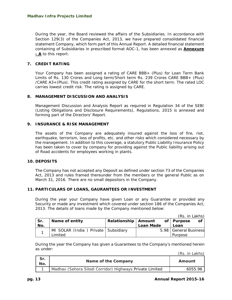During the year, the Board reviewed the affairs of the Subsidiaries. In accordance with Section 129(3) of the Companies Act, 2013, we have prepared consolidated financial statement Company, which form part of this Annual Report. A detailed financial statement containing of Subsidiaries in prescribed format AOC-1, has been annexed as **Annexure - A** to this report.

#### **7. CREDIT RATING**

Your Company has been assigned a rating of CARE BBB+ (Plus) for Loan Term Bank Limits of Rs. 130 Crores and Long term/Short term Rs. 239 Crores CARE BBB+ (Plus) /CARE A3+(Plus). This credit rating assigned by CARE for the short term. The rated LOC carries lowest credit risk. The rating is assigned by CARE.

#### **8. MANAGEMENT DISCUSSION AND ANALYSIS**

Management Discussion and Analysis Report as required in Regulation 34 of the SEBI (Listing Obligations and Disclosure Requirements), Regulations, 2015 is annexed and forming part of the Directors' Report.

#### **9. INSURANCE & RISK MANAGEMENT**

The assets of the Company are adequately insured against the loss of fire, riot, earthquake, terrorism, loss of profits, etc. and other risks which considered necessary by the management. In addition to this coverage, a statutory Public Liability Insurance Policy has been taken to cover by company for providing against the Public liability arising out of Road accidents for employees working in plants.

#### **10. DEPOSITS**

The Company has not accepted any Deposit as defined under section 73 of the Companies Act, 2013 and rules framed thereunder from the members or the general Public as on March 31, 2016. There are no small depositors in the Company.

#### **11. PARTICULARS OF LOANS, GAURANTEES OR INVESTMENT**

During the year your Company have given Loan or any Guarantee or provided any Security or made any investment which covered under section 186 of the Companies Act, 2013. The details of loans made by the Company mentioned below:

|     |                                       |                       |                  | (Rs. in Lakhs)        |
|-----|---------------------------------------|-----------------------|------------------|-----------------------|
| Sr. | Name of entity                        | Relationship   Amount |                  | of   Purpose<br>of    |
| No. |                                       |                       | <b>Loan Made</b> | Loan                  |
|     | MI SOLAR (India) Private   Subsidiary |                       |                  | 5.98 General Business |
|     | Limited                               |                       |                  | Purpose               |

During the year the Company has given a Guarantees to the Company's mentioned herein as under:

(Rs. in Lakhs)

| Sr.<br>No. | Name of the Company                                      | Amount  |
|------------|----------------------------------------------------------|---------|
|            | Madhav (Sehora Silodi Corridor) Highways Private Limited | 6055.96 |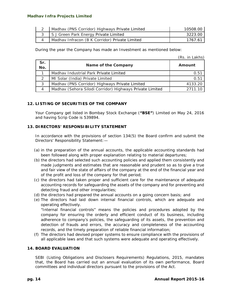| Madhav (PNS Corridor) Highways Private Limited | 10508.00 |
|------------------------------------------------|----------|
| 3 S J Green Park Energy Private Limited        | 3223.00  |
| Madhav Infracon (B K Corridor) Private Limited | 1767.61  |

During the year the Company has made an Investment as mentioned below:

(Rs. in Lakhs)

| Sr.<br>No.    | Name of the Company                                      | Amount  |
|---------------|----------------------------------------------------------|---------|
|               | Madhay Industrial Park Private Limited                   | 0.51    |
| $\mathcal{P}$ | MI Solar (India) Private Limited                         | 0.51    |
| 3             | Madhav (PNS Corridor) Highways Private Limited           | 4133.20 |
|               | Madhav (Sehora Silodi Corridor) Highways Private Limited | 2711 10 |

#### **12. LISTING OF SECURITIES OF THE COMPANY**

Your Company get listed in Bombay Stock Exchange (**"BSE"**) Limited on May 24, 2016 and having Scrip Code is 539894.

#### **13. DIRECTORS' RESPONSIBILITY STATEMENT**

In accordance with the provisions of section 134(5) the Board confirm and submit the Directors' Responsibility Statement:—

- *(a)* in the preparation of the annual accounts, the applicable accounting standards had been followed along with proper explanation relating to material departures;
- *(b)* the directors had selected such accounting policies and applied them consistently and made judgments and estimates that are reasonable and prudent so as to give a true and fair view of the state of affairs of the company at the end of the financial year and of the profit and loss of the company for that period;
- *(c)* the directors had taken proper and sufficient care for the maintenance of adequate accounting records for safeguarding the assets of the company and for preventing and detecting fraud and other irregularities;
- *(d)* the directors had prepared the annual accounts on a going concern basis; and
- *(e)* The directors had laid down internal financial controls, which are adequate and operating effectively.

"Internal financial controls" means the policies and procedures adopted by the company for ensuring the orderly and efficient conduct of its business, including adherence to company's policies, the safeguarding of its assets, the prevention and detection of frauds and errors, the accuracy and completeness of the accounting records, and the timely preparation of reliable financial information;

*(f)* The directors had devised proper systems to ensure compliance with the provisions of all applicable laws and that such systems were adequate and operating effectively.

#### **14. BOARD EVALUATION**

SEBI (Listing Obligations and Disclosers Requirements) Regulations, 2015, mandates that, the Board has carried out an annual evaluation of its own performance, Board committees and individual directors pursuant to the provisions of the Act.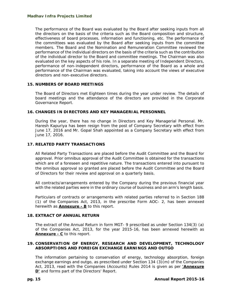The performance of the Board was evaluated by the Board after seeking inputs from all the directors on the basis of the criteria such as the Board composition and structure, effectiveness of board processes, information and functioning, etc. The performance of the committees was evaluated by the Board after seeking inputs from the committee members. The Board and the Nomination and Remuneration Committee reviewed the performance of the individual directors on the basis of the criteria such as the contribution of the individual director to the Board and committee meetings. The Chairman was also evaluated on the key aspects of his role. In a separate meeting of Independent Directors, performance of non-independent directors, performance of the Board as a whole and performance of the Chairman was evaluated, taking into account the views of executive directors and non-executive directors.

#### **15. NUMBERS OF BOARD MEETINGS**

The Board of Directors met Eighteen times during the year under review. The details of board meetings and the attendance of the directors are provided in the Corporate Governance Report.

#### **16. CHANGES IN DIRECTORS AND KEY MANAGERIAL PERSONNEL**

During the year, there has no change in Directors and Key Managerial Personal. Mr. Haresh Kapuriya has been resign from the post of Company Secretary *with effect from* June 17, 2016 and Mr. Gopal Shah appointed as a Company Secretary *with effect from* June 17, 2016.

#### **17. RELATED PARTY TRANSACTIONS**

All Related Party Transactions are placed before the Audit Committee and the Board for approval. Prior omnibus approval of the Audit Committee is obtained for the transactions which are of a foreseen and repetitive nature. The transactions entered into pursuant to the omnibus approval so granted are placed before the Audit Committee and the Board of Directors for their review and approval on a quarterly basis.

All contracts/arrangements entered by the Company during the previous financial year with the related parties were in the ordinary course of business and on arm's length basis.

Particulars of contracts or arrangements with related parties referred to in Section 188 (1) of the Companies Act, 2013, in the prescribe Form AOC- 2, has been annexed herewith as **Annexure - B** to this report.

#### **18. EXTRACT OF ANNUAL RETURN**

The extract of the Annual Return in form MGT- 9 prescribed as under Section 134(3) (a) of the Companies Act, 2013, for the year 2015-16, has been annexed herewith as **Annexure - C** to this report.

#### **19. CONSERVATION OF ENERGY, RESEARCH AND DEVELOPMENT, TECHNOLOGY ABSORPTIONS AND FOREIGN EXCHANGE EARNINGS AND OUTGO**

The information pertaining to conservation of energy, technology absorption, foreign exchange earnings and outgo, as prescribed under Section 134 (3)(m) of the Companies Act, 2013, read with the Companies (Accounts) Rules 2014 is given as per **'Annexure D'** and forms part of the Directors' Report.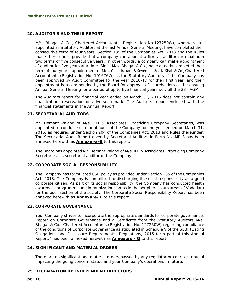#### **20. AUDITOR'S AND THEIR REPORT**

M/s. Bhagat & Co., Chartered Accountants (Registration No.127250W), who were reappointed as Statutory Auditors at the last Annual General Meeting, have completed their consecutive term of four years. Section 139 of the Companies Act, 2013 and the Rules made there under provide that a company can appoint a firm as auditor for maximum two terms of five consecutive years. In other words, a company can make appointment of auditor for five years at a time. Since M/s. Bhagat & Co., have already completed their term of four years, appointment of M/s. Chandrakant & Seventilal & J. K. Shah & Co., Chartered Accountants (Registration No. 101676W) as the Statutory Auditors of the Company has been approved by Audit Committee for the year 2016-17 for their first year, and their appointment is recommended by the Board for approval of shareholders at the ensuing Annual General Meeting for a period of up to five financial years *i.e.*, till the 28<sup>th</sup> AGM.

The Auditors report for financial year ended on March 31, 2016 does not contain any qualification, reservation or adverse remark. The Auditors report enclosed with the financial statements in the Annual Report.

#### **21. SECRETARIAL AUDITORS**

Mr. Hemant Valand of M/s. KH & Associates, Practicing Company Secretaries, was appointed to conduct secretarial audit of the Company for the year ended on March 31, 2016, as required under Section 204 of the Companies Act, 2013 and Rules thereunder. The Secretarial Audit Report given by Secretarial Auditors in Form No. MR-3 has been annexed herewith as **Annexure -E** to this report.

The Board has appointed Mr. Hemant Valand of M/s. KH & Associates, Practicing Company Secretaries, as secretarial auditor of the Company.

#### **22. CORPORATE SOCIAL RESPONSIBILITY**

The Company has formulated CSR policy as provided under Section 135 of the Companies Act, 2013. The Company is committed to discharging its social responsibility as a good corporate citizen. As part of its social responsibility, the Company has conducted health awareness programme and immunization camps in the peripheral slum areas of Vadodara for the poor section of the society. The Corporate Social Responsibility Report has been annexed herewith as **Annexure- F** to this report.

#### **23. CORPORATE GOVERNANCE**

Your Company strives to incorporate the appropriate standards for corporate governance. Report on Corporate Governance and a Certificate from the Statutory Auditors M/s. Bhagat & Co., Chartered Accountants (Registration No. 127250W) regarding compliance of the conditions of Corporate Governance as stipulated in Schedule V of the SEBI (Listing Obligations and Disclosure Requirements) Regulations, 2015 form part of this Annual Report./ has been annexed herewith as **Annexure - G** to this report.

#### **24. SIGNIFICANT AND MATERIAL ORDERS**

There are no significant and material orders passed by any regulator or court or tribunal impacting the going concern status and your Company's operations in future.

#### **25. DECLARATION BY INDEPENDENT DIRECTORS**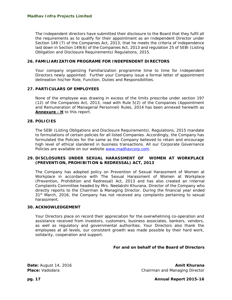The Independent directors have submitted their disclosure to the Board that they fulfil all the requirements as to qualify for their appointment as an Independent Director under Section 149 (7) of the Companies Act, 2013, that he meets the criteria of independence laid down in Section 149(6) of the Companies Act, 2013 and regulation 25 of SEBI (Listing Obligation and Disclosure Requirements) Regulations, 2015.

#### **26. FAMILIARIZATION PROGRAME FOR INDEPENDENT DIRECTORS**

Your company organizing Familiarization programme time to time for Independent Directors newly appointed. Further your Company issue a formal letter of appointment delineation his/her Role, Function, Duties and Responsibilities.

#### **27. PARTICULARS OF EMPLOYEES**

None of the employee was drawing in excess of the limits prescribe under section 197 (12) of the Companies Act, 2013, read with Rule 5(2) of the Companies (Appointment and Remuneration of Managerial Personnel) Rules, 2014 has been annexed herewith as **Annexure - H** to this report.

#### **28. POLICIES**

The SEBI (Listing Obligations and Disclosure Requirements), Regulations, 2015 mandate to formulations of certain policies for all listed Companies. Accordingly, the Company has formulated the Policies for the same as the Company believed to retain and encourage high level of ethical slandered in business transactions. All our Corporate Governance Policies are available on our website www.madhavcorp.com.

#### **29. DISCLOSURES UNDER SEXUAL HARASSMENT OF WOMEN AT WORKPLACE (PREVENTION, PROHIBITION & REDRESSAL) ACT, 2013**

The Company has adopted policy on Prevention of Sexual Harassment of Women at Workplace in accordance with The Sexual Harassment of Women at Workplace (Prevention, Prohibition and Redressal) Act, 2013 and has also created an Internal Complaints Committee headed by Mrs. Neelakshi Khurana, Director of the Company who directly reports to the Chairman & Managing Director. During the financial year ended  $31<sup>st</sup>$  March, 2016, the Company has not received any complaints pertaining to sexual harassment.

#### **30. ACKNOWLEDGEMENT**

Your Directors place on record their appreciation for the overwhelming co-operation and assistance received from investors, customers, business associates, bankers, vendors, as well as regulatory and governmental authorities. Your Directors also thank the employees at all levels, our consistent growth was made possible by their hard work, solidarity, cooperation and support.

#### **For and on behalf of the Board of Directors**

**Date:** August 14, 2016 **Amit Khurana** *Amit Khurana* **Amit Khurana Amit Khurana Place:** Vadodara **Chairman and Managing Director** Chairman and Managing Director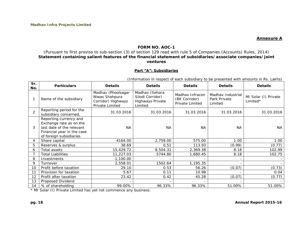#### **Annexure A**

#### **FORM NO. AOC-1**

#### (Pursuant to first proviso to sub-section (3) of section 129 read with rule 5 of Companies (Accounts) Rules, 2014) **Statement containing salient features of the financial statement of subsidiaries/associate companies/joint ventures**

#### **Part "A": Subsidiaries**

| Sr.<br>No.     | <b>Particulars</b>                                                                                                                      | <b>Details</b>                                                                | <b>Details</b>                                                           | <b>Details</b>                                             | <b>Details</b>                               | <b>Details</b>                   |
|----------------|-----------------------------------------------------------------------------------------------------------------------------------------|-------------------------------------------------------------------------------|--------------------------------------------------------------------------|------------------------------------------------------------|----------------------------------------------|----------------------------------|
|                | Name of the subsidiary                                                                                                                  | Madhav (Phoolsagar<br>Niwas Shahpura<br>Corridor) Highways<br>Private Limited | Madhav (Sehora<br>Silodi Corridor)<br><b>Highways Private</b><br>Limited | Madhay Infracon<br>(BK Corridor)<br><b>Private Limited</b> | Madhay Industrial<br>Park Private<br>Limited | MI Solar (I) Private<br>Limited* |
| $\overline{2}$ | Reporting period for the<br>subsidiary concerned,                                                                                       | 31.03.2016                                                                    | 31.03.2016                                                               | 31.03.2016                                                 | 31.03.2016                                   | 31.03.2016                       |
| 3              | Reporting currency and<br>Exchange rate as on the<br>last date of the relevant<br>Financial year in the case<br>of foreign subsidiaries | <b>NA</b>                                                                     | <b>NA</b>                                                                | <b>NA</b>                                                  | <b>NA</b>                                    | NA.                              |
| $\overline{4}$ | Share capital                                                                                                                           | 4164.00                                                                       | 2,759.00                                                                 | 575.00                                                     | 1.00                                         | 1.00                             |
| 5              | Reserves & surplus                                                                                                                      | 38.69                                                                         | 0.51                                                                     | 113.93                                                     | (0.99)                                       | (0.77)                           |
| 6              | Total assets                                                                                                                            | 15,429.72                                                                     | 8,504.31                                                                 | 2,369.38                                                   | 8.18                                         | 102.99                           |
|                | <b>Total Liabilities</b>                                                                                                                | 11,227.03                                                                     | 5744.80                                                                  | 1,680.45                                                   | 8.18                                         | 102.75                           |
| 8              | Investments                                                                                                                             | 1,100.00                                                                      |                                                                          |                                                            | $\overline{\phantom{0}}$                     |                                  |
| 9              | Turnover                                                                                                                                | 2,558.01                                                                      | 1502.64                                                                  | 1,195.35                                                   | $\overline{\phantom{0}}$                     |                                  |
| 10             | Profit before taxation                                                                                                                  | 29.10                                                                         | 0.53                                                                     | 56.26                                                      | (0.07)                                       | (0.73)                           |

14 % of shareholding 99.00% 96.33% 96.33% 51.00% 51.00%

(Information in respect of each subsidiary to be presented with amounts in Rs. Lakhs)

7 | 0.11 | 10.98 | - | 0.04

 $2 | 0.42 | 45.28 | (0.07) | (0.77)$ 

\* MI Solar (I) Private Limited has yet not commence any business.

13 Proposed Dividend - - - - -

11 Provision for taxation 11 5.67

12 Profit after taxation 23.42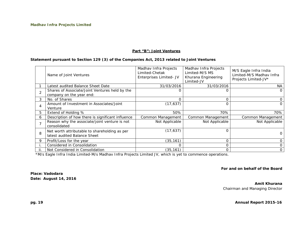#### **Part "B": Joint Ventures**

#### **Statement pursuant to Section 129 (3) of the Companies Act, 2013 related to Joint Ventures**

|   | Name of Joint Ventures                                                        | Madhav Infra Projects<br>Limited-Chetak<br>Enterprises Limited- JV | Madhav Infra Projects<br>Limited-M/S MS<br>Khurana Engineering<br>Limited-JV | M/S Eagle Infra India<br>Limited-M/S Madhav Infra<br>Projects Limited-JV* |
|---|-------------------------------------------------------------------------------|--------------------------------------------------------------------|------------------------------------------------------------------------------|---------------------------------------------------------------------------|
|   | Latest audited Balance Sheet Date                                             | 31/03/2016                                                         | 31/03/2016                                                                   | NA.                                                                       |
|   | Shares of Associate/Joint Ventures held by the<br>company on the year end:    | O                                                                  | 0                                                                            | 0                                                                         |
| 3 | No. of Shares                                                                 | ი                                                                  | $\Omega$                                                                     | 0                                                                         |
| 4 | Amount of Investment in Associates/Joint<br>Venture                           | (17, 637)                                                          | $\Omega$                                                                     | $\Omega$                                                                  |
| 5 | Extend of Holding %                                                           | 50%                                                                | 70%                                                                          | 70%                                                                       |
| 6 | Description of how there is significant influence                             | Common Management                                                  | Common Management                                                            | Common Management                                                         |
|   | Reason why the associate/joint venture is not<br>consolidated                 | Not Applicable                                                     | Not Applicable                                                               | Not Applicable                                                            |
| 8 | Net worth attributable to shareholding as per<br>latest audited Balance Sheet | (17, 637)                                                          | $\Omega$                                                                     | $\Omega$                                                                  |
| 9 | Profit/Loss for the year                                                      | (35, 161)                                                          | $\Omega$                                                                     | 0                                                                         |
|   | Considered in Consolidation                                                   | ∩                                                                  | 0                                                                            | 0                                                                         |
|   | Not Considered in Consolidation                                               | (35, 161)                                                          | $\Omega$                                                                     | 0                                                                         |

\*M/s Eagle Infra India Limited-M/s Madhav Infra Projects Limited JV, which is yet to commence operations.

**For and on behalf of the Board** 

**Place: Vadodara Date: August 14, 2016** 

> **Amit Khurana**  Chairman and Managing Director

**pg. 19 Annual Report 2015-16**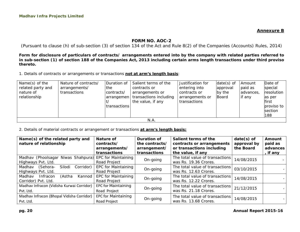**Annexure B** 

#### **FORM NO. AOC-2**

(Pursuant to clause (h) of sub-section (3) of section 134 of the Act and Rule 8(2) of the Companies (Accounts) Rules, 2014)

**Form for disclosure of particulars of contracts/ arrangements entered into by the company with related parties referred to in sub-section (1) of section 188 of the Companies Act, 2013 including certain arms length transactions under third proviso thereto.** 

1. Details of contracts or arrangements or transactions **not at arm's length basis**:

| Name(s) of the    | Nature of contracts/ | Duration of  | Salient terms of the                | Justification for | $date(s)$ of | Amount    | Date of        |
|-------------------|----------------------|--------------|-------------------------------------|-------------------|--------------|-----------|----------------|
| related party and | arrangements/        | the          | contracts or                        | entering into     | approval     | paid as   | special        |
| nature of         | transactions         | contracts/   | arrangements or                     | contracts or      | by the       | advances, | resolution     |
| relationship      |                      |              | arrangemen   transactions including | arrangements or   | Board        | if any    | as per         |
|                   |                      |              | the value, if any                   | transactions      |              |           | first          |
|                   |                      | transactions |                                     |                   |              |           | proviso to     |
|                   |                      |              |                                     |                   |              |           | <b>section</b> |
|                   |                      |              |                                     |                   |              |           | 188            |
|                   |                      |              | N.A.                                |                   |              |           |                |

2. Details of material contracts or arrangement or transactions **at arm's length basis:**

| Name(s) of the related party and                       | Nature of                                         | Duration of                       | Salient terms of the            | $date(s)$ of | Amount   |
|--------------------------------------------------------|---------------------------------------------------|-----------------------------------|---------------------------------|--------------|----------|
| nature of relationship                                 | contracts/                                        | the contracts/                    | contracts or arrangements       | approval by  | paid as  |
|                                                        | arrangements/                                     | arrangement/                      | or transactions including       | the Board    | advances |
|                                                        | transactions                                      | transactions                      | the value, if any               |              | , if any |
| Madhav (Phoolsagar Niwas Shahpura) EPC for Maintaining |                                                   |                                   | The total value of transactions | 14/08/2015   |          |
| Highways Pvt. Ltd.                                     | On-going<br>Road Project<br>was Rs. 19.36 Crores. |                                   |                                 |              |          |
| Silodi<br>Corridor)<br>Madhav<br>(Sehora-              | <b>EPC for Maintaining</b>                        |                                   | The total value of transactions | 03/10/2015   |          |
| Highways Pvt. Ltd.                                     | Road Project                                      | On-going<br>was Rs. 12.63 Crores. |                                 |              |          |
| Madhav<br>Infracon<br>(Astha<br>Kannod                 | <b>EPC for Maintaining</b>                        |                                   | The total value of transactions | 14/08/2015   |          |
| Corridor) Pvt. Ltd.                                    | Road Project                                      | On-going                          | was Rs. 12.22 Crores.           |              |          |
| Madhav Infracon (Vidisha Kurwai Corridor)              | <b>EPC for Maintaining</b>                        |                                   | The total value of transactions |              |          |
| Pvt. Ltd.                                              | Road Project                                      | On-going                          | was Rs. 21.18 Crores.           | 21/12/2015   |          |
| Madhav Infracon (Bhopal Vidisha Corridor)              | <b>EPC for Maintaining</b>                        |                                   | The total value of transactions |              |          |
| Pvt. Ltd.                                              | Road Project                                      | On-going                          | was Rs. 13.68 Crores.           | 14/08/2015   |          |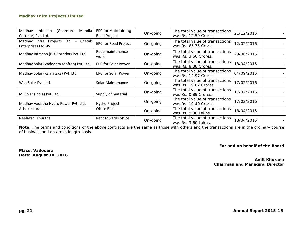| Madhav<br>(Ghansore<br>Infracon<br>Mandla<br>Corridor) Pvt. Ltd.                 | <b>EPC for Maintaining</b><br>Road Project                                                          | On-going                                                             | The total value of transactions<br>was Rs. 12.59 Crores. |            |  |
|----------------------------------------------------------------------------------|-----------------------------------------------------------------------------------------------------|----------------------------------------------------------------------|----------------------------------------------------------|------------|--|
| Madhav Infra Projects<br>Chetak<br>Ltd.<br>$\overline{a}$<br>Enterprises Ltd.-JV | The total value of transactions<br><b>EPC for Road Project</b><br>On-going<br>was Rs. 65.75 Crores. |                                                                      | 12/02/2016                                               |            |  |
| Madhav Infracon (B K Corridor) Pvt. Ltd.                                         | Road maintenance<br>work                                                                            | On-going                                                             | The total value of transactions<br>was Rs. 3.60 Crores.  | 29/06/2015 |  |
| Madhav Solar (Vadodara rooftop) Pvt. Ltd.                                        | The total value of transactions<br><b>EPC for Solar Power</b><br>On-going<br>was Rs. 8.38 Crores.   |                                                                      | 18/04/2015                                               |            |  |
| Madhav Solar (Karnataka) Pvt. Ltd.                                               | <b>EPC for Solar Power</b>                                                                          | On-going                                                             | The total value of transactions<br>was Rs. 14.97 Crores. | 04/09/2015 |  |
| Waa Solar Pvt. Ltd.                                                              | Solar Maintenance                                                                                   | On-going                                                             | The total value of transactions<br>was Rs. 19.02 Crores. | 17/02/2016 |  |
| MI Solar (India) Pvt. Ltd.                                                       | Supply of material                                                                                  | On-going                                                             | The total value of transactions<br>was Rs. 0.89 Crores.  | 17/02/2016 |  |
| Madhav Vasistha Hydro Power Pvt. Ltd.                                            | Hydro Project                                                                                       | The total value of transactions<br>On-going<br>was Rs. 10.40 Crores. |                                                          | 17/02/2016 |  |
| Ashok Khurana                                                                    | Office Rent                                                                                         | The total value of transactions<br>On-going<br>was Rs. 9.00 Lakhs.   |                                                          | 18/04/2015 |  |
| Neelakshi Khurana                                                                | Rent towards office                                                                                 | On-going                                                             | The total value of transactions<br>was Rs. 3.60 Lakhs.   | 18/04/2015 |  |

**Note:** *The terms and conditions of the above contracts are the same as those with others and the transactions are in the ordinary course of business and on arm's length basis.* 

**For and on behalf of the Board** 

**Place: Vadodara Date: August 14, 2016** 

**Amit Khurana Chairman and Managing Director**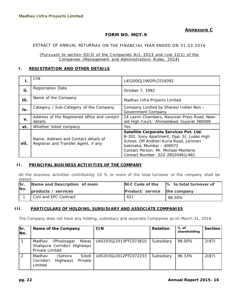#### **FORM NO. MGT-9**

#### EXTRACT OF ANNUAL RETURNAS ON THE FINANCIAL YEAR ENDED ON 31.03.2016

*[Pursuant to section 92(3) of the Companies Act, 2013 and rule 12(1) of the Companies (Management and Administration) Rules, 2014]*

#### **I. REGISTRATION AND OTHER DETAILS**

| i.   | <b>CIN</b>                                                                   | L45200GJ1992PLC018392                                                                                                                                                                                                                     |
|------|------------------------------------------------------------------------------|-------------------------------------------------------------------------------------------------------------------------------------------------------------------------------------------------------------------------------------------|
| ii.  | <b>Registration Date</b>                                                     | October 7, 1992                                                                                                                                                                                                                           |
| iii. | Name of the Company                                                          | Madhav Infra Projects Limited                                                                                                                                                                                                             |
| iv.  | Category / Sub-Category of the Company                                       | Company Limited by Shares/ Indian Non -<br>Government Company                                                                                                                                                                             |
| v.   | Address of the Registered office and contact<br>details                      | 24 Laxmi Chambers, Navjivan Press Road, Near<br>old High Court, Ahmedabad, Gujarat 380009                                                                                                                                                 |
| vi.  | Whether listed company                                                       | Yes                                                                                                                                                                                                                                       |
| vii. | Name, Address and Contact details of<br>Registrar and Transfer Agent, if any | Satellite Corporate Services Pvt. Ltd.<br>B-302, Sony Apartment, Opp. St. Judes High<br>School, Off Andheri Kurla Road, Jarimari<br>Sakinaka, Mumbai - 400072<br>Contact Person: Mr. Michael Monterio<br>Contact Number: 022-28520461/462 |

#### **II. PRINCIPAL BUSINESS ACTIVITIES OF THE COMPANY**

All the business activities contributing 10 % or more of the total turnover of the company shall be stated:-

| <b>Sr</b> | Name and Description of main |                              | NIC Code of the 1% to total turnover of |
|-----------|------------------------------|------------------------------|-----------------------------------------|
| No.       | products / services          | Product/ service the company |                                         |
|           | Civil and EPC Contract       | 421                          | 98.50%                                  |

#### **III. PARTICULARS OF HOLDING, SUBSIDIARY AND ASSOCIATE COMPANIES**

The Company does not have any holding, subsidiary and associate Companies as on March 31, 2016.

| lSr.<br>INo. |                                | Name of the Company                        |                   | <b>CIN</b>            | <b>Relation</b> | % of<br>shareholding | Section |
|--------------|--------------------------------|--------------------------------------------|-------------------|-----------------------|-----------------|----------------------|---------|
|              | Madhav<br>Private Limited      | (Phoolsagar<br>Shahpura Corridor) Highways | Niwas             | U45203GJ2013PTC073810 | Subsidiary      | 99.00%               | 2(87)   |
|              | Madhav<br>Corridor)<br>Limited | (Sehora<br>Highways                        | Silodi<br>Private | U45203GJ2012PTC072233 | Subsidiary      | 96.33%               | 2(87)   |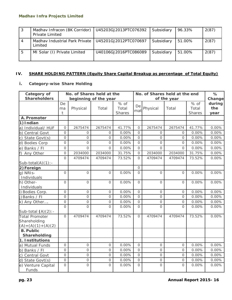| -3 | Madhav Infracon (BK Corridor)<br><b>Private Limited</b> | U45203GJ2013PTC076392 | Subsidiary | 96.33% | 2(87) |
|----|---------------------------------------------------------|-----------------------|------------|--------|-------|
| 4  | Madhay Industrial Park Private<br>Limited               | U45201GJ2012PTC070697 | Subsidiary | 51.00% | 2(87) |
| .5 | MI Solar (I) Private Limited                            | U40106GJ2016PTC086089 | Subsidiary | 51.00% | 2(87) |

### **IV. SHARE HOLDING PATTERN (Equity Share Capital Breakup as percentage of Total Equity)**

### **i.** *Category-wise Share Holding*

| Category of                                                      | No. of Shares held at the<br>No. of Shares held at the end |          |                       |                         | %              |                |                |                         |                       |
|------------------------------------------------------------------|------------------------------------------------------------|----------|-----------------------|-------------------------|----------------|----------------|----------------|-------------------------|-----------------------|
| <b>Shareholders</b>                                              |                                                            |          | beginning of the year |                         |                |                | of the year    |                         | Change                |
|                                                                  | De<br>ma<br>t                                              | Physical | Total                 | % of<br>Total<br>Shares | De<br>mat      | Physical       | Total          | % of<br>Total<br>Shares | during<br>the<br>year |
| A. Promoter                                                      |                                                            |          |                       |                         |                |                |                |                         |                       |
| 1) Indian                                                        |                                                            |          |                       |                         |                |                |                |                         |                       |
| a) Individual/ HUF                                               | $\mathcal{O}$                                              | 2675474  | 2675474               | 41.77%                  | $\mathcal{O}$  | 2675474        | 2675474        | 41.77%                  | 0.00%                 |
| b) Central Govt                                                  | $\Omega$                                                   | $\Omega$ | $\Omega$              | 0.00%                   | $\Omega$       | $\Omega$       | $\Omega$       | 0.00%                   | 0.00%                 |
| State Govt(s)<br>C)                                              | $\Omega$                                                   | 0        | $\Omega$              | 0.00%                   | $\Omega$       | $\Omega$       | $\Omega$       | 0.00%                   | 0.00%                 |
| d) Bodies Corp                                                   | $\overline{O}$                                             | 0        | 0                     | 0.00%                   | $\overline{O}$ | $\overline{O}$ | 0              | 0.00%                   | 0.00%                 |
| Banks / FI<br>e)                                                 | $\mathcal{O}$                                              | 0        | $\Omega$              | 0.00%                   | $\overline{O}$ | $\Omega$       | $\Omega$       | 0.00%                   | 0.00%                 |
| f)<br>Any Other                                                  | $\mathbf 0$                                                | 2034000  | 2034000               | 31.75%                  | $\Omega$       | 2034000        | 2034000        | 31.75%                  | 0.00%                 |
| Sub-total $(A)(1)$ :-                                            | $\Omega$                                                   | 4709474  | 4709474               | 73.52%                  | $\Omega$       | 4709474        | 4709474        | 73.52%                  | 0.00%                 |
| 2) Foreign                                                       |                                                            |          |                       |                         | $\Omega$       |                |                |                         |                       |
| g) NRIS-<br>Individuals                                          | $\Omega$                                                   | $\Omega$ | $\Omega$              | 0.00%                   | $\Omega$       | $\Omega$       | $\Omega$       | 0.00%                   | 0.00%                 |
| h) Other-<br>Individuals                                         | $\mathcal{O}$                                              | $\Omega$ | 0                     | 0.00%                   | $\Omega$       | $\Omega$       | $\Omega$       | 0.00%                   | 0.00%                 |
| i) Bodies Corp.                                                  | $\mathcal{O}$                                              | $\Omega$ | $\Omega$              | 0.00%                   | $\Omega$       | $\Omega$       | $\Omega$       | 0.00%                   | 0.00%                 |
| j) Banks / FI                                                    | $\mathbf 0$                                                | $\Omega$ | 0                     | 0.00%                   | $\Omega$       | $\overline{O}$ | $\mathbf 0$    | 0.00%                   | 0.00%                 |
| k) Any Other                                                     | $\mathbf 0$                                                | 0        | 0                     | 0.00%                   | $\overline{O}$ | 0              | $\mathcal{O}$  | 0.00%                   | 0.00%                 |
| Sub-total $(A)(2)$ : -                                           | $\Omega$                                                   | O        | $\Omega$              | 0.00%                   | $\Omega$       | $\overline{O}$ | $\Omega$       | 0.00%                   | 0.00%                 |
| <b>Total Promoter</b><br>Shareholding<br>$(A) = (A)(1) + (A)(2)$ | $\mathcal{O}$                                              | 4709474  | 4709474               | 73.52%                  | $\Omega$       | 4709474        | 4709474        | 73.52%                  | 0.00%                 |
| <b>B. Public</b><br>Shareholding                                 |                                                            |          |                       |                         |                |                |                |                         |                       |
| 1. Institutions                                                  |                                                            |          |                       |                         |                |                |                |                         |                       |
| a) Mutual Funds                                                  | $\mathcal{O}$                                              | 0        | $\Omega$              | 0.00%                   | $\Omega$       | $\Omega$       | $\mathcal{O}$  | 0.00%                   | 0.00%                 |
| b) Banks / FI                                                    | 0                                                          | 0        | 0                     | 0.00%                   | $\mathbf 0$    | 0              | $\overline{O}$ | 0.00%                   | 0.00%                 |
| Central Govt<br>C)                                               | $\mathcal{O}$                                              | 0        | 0                     | 0.00%                   | $\mathcal{O}$  | 0              | $\circ$        | 0.00%                   | 0.00%                 |
| d)<br>State Govt(s)                                              | $\mathcal{O}$                                              | 0        | 0                     | 0.00%                   | $\overline{O}$ | 0              | $\mathcal{O}$  | 0.00%                   | 0.00%                 |
| e) Venture Capital<br>Funds                                      | $\Omega$                                                   | O        | $\overline{O}$        | 0.00%                   | $\Omega$       | $\overline{O}$ | $\Omega$       | 0.00%                   | 0.00%                 |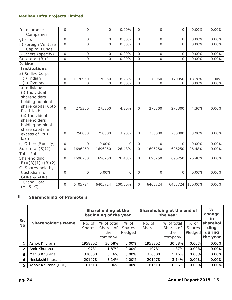| f)<br>Insurance<br>Companies                                                                                                                                                                                | $\Omega$            | $\Omega$         | $\Omega$            | 0.00%           | $\Omega$                        | $\Omega$            | $\Omega$            | 0.00%           | 0.00%             |
|-------------------------------------------------------------------------------------------------------------------------------------------------------------------------------------------------------------|---------------------|------------------|---------------------|-----------------|---------------------------------|---------------------|---------------------|-----------------|-------------------|
| g) FIIs                                                                                                                                                                                                     | $\overline{O}$      | $\mathcal{O}$    | $\Omega$            | 0.00%           | $\overline{O}$                  | $\mathcal{O}$       | $\mathcal{O}$       | 0.00%           | 0.00%             |
| h) Foreign Venture<br>Capital Funds                                                                                                                                                                         | $\overline{O}$      | O                | $\Omega$            | 0.00%           | $\overline{O}$                  | $\mathcal{O}$       | $\Omega$            | 0.00%           | 0.00%             |
| i) Others (specify)                                                                                                                                                                                         | $\overline{O}$      | 0                | 0                   | 0.00%           | $\Omega$                        | $\Omega$            | $\mathcal{O}$       | 0.00%           | 0.00%             |
| Sub-total (B)(1)                                                                                                                                                                                            | $\Omega$            | $\Omega$         | $\Omega$            | 0.00%           | $\Omega$                        | $\Omega$            | $\Omega$            | 0.00%           | 0.00%             |
| 2. Non<br><b>Institutions</b>                                                                                                                                                                               |                     |                  |                     |                 |                                 |                     |                     |                 |                   |
| a) Bodies Corp.<br>(i) Indian<br>(ii) Overseas                                                                                                                                                              | 0<br>$\Omega$       | 1170950<br>0     | 1170950<br>$\Omega$ | 18.28%<br>0.00% | $\mathcal{O}$<br>$\overline{O}$ | 1170950<br>$\Omega$ | 1170950<br>$\Omega$ | 18.28%<br>0.00% | 0.00%<br>$0.00\%$ |
| b) Individuals<br>(i) Individual<br>shareholders<br>holding nominal<br>share capital upto<br>Rs. 1 lakh<br>(ii) Individual<br>shareholders<br>holding nominal<br>share capital in<br>excess of Rs 1<br>lakh | $\mathbf{O}$<br>0   | 275300<br>250000 | 275300<br>250000    | 4.30%<br>3.90%  | $\mathbf{O}$<br>$\overline{O}$  | 275300<br>250000    | 275300<br>250000    | 4.30%<br>3.90%  | 0.00%<br>0.00%    |
| c) Others (Specify)                                                                                                                                                                                         | $\mathcal{O}$       | $\Omega$         | 0.00%               | $\Omega$        | $\mathcal{O}$                   | $\Omega$            | $\Omega$            | 0.00%           | 0.00%             |
| Sub-total $(B)(2)$                                                                                                                                                                                          | $\mathsf{O}\xspace$ | 1696250          | 1696250             | 26.48%          | $\mathcal{O}$                   | 1696250             | 1696250             | 26.48%          | 0.00%             |
| <b>Total Public</b><br>Shareholding<br>$(B) = (B)(1) + (B)(2)$                                                                                                                                              | $\Omega$            | 1696250          | 1696250             | 26.48%          | $\Omega$                        | 1696250             | 1696250             | 26.48%          | 0.00%             |
| C. Shares held by<br>Custodian for<br><b>GDRs &amp; ADRs</b>                                                                                                                                                | $\overline{O}$      | $\mathcal{O}$    | 0.00%               | $\circ$         | $\Omega$                        | $\mathcal{O}$       | $\mathcal{O}$       | 0.00%           | $0.00\%$          |
| <b>Grand Total</b><br>$(A+B+C)$                                                                                                                                                                             | 0                   | 6405724          | 6405724             | 100.00%         | $\overline{O}$                  | 6405724             | 6405724             | 100.00%         | 0.00%             |

#### **ii.** *Shareholding of Promoters*

|                  |                           | Shareholding at the end of<br>Shareholding at the<br>beginning of the year<br>the year |            |               |               |            | $\%$<br>change<br>ın |          |
|------------------|---------------------------|----------------------------------------------------------------------------------------|------------|---------------|---------------|------------|----------------------|----------|
| Sr.<br><b>No</b> | <b>Shareholder's Name</b> | No. of                                                                                 | % of total | % of          | No. of        | % of total | % of                 | sharehol |
|                  |                           | <b>Shares</b>                                                                          | Shares of  | <b>Shares</b> | <b>Shares</b> | Shares of  | <b>Shares</b>        | ding     |
|                  |                           |                                                                                        | the        | Pledged       |               | the        | Pledged              | during   |
|                  |                           |                                                                                        | company    |               |               | company    |                      | the year |
|                  | Ashok Khurana             | 1958802                                                                                | 30.58%     | 0.00%         | 1958802       | 30.58%     | 0.00%                | 0.00%    |
| 2.               | Amit Khurana              | 119781                                                                                 | 1.87%      | 0.00%         | 119781        | 1.87%      | 0.00%                | 0.00%    |
| 3.               | Manju Khurana             | 330300                                                                                 | 5.16%      | $0.00\%$      | 330300        | 5.16%      | 0.00%                | 0.00%    |
| 4.               | Neelakshi Khurana         | 201078                                                                                 | 3.14%      | 0.00%         | 201078        | 3.14%      | 0.00%                | 0.00%    |
| 5.               | Ashok Khurana (HUF)       | 61513                                                                                  | 0.96%      | 0.00%         | 61513         | 0.96%      | 0.00%                | 0.00%    |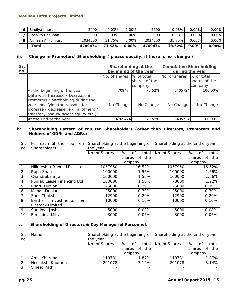| Bindiya Khurana      | 2000    | $0.03\%$ | $0.00\%$ | 2000    | 0.03%  | $0.00\%$ | $0.00\%$ |
|----------------------|---------|----------|----------|---------|--------|----------|----------|
| . Rashika Chauhan    | 2000    | 0.03%    | $0.00\%$ | 2000    | 0.03%  | $0.00\%$ | $0.00\%$ |
| 8. Armaan Amit Trust | 2034000 | 31.75%   | $0.00\%$ | 2034000 | 31.75% | $0.00\%$ | $0.00\%$ |
| Total                | 4709474 | 73.52%   | $0.00\%$ | 4709474 | 73.52% | $0.00\%$ | 0.00%    |

#### **iii.** *Change in Promoters' Shareholding ( please specify, if there is no change )*

| Sr.<br>no |                                                                                                                                                                                            | Shareholding at the<br>beginning of the year |                          | <b>Cumulative Shareholding</b><br>during the year |                          |  |
|-----------|--------------------------------------------------------------------------------------------------------------------------------------------------------------------------------------------|----------------------------------------------|--------------------------|---------------------------------------------------|--------------------------|--|
|           |                                                                                                                                                                                            | No. of shares % of total                     | shares of the<br>company | No. of shares % of total                          | shares of the<br>company |  |
|           | At the beginning of the year                                                                                                                                                               | 4709474                                      | 73.52%                   | 6405724                                           | 100.00%                  |  |
|           | Date wise Increase / Decrease in<br>Promoters Shareholding during the<br>year specifying the reasons for<br>increase / decrease (e.g. allotment /<br>transfer / bonus/ sweat equity etc.): | No Change                                    | No Change                | No Change                                         | No Change                |  |
|           | At the End of the year                                                                                                                                                                     | 4709474                                      | 73.52%                   | 6405724                                           | 100.00%                  |  |

#### **iv.** *Shareholding Pattern of top ten Shareholders (other than Directors, Promoters and Holders of GDRs and ADRs)*

| Sr. | For each of the Top Ten                |               | Shareholding at the beginning of | Shareholding at the end of year |                      |  |
|-----|----------------------------------------|---------------|----------------------------------|---------------------------------|----------------------|--|
| no  | Shareholders                           | the year      |                                  |                                 |                      |  |
|     |                                        | No. of Shares | %<br>of<br>total                 | No. of Shares                   | %<br>of<br>total     |  |
|     |                                        |               | the<br>shares of                 |                                 | shares<br>the<br>of. |  |
|     |                                        |               | Company                          |                                 | Company              |  |
|     | Nillmesh Infrabuild Pvt. Ltd.          | 1057950       | 16.52%                           | 1057950                         | 16.52%               |  |
| 2   | Rupa Shah                              | 100000        | 1.56%                            | 100000                          | 1.56%                |  |
| 3   | Chandrakala Jain                       | 100000        | 1.56%                            | 100000                          | 1.56%                |  |
| 4   | Punjab Lease Financing Ltd             | 100000        | 1.56%                            | 78000                           | 1.22%                |  |
| 5   | Bharti Duhlani                         | 25000         | 0.39%                            | 25000                           | 0.39%                |  |
| 6   | Mohan Duhlani                          | 25000         | 0.39%                            | 25000                           | 0.39%                |  |
|     | Sarit Chokshi                          | 12900         | 0.20%                            | 12900                           | 0.20%                |  |
| 8   | $\mathcal{R}$<br>Eartha<br>Investments | 10000         | 0.16%                            | 10000                           | 0.16%                |  |
|     | <b>Finstock Limited</b>                |               |                                  |                                 |                      |  |
| 9   | Sandhya Joshi                          | 5000          | 0.08%                            | 5000                            | 0.08%                |  |
| 10  | <b>Bimladevi Mittal</b>                | 3000          | 0.05%                            | 3000                            | 0.05%                |  |

#### **v.** *Shareholding of Directors & Key Managerial Personnel:*

| Sr | Name              |               | Shareholding at the beginning of | Shareholding at the end of year |                     |  |
|----|-------------------|---------------|----------------------------------|---------------------------------|---------------------|--|
| no |                   | the year      |                                  |                                 |                     |  |
|    |                   | No. of Shares | %<br>total l<br>0f               | No. of Shares                   | %<br>total<br>0f    |  |
|    |                   |               | 0f<br>the<br>shares              |                                 | the<br>0f<br>shares |  |
|    |                   |               | Company                          |                                 | Company             |  |
|    | Amit Khurana      | 119781        | 1.87%                            | 119781                          | 1.87%               |  |
|    | Neelakshi Khurana | 201078        | 3.14%                            | 201078                          | 3.14%               |  |
|    | Vineet Rathi      | -             | -                                | -                               |                     |  |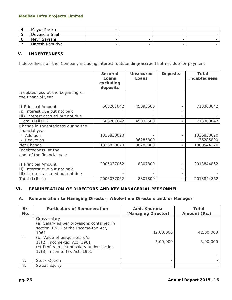| Mayur Parikh    | $\overline{\phantom{0}}$ |   |   |  |
|-----------------|--------------------------|---|---|--|
| Devendra Shah   | -                        |   | - |  |
| Nevil Savjani   | -                        | - | - |  |
| Haresh Kapuriya | $\overline{\phantom{0}}$ |   | - |  |

#### **V. INDEBTEDNESS**

Indebtedness of the Company including interest outstanding/accrued but not due for payment

|                                                                                           | <b>Secured</b><br>Loans | <b>Unsecured</b><br>Loans | <b>Deposits</b> | <b>Total</b><br><b>Indebtedness</b> |
|-------------------------------------------------------------------------------------------|-------------------------|---------------------------|-----------------|-------------------------------------|
|                                                                                           | excluding<br>deposits   |                           |                 |                                     |
| Indebtedness at the beginning of<br>the financial year                                    |                         |                           |                 |                                     |
| i) Principal Amount<br>ii) Interest due but not paid<br>iii) Interest accrued but not due | 668207042               | 45093600                  |                 | 713300642                           |
| Total (i+ii+iii)                                                                          | 668207042               | 45093600                  |                 | 713300642                           |
| Change in Indebtedness during the<br>financial year<br>- Addition<br>Reduction            | 1336830020              | 36285800                  |                 | 1336830020<br>36285800              |
| Net Change                                                                                | 1336830020              | 36285800                  |                 | 1300544220                          |
| Indebtedness at the<br>end of the financial year                                          |                         |                           |                 |                                     |
| i) Principal Amount<br>ii) Interest due but not paid<br>iii) Interest accrued but not due | 2005037062              | 8807800                   |                 | 2013844862                          |
| Total $(i+ii+iii)$                                                                        | 2005037062              | 8807800                   |                 | 2013844862                          |

#### **VI. REMUNERATION OF DIRECTORS AND KEY MANAGERIAL PERSONNEL**

#### *A. Remuneration to Managing Director, Whole-time Directors and/or Manager*

| Sr.<br>No. | <b>Particulars of Remuneration</b>                                                                                                                                                                                                                    | <b>Amit Khurana</b><br>(Managing Director) | <b>Total</b><br>Amount (Rs.) |
|------------|-------------------------------------------------------------------------------------------------------------------------------------------------------------------------------------------------------------------------------------------------------|--------------------------------------------|------------------------------|
| 1.         | Gross salary<br>(a) Salary as per provisions contained in<br>section 17(1) of the Income-tax Act,<br>1961<br>(b) Value of perquisites u/s<br>17(2) Income-tax Act, 1961<br>(c) Profits in lieu of salary under section<br>17(3) Income- tax Act, 1961 | 42,00,000<br>5,00,000                      | 42,00,000<br>5,00,000        |
| 2.         | Stock Option                                                                                                                                                                                                                                          |                                            |                              |
| 3.         | Sweat Equity                                                                                                                                                                                                                                          |                                            |                              |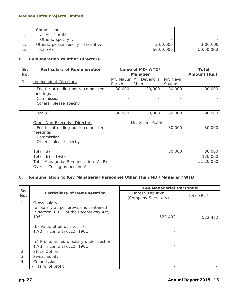|      | Commission<br>- as % of profit     |           |           |
|------|------------------------------------|-----------|-----------|
|      | Others, specify                    |           |           |
| - 5. | Others, please specify - Incentive | 3,00,000  | 3,00,000  |
| 6.   | Total (A)                          | 50,00,000 | 50,00,000 |

### *B. Remuneration to other Directors*

| Sr.<br>No. | <b>Particulars of Remuneration</b>                                                                   | Name of MD/WTD/<br><b>Manager</b> |                      |                      | <b>Total</b><br>Amount (Rs.) |
|------------|------------------------------------------------------------------------------------------------------|-----------------------------------|----------------------|----------------------|------------------------------|
| 1.         | <b>Independent Directors</b>                                                                         | Mr. Mayur<br>Parikh               | Mr. Devendra<br>Shah | Mr. Nevil<br>Savjani |                              |
|            | · Fee for attending board committee<br>meetings<br>Commission<br>Others, please specify<br>$\bullet$ | 30,000                            | 30,000               | 30,000               | 90,000                       |
|            | Total (1)                                                                                            | 30,000                            | 30,000               | 30,000               | 90,000                       |
|            | Other Non-Executive Directors                                                                        |                                   | Mr. Vineet Rathi     |                      |                              |
|            | · Fee for attending board committee<br>meetings<br>Commission<br>Others, please specify              |                                   |                      | 30,000               |                              |
|            | Total $(2)$                                                                                          |                                   |                      | 30,000               | 30,000                       |
|            | Total $(B)=(1+2)$                                                                                    |                                   |                      |                      | 120,000                      |
|            | Total Managerial Remuneration (A+B)                                                                  |                                   |                      |                      | 51,20,000                    |
|            | Overall Ceiling as per the Act                                                                       |                                   |                      |                      |                              |

### *C. Remuneration to Key Managerial Personnel Other Than MD /Manager /WTD*

|            |                                                                                                           | <b>Key Managerial Personnel</b>        |             |  |
|------------|-----------------------------------------------------------------------------------------------------------|----------------------------------------|-------------|--|
| Sr.<br>No. | <b>Particulars of Remuneration</b>                                                                        | Haresh Kapuriya<br>(Company Secretary) | Total (Rs.) |  |
| 1.         | Gross salary<br>(a) Salary as per provisions contained<br>in section 17(1) of the Income-tax Act,<br>1961 | 522,492                                | 522,492     |  |
|            | (b) Value of perquisites u/s<br>17(2) Income-tax Act, 1961                                                |                                        |             |  |
|            | (c) Profits in lieu of salary under section                                                               |                                        |             |  |
|            | 17(3) Income-tax Act, 1961                                                                                |                                        |             |  |
| 2.         | Stock Option                                                                                              |                                        |             |  |
| 3.         | Sweat Equity                                                                                              |                                        |             |  |
| 4.         | Commission<br>as % of profit                                                                              |                                        |             |  |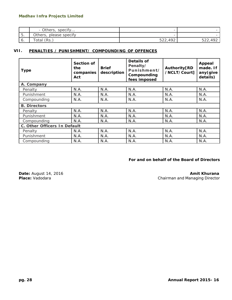|                                | $\sim$ specify<br>- Others, | $\overline{\phantom{0}}$  |                 |
|--------------------------------|-----------------------------|---------------------------|-----------------|
| $\overline{\phantom{0}}$<br>ၪ. | please specify<br>Others,   | -                         |                 |
| U.                             | (Rs.<br>otal                | $\Delta$ 92<br>こつつ<br>ے ے | AO'<br>، ے بے ب |

#### **VII. PENALTIES / PUNISHMENT/ COMPOUNDING OF OFFENCES**

| <b>Type</b>                  | Section of<br>the<br>companies<br>Act | <b>Brief</b><br>description | Details of<br>Penalty/<br>Punishment/<br>Compounding<br>fees imposed | Authority[RD<br>/NCLT/Court] | Appeal<br>made. If<br>any(give<br>details) |  |
|------------------------------|---------------------------------------|-----------------------------|----------------------------------------------------------------------|------------------------------|--------------------------------------------|--|
| A. Company                   |                                       |                             |                                                                      |                              |                                            |  |
| Penalty                      | N.A.                                  | N.A.                        | N.A.                                                                 | N.A.                         | N.A.                                       |  |
| Punishment                   | N.A.                                  | N.A.                        | N.A.                                                                 | N.A.                         | N.A.                                       |  |
| Compounding                  | N.A.                                  | N.A.                        | N.A.                                                                 | N.A.                         | N.A.                                       |  |
| <b>B. Directors</b>          |                                       |                             |                                                                      |                              |                                            |  |
| Penalty                      | N.A.                                  | N.A.                        | N.A.                                                                 | N.A.                         | N.A.                                       |  |
| Punishment                   | N.A.                                  | N.A.                        | N.A.                                                                 | N.A.                         | N.A.                                       |  |
| Compounding                  | N.A.                                  | N.A.                        | N.A.                                                                 | N.A.                         | N.A.                                       |  |
| C. Other Officers In Default |                                       |                             |                                                                      |                              |                                            |  |
| Penalty                      | N.A.                                  | N.A.                        | N.A.                                                                 | N.A.                         | N.A.                                       |  |
| Punishment                   | N.A.                                  | N.A.                        | N.A.                                                                 | N.A.                         | N.A.                                       |  |
| Compounding                  | N.A.                                  | N.A.                        | N.A.                                                                 | N.A.                         | N.A.                                       |  |

#### **For and on behalf of the Board of Directors**

**Date:** August 14, 2016<br> **Place:** Vadodara **Amit Khurana Amit Khurana Amit Khurana Place:** Vadodara **Amit Khurana Amit Shairman** and Managing Director **Chairman and Managing Director**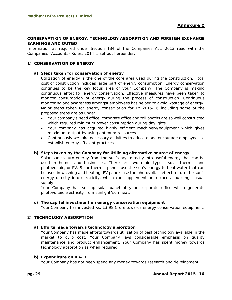#### **CONSERVATION OF ENERGY, TECHNOLOGY ABSORPTION AND FOREIGN EXCHANGE EARNINGS AND OUTGO**

Information as required under Section 134 of the Companies Act, 2013 read with the Companies (Accounts) Rules, 2014 is set out hereunder.

#### **1) CONSERVATION OF ENERGY**

#### **a) Steps taken for conservation of energy**

Utilization of energy is the one of the core area used during the construction. Total cost of construction includes large part of energy consumption. Energy conservation continues to be the key focus area of your Company. The Company is making continuous effort for energy conservation. Effective measures have been taken to monitor consumption of energy during the process of construction. Continuous monitoring and awareness amongst employees has helped to avoid wastage of energy. Major steps taken for energy conservation for FY 2015-16 including some of the proposed steps are as under:

- Your company's head office, corporate office and toll booths are so well constructed which required minimum power consumption during daylights.
- Your company has acquired highly efficient machinery/equipment which gives maximum output by using optimum resources.
- Continuously we take necessary activities to educate and encourage employees to establish energy efficient practices.

#### **b) Steps taken by the Company for Utilizing alternative source of energy**

Solar panels turn energy from the sun's rays directly into useful energy that can be used in homes and businesses. There are two main types: solar thermal and photovoltaic, or PV. Solar thermal panels use the sun's energy to heat water that can be used in washing and heating. PV panels use the photovoltaic effect to turn the sun's energy directly into electricity, which can supplement or replace a building's usual supply.

Your Company has set up solar panel at your corporate office which generate photovoltaic electricity from sunlight/sun heat.

#### **c) The capital investment on energy conservation equipment**

Your Company has invested Rs. 13.98 Crore towards energy conservation equipment.

#### **2) TECHNOLOGY ABSORPTION**

#### **a) Efforts made towards technology absorption**

Your Company has made efforts towards utilization of best technology available in the market to curb cost. Your Company lays considerable emphasis on quality maintenance and product enhancement. Your Company has spent money towards technology absorption as when required.

#### **b) Expenditure on R & D**

Your Company has not been spend any money towards research and development.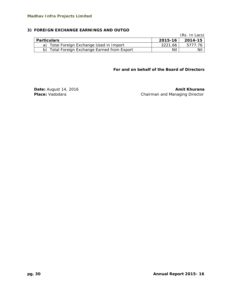#### **3) FOREIGN EXCHANGE EARNINGS AND OUTGO**

|                                              |         | (Rs. In Lacs) |
|----------------------------------------------|---------|---------------|
| <b>Particulars</b>                           | 2015-16 | 2014-15       |
| a) Total Foreign Exchange Used in Import     | 3221.66 | 5777.76       |
| b) Total Foreign Exchange Earned from Export | Nil     | Nil           |

**For and on behalf of the Board of Directors** 

**Date:** August 14, 2016 **Amit Khurana Amit Khurana Place:** Vadodara **Chairman and Managing Director**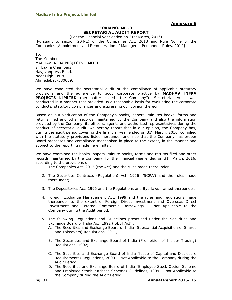#### **Annexure E**

#### **FORM NO. MR -3 SECRETARIAL AUDIT REPORT**

(For the Financial year ended on 31st March, 2016) [Pursuant to section 204(1) of the Companies Act, 2013 and Rule No. 9 of the Companies (Appointment and Remuneration of Managerial Personnel) Rules, 2014]

To,

The Members, MADHAV INFRA PROJECTS LIMITED 24 Laxmi Chembers, Navjivanpress Road, Near High Court, Ahmedabad-380009,

We have conducted the secretarial audit of the compliance of applicable statutory provisions and the adherence to good corporate practice by **MADHAV INFRA PROJECTS LIMITED** (hereinafter called "the Company"). Secretarial Audit was conducted in a manner that provided us a reasonable basis for evaluating the corporate conducts/ statutory compliances and expressing our opinion thereon.

Based on our verification of the Company's books, papers, minutes books, forms and returns filed and other records maintained by the Company and also the information provided by the Company, its officers, agents and authorized representatives during the conduct of secretarial audit, we hereby report that in our opinion, the Company has, during the audit period covering the financial year ended on 31<sup>st</sup> March, 2016, complied with the statutory provisions listed hereunder and also that the Company has proper Board processes and compliance mechanism in place to the extent, in the manner and subject to the reporting made hereinafter:

We have examined the books, papers, minute books, forms and returns filed and other records maintained by the Company, for the financial year ended on 31<sup>st</sup> March, 2016, according to the provisions of:

- 1. The Companies Act, 2013 (the Act) and the rules made thereunder.
- 2. The Securities Contracts (Regulation) Act, 1956 ('SCRA') and the rules made thereunder;
- 3. The Depositories Act, 1996 and the Regulations and Bye-laws framed thereunder;
- 4. Foreign Exchange Management Act, 1999 and the rules and regulations made thereunder to the extent of Foreign Direct Investment and Overseas Direct Investment and External Commercial Borrowings. – Not Applicable to the Company during the Audit period;
- 5. The following Regulations and Guidelines prescribed under the Securities and Exchange Board of India Act, 1992 ('SEBI Act').
	- A. The Securities and Exchange Board of India (Substantial Acquisition of Shares and Takeovers) Regulations, 2011;
	- B. The Securities and Exchange Board of India (Prohibition of Insider Trading) Regulations, 1992;
	- C. The Securities and Exchange Board of India (Issue of Capital and Disclosure Requirements) Regulations, 2009. - Not Applicable to the Company during the Audit Period;
	- D. The Securities and Exchange Board of India (Employee Stock Option Scheme and Employee Stock Purchase Scheme) Guidelines, 1999. - Not Applicable to the Company during the Audit Period;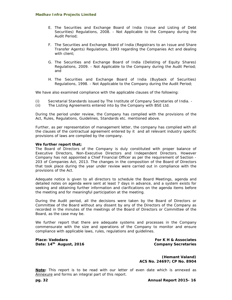- E. The Securities and Exchange Board of India (Issue and Listing of Debt Securities) Regulations, 2008. - Not Applicable to the Company during the Audit Period;
- F. The Securities and Exchange Board of India (Registrars to an Issue and Share Transfer Agents) Regulations, 1993 regarding the Companies Act and dealing with client:
- G. The Securities and Exchange Board of India (Delisting of Equity Shares) Regulations, 2009. - Not Applicable to the Company during the Audit Period; and
- H. The Securities and Exchange Board of India (Buyback of Securities) Regulations, 1998. - Not Applicable to the Company during the Audit Period;

We have also examined compliance with the applicable clauses of the following:

- (i) Secretarial Standards issued by The Institute of Company Secretaries of India. -
- (ii) The Listing Agreements entered into by the Company with BSE Ltd.

During the period under review, the Company has complied with the provisions of the Act, Rules, Regulations, Guidelines, Standards etc. mentioned above.

Further, as per representation of management letter, the company has complied with all the clauses of the contractual agreement entered by it and all relevant industry specific provisions of laws are compiled by the company.

#### **We further report that;**

The Board of Directors of the Company is duly constituted with proper balance of Executive Directors, Non-Executive Directors and Independent Directors. *However Company has not appointed a Chief Financial Officer as per the requirement of Section - 203 of Companies Act, 2013*. The changes in the composition of the Board of Directors that took place during the year under review were carried out in compliance with the provisions of the Act.

Adequate notice is given to all directors to schedule the Board Meetings, agenda and detailed notes on agenda were sent at least 7 days in advance, and a system exists for seeking and obtaining further information and clarifications on the agenda items before the meeting and for meaningful participation at the meeting.

During the Audit period, all the decisions were taken by the Board of Directors or Committee of the Board without any dissent by any of the Directors of the Company as recorded in the minutes of the meetings of the Board of Directors or Committee of the Board, as the case may be.

We further report that there are adequate systems and processes in the Company commensurate with the size and operations of the Company to monitor and ensure compliance with applicable laws, rules, regulations and guidelines.

**Place: Vadodara Date: 14th August, 2016** 

**For K H & Associates Company Secretaries**

**(Hemant Valand) ACS No. 24697; CP No. 8904**

**Note:** This report is to be read with our letter of even date which is annexed as Annexure and forms an integral part of this report.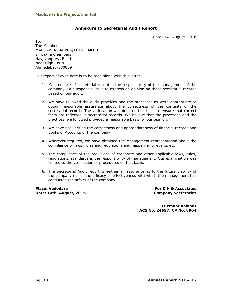## **Annexure to Secretarial Audit Report**

Date: 14<sup>th</sup> August, 2016

To, The Members, MADHAV INFRA PROJECTS LIMITED 24 Laxmi Chembers, Navjivanpress Road, Near High Court, Ahmedabad-380009

Our report of even date is to be read along with this letter.

- 1. Maintenance of secretarial record is the responsibility of the management of the company. Our responsibility is to express an opinion on these secretarial records based on our audit.
- 2. We have followed the audit practices and the processes as were appropriate to obtain reasonable assurance about the correctness of the contents of the secretarial records. The verification was done on test basis to ensure that correct facts are reflected in secretarial records. We believe that the processes and the practices, we followed provided a reasonable basis for our opinion.
- 3. We have not verified the correctness and appropriateness of financial records and Books of Accounts of the company.
- 4. Wherever required, we have obtained the Management representation about the compliance of laws, rules and regulations and happening of events etc.
- 5. The compliance of the provisions of corporate and other applicable laws, rules, regulations, standards is the responsibility of management. Our examination was limited to the verification of procedures on test basis.
- 6. The Secretarial Audit report is neither an assurance as to the future viability of the company nor of the efficacy or effectiveness with which the management has conducted the affairs of the company.

**Place: Vadodara Date: 14th August, 2016** 

**For K H & Associates Company Secretaries**

**(Hemant Valand) ACS No. 24697; CP No. 8904**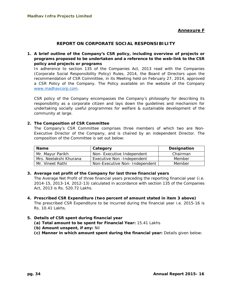## **Annexure F**

## **REPORT ON CORPORATE SOCIAL RESPONSIBILITY**

**1. A brief outline of the Company's CSR policy, including overview of projects or programs proposed to be undertaken and a reference to the web-link to the CSR policy and projects or programs** 

In adherence to section 135 of the Companies Act, 2013 read with the Companies (Corporate Social Responsibility Policy) Rules, 2014, the Board of Directors upon the recommendation of CSR Committee, in its Meeting held on February 27, 2014, approved a CSR Policy of the Company. The Policy available on the website of the Company www.madhavcorp.com.

CSR policy of the Company encompasses the Company's philosophy for describing its responsibility as a corporate citizen and lays down the guidelines and mechanism for undertaking socially useful programmes for welfare & sustainable development of the community at large.

## **2. The Composition of CSR Committee**

The Company's CSR Committee comprises three members of which two are Non-Executive Director of the Company, and is chaired by an independent Director. The composition of the Committee is set out below:

| <b>Name</b>            | Category                      |          |  |  |
|------------------------|-------------------------------|----------|--|--|
| Mr. Mayur Parikh       | Non-Executive Independent     | Chairman |  |  |
| Mrs. Neelakshi Khurana | Executive Non - Independent   | Member   |  |  |
| Mr. Vineet Rathi       | Non-Executive Non-Independent | Member   |  |  |

#### **3. Average net profit of the Company for last three financial years**

The Average Net Profit of three financial years preceding the reporting financial year (i.e. 2014-15, 2013-14, 2012-13) calculated in accordance with section 135 of the Companies Act, 2013 is Rs. 520.72 Lakhs.

**4. Prescribed CSR Expenditure (two percent of amount stated in item 3 above)**  The prescribed CSR Expenditure to be incurred during the financial year i.e. 2015-16 is Rs. 10.41 Lakhs.

#### **5. Details of CSR spent during financial year**

- **(a) Total amount to be spent for Financial Year:** 15.41 Lakhs
- **(b) Amount unspent, if any:** Nil
- **(c) Manner in which amount spent during the financial year:** Details given below: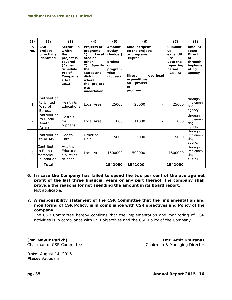| (1)            | (2)                                                | (3)                                                                                                  | (4)                                                                                                     | (5)                                                              | (6)                                                               |                | (7)                                                                              | (8)                                                                                    |
|----------------|----------------------------------------------------|------------------------------------------------------------------------------------------------------|---------------------------------------------------------------------------------------------------------|------------------------------------------------------------------|-------------------------------------------------------------------|----------------|----------------------------------------------------------------------------------|----------------------------------------------------------------------------------------|
| Sr.<br>No.     | <b>CSR</b><br>project<br>or activity<br>identified | <b>Sector</b><br>in<br>which<br>the<br>project is<br>covered<br>(As per<br><b>Schedule</b><br>VII of | Projects or<br>programs<br>1)<br>Local<br>area or<br>other<br>2)<br><b>Specify</b><br>the<br>states and | Amount<br>outlay<br>(budget)<br>project<br>or<br>program<br>wise | <b>Amount spent</b><br>on the projects<br>or programs<br>(Rupees) |                | Cumulati<br>ve<br>expendit<br>ure<br>upto the<br>reporting<br>period<br>(Rupees) | Amount<br>spent<br><b>Direct</b><br><b>or</b><br>through<br>impleme<br>nting<br>agency |
|                |                                                    | Companie<br>s Act<br>2013)                                                                           | district<br>where<br>the project<br>was<br>undertaken                                                   | (Rupees)                                                         | <b>Direct</b><br>expenditure<br>project<br>on<br>or<br>program    | overhead       |                                                                                  |                                                                                        |
| 1              | Contribution<br>to United<br>Way of<br>Baroda      | Health &<br>Educations                                                                               | Local Area                                                                                              | 25000                                                            | 25000                                                             | $\overline{a}$ | 25000                                                                            | through<br>implemen<br>ting<br>agency                                                  |
| $\overline{2}$ | Contribution<br>to Hindu<br>Anath<br>Ashram        | Hostels<br>for<br>orphans                                                                            | Local Area                                                                                              | 11000                                                            | 11000                                                             | $\overline{a}$ | 11000                                                                            | through<br>implemen<br>ting<br>agency                                                  |
| 3              | Contribution I<br>to AIIMS                         | Health<br>Care                                                                                       | Other at<br>Delhi                                                                                       | 5000                                                             | 5000                                                              |                | 5000                                                                             | through<br>implemen<br>ting<br>agency                                                  |
| $\overline{4}$ | Contribution<br>to Rama<br>Memorial<br>Foundation  | Health.<br>Education<br>s & relief<br>to poor                                                        | Local Area                                                                                              | 1500000                                                          | 1500000                                                           | $\overline{a}$ | 1500000                                                                          | through<br>implemen<br>ting<br>agency                                                  |
|                | Total                                              |                                                                                                      |                                                                                                         | 1541000                                                          | 1541000                                                           |                | 1541000                                                                          |                                                                                        |

- **6. In case the Company has failed to spend the two per cent of the average net profit of the last three financial years or any part thereof, the company shall provide the reasons for not spending the amount in its Board report.**  Not applicable.
- **7. A responsibility statement of the CSR Committee that the implementation and monitoring of CSR Policy, is in compliance with CSR objectives and Policy of the company.**

The CSR Committee hereby confirms that the implementation and monitoring of CSR activities is in compliance with CSR objectives and the CSR Policy of the Company.

**(Mr. Mayur Parikh) (Mr. Amit Khurana)**  Chairman of CSR Committee Chairman & Managing Director

**Date:** August 14, 2016 **Place:** Vadodara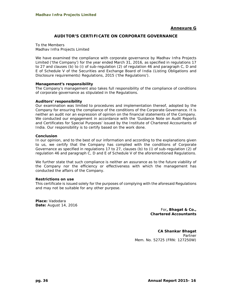#### **Annexure G**

#### **AUDITOR'S CERTIFICATE ON CORPORATE GOVERNANCE**

To the Members Madhav Infra Projects Limited

We have examined the compliance with corporate governance by Madhav Infra Projects Limited ('the Company') for the year ended March 31, 2016, as specified in regulations 17 to 27 and clauses (b) to (i) of sub-regulation (2) of regulation 46 and paragraph C, D and E of Schedule V of the Securities and Exchange Board of India (Listing Obligations and Disclosure requirements) Regulations, 2015 ('the Regulations').

#### **Management's responsibility**

The Company's management also takes full responsibility of the compliance of conditions of corporate governance as stipulated in the Regulations.

#### **Auditors' responsibility**

Our examination was limited to procedures and implementation thereof, adopted by the Company for ensuring the compliance of the conditions of the Corporate Governance. It is neither an audit nor an expression of opinion on the financial statements of the Company. We conducted our engagement in accordance with the 'Guidance Note on Audit Reports and Certificates for Special Purposes' issued by the Institute of Chartered Accountants of India. Our responsibility is to certify based on the work done.

#### **Conclusion**

In our opinion, and to the best of our information and according to the explanations given to us, we certify that the Company has complied with the conditions of Corporate Governance as specified in regulations 17 to 27, clauses (b) to (i) of sub-regulation (2) of regulation 46 and paragraph C, D and E of Schedule V of the aforementioned Regulations.

We further state that such compliance is neither an assurance as to the future viability of the Company nor the efficiency or effectiveness with which the management has conducted the affairs of the Company.

#### **Restrictions on use**

This certificate is issued solely for the purposes of complying with the aforesaid Regulations and may not be suitable for any other purpose.

**Place:** Vadodara **Date:** August 14, 2016

> For**, Bhagat & Co., Chartered Accountants**

**CA Shankar Bhagat**  Partner Mem. No. 52725 (FRN: 127250W)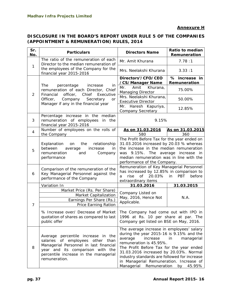# **DISCLOSURE IN THE BOARD'S REPORT UNDER RULE 5 OF THE COMPANIES (APPOINTMENT & REMUNERATION) RULES, 2014**

| Sr.<br>No.     | <b>Particulars</b>                                                                                                                                                                                                | <b>Directors Name</b>                                                                                                                                                                                                                                                                                                                                  | Ratio to median<br>Remuneration             |  |
|----------------|-------------------------------------------------------------------------------------------------------------------------------------------------------------------------------------------------------------------|--------------------------------------------------------------------------------------------------------------------------------------------------------------------------------------------------------------------------------------------------------------------------------------------------------------------------------------------------------|---------------------------------------------|--|
|                | The ratio of the remuneration of each<br>Director to the median remuneration of                                                                                                                                   | Mr. Amit Khurana                                                                                                                                                                                                                                                                                                                                       | 7.78:1                                      |  |
| 1              | the employees of the Company for the<br>financial year 2015-2016                                                                                                                                                  | Mrs. Neelakshi Khurana                                                                                                                                                                                                                                                                                                                                 | 3.33:1                                      |  |
|                |                                                                                                                                                                                                                   | Directors'/CFO/CEO<br>/CS/Manager Name                                                                                                                                                                                                                                                                                                                 | % increase in<br>Remuneration               |  |
| $\overline{2}$ | The<br>percentage<br>increase<br>in<br>remuneration of each Director, Chief<br>Chief<br>Financial<br>officer,<br>Executive                                                                                        | Amit<br>Khurana,<br>Mr.<br><b>Managing Director</b>                                                                                                                                                                                                                                                                                                    | 75.00%                                      |  |
|                | Officer,<br>Company<br>Secretary<br>or<br>Manager if any in the financial year                                                                                                                                    | Mrs. Neelakshi Khurana,<br><b>Executive Director</b>                                                                                                                                                                                                                                                                                                   | 50.00%                                      |  |
|                |                                                                                                                                                                                                                   | Haresh Kapuriya,<br>Mr.<br><b>Company Secretary</b>                                                                                                                                                                                                                                                                                                    | 12.85%                                      |  |
| 3              | Percentage increase in the median<br>remuneration of employees<br>in<br>the<br>financial year 2015-2016                                                                                                           | 9.15%                                                                                                                                                                                                                                                                                                                                                  |                                             |  |
| 4              | Number of employees on the rolls of<br>the Company                                                                                                                                                                | As on 31.03.2016<br>580                                                                                                                                                                                                                                                                                                                                | As on 31.03.2015<br>360                     |  |
| 5              | relationship<br>Explanation<br>the<br>on<br>between<br>increase<br>average<br>in<br>remuneration<br>and<br>Company<br>performance                                                                                 | The Profit Before Tax for the year ended on<br>31.03.2016 increased by 20.03 % whereas<br>the increase in the median remuneration<br>was 9.15%. The average increase in<br>median remuneration was in line with the<br>performance of the Company.                                                                                                     |                                             |  |
| 6              | Comparison of the remuneration of the<br>Key Managerial Personnel against the<br>performance of the Company                                                                                                       | Remuneration of Key Managerial Personnel<br>has increased by 12.85% in comparison to<br>of<br>20.03%<br>rise<br>a<br>extraordinary items                                                                                                                                                                                                               | <b>PBT</b><br>in<br>before                  |  |
|                | Variation In                                                                                                                                                                                                      | 31.03.2016                                                                                                                                                                                                                                                                                                                                             | 31.03.2015                                  |  |
| 7              | Market Price (Rs. Per Share)<br><b>Market Capitalization</b><br>Earnings Per Share (Rs.)<br><b>Price Earning Ration</b>                                                                                           | Company Listed on<br>May, 2016, Hence Not<br>Applicable.                                                                                                                                                                                                                                                                                               | N.A.                                        |  |
|                | % Increase over/ Decrease of Market<br>quotation of shares as compared to last<br>public offer                                                                                                                    | The Company had come out with IPO in<br>1996 at Rs. 10 per share at par. The<br>Company get listed on BSE on May, 2016.                                                                                                                                                                                                                                |                                             |  |
| 8              | Average percentile increase in the<br>of employees other than<br>salaries<br>Managerial Personnel in last financial<br>year and its comparison with the<br>percentile increase in the managerial<br>remuneration. | The average increase in employees' salary<br>during the year 2015-16 is 9.15% and the<br>average<br>increase<br>remuneration is 45.95%.<br>The Profit Before Tax for the year ended<br>31.03.2016 increased by 20.03%. Normal<br>industry standards are followed for increase<br>in Managerial Remuneration. Increase of<br>Managerial<br>Remuneration | $\mathsf{in}$<br>managerial<br>by<br>45.95% |  |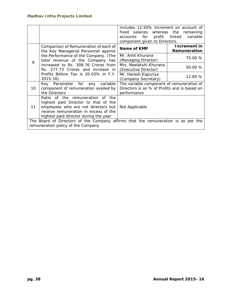|    |                                                                                   | includes 12.50% increment on account of      |                    |  |  |  |
|----|-----------------------------------------------------------------------------------|----------------------------------------------|--------------------|--|--|--|
|    |                                                                                   | salaries whereas the<br>fixed                | remaining          |  |  |  |
|    |                                                                                   | for<br>profit<br>accounts                    | linked<br>variable |  |  |  |
|    |                                                                                   | component given to Directors.                |                    |  |  |  |
|    | Comparison of Remuneration of each of                                             | Name of KMP                                  | Increment in       |  |  |  |
|    | the Key Managerial Personnel against                                              |                                              | Remuneration       |  |  |  |
|    | the Performance of the Company. (The                                              | Mr. Amit Khurana                             |                    |  |  |  |
| 9  | total revenue of the Company has                                                  | (Managing Director)                          | 75.00 %            |  |  |  |
|    | increased to Rs. 308.76 Crores from                                               | Mrs. Neelakshi Khurana                       |                    |  |  |  |
|    | Rs. 277.73 Crores and increase in                                                 | (Executive Director)                         | 50.00 %            |  |  |  |
|    | Profits Before Tax is 20.03% in F.Y.                                              | Mr. Haresh Kapuriya                          |                    |  |  |  |
|    | 2015-16)                                                                          | (Company Secretary)                          | 12.85 %            |  |  |  |
|    | Key<br>Parameter for any<br>variable                                              | The variable component of remuneration of    |                    |  |  |  |
| 10 | component of remuneration availed by                                              | Directors is as % of Profits and is based on |                    |  |  |  |
|    | the Directors                                                                     | performance                                  |                    |  |  |  |
|    | Ratio of the remuneration of the                                                  |                                              |                    |  |  |  |
|    | highest paid Director to that of the                                              |                                              |                    |  |  |  |
| 11 | employees who are not directors but                                               | Not Applicable                               |                    |  |  |  |
|    | receive remuneration in excess of the                                             |                                              |                    |  |  |  |
|    | highest paid director during the year                                             |                                              |                    |  |  |  |
|    | The Board of Directors of the Company affirms that the remuneration is as per the |                                              |                    |  |  |  |
|    | remuneration policy of the Company.                                               |                                              |                    |  |  |  |
|    |                                                                                   |                                              |                    |  |  |  |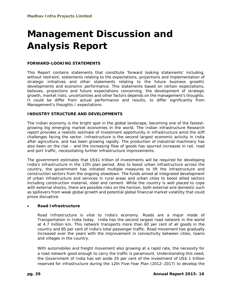# **Management Discussion and Analysis Report**

## **FORWARD-LOOKING STATEMENTS**

This Report contains statements that constitute 'forward looking statements' including, without restraint, statements relating to the expectations, projections and implementation of strategic initiatives and other statements relating to the future business growth/ developments and economic performance. This statements based on certain expectations, believes, projections and future expectations concerning, the development of strategic growth, market risks, uncertainties and other factors depends on the management's thoughts. It could be differ from actual performance and results, to differ significantly from Management's thoughts / expectations.

## **INDUSTRY STRUCTURE AND DEVELOPMENTS**

The Indian economy is the bright spot in the global landscape, becoming one of the fastestgrowing big emerging market economies in the world. The Indian infrastructure Research report provides a realistic estimate of investment opportunity in infrastructure amid the stiff challenges facing the sector. Infrastructure is the second largest economic activity in India after agriculture, and has been growing rapidly. The production of industrial machinery has also been on the rise – and the increasing flow of goods has spurred increases in rail, road and port traffic, necessitating further infrastructure improvements.

The government estimates that US\$1 trillion of investments will be required for developing India's infrastructure in the 12th plan period. Also to boost urban infrastructure across the country, the government has initiated multiple measures to lift the infrastructure and construction sectors from the ongoing slowdown. The funds aimed at integrated development of urban infrastructure and services in rural areas and urban cities to boost allied sectors including construction material, steel and cement. While the country is well placed to cope with external shocks, there are possible risks on the horizon, both external and domestic such as spillovers from weak global growth and potential global financial market volatility that could prove disruptive.

## **Road Infrastructure**

Road Infrastructure is vital to India's economy. Roads are a major mode of Transportation in India today. India has the second largest road network in the world at 4.7 million km. This network transports more than 60 per cent of all goods in the country and 85 per cent of India's total passenger traffic. Road movement has gradually increased over the years with the improvement in connectivity between cities, towns and villages in the country.

With automobiles and freight movement also growing at a rapid rate, the necessity for a road network good enough to carry the traffic is paramount. Understanding this need, the Government of India has set aside 20 per cent of the investment of US\$ 1 trillion reserved for infrastructure during the 12th Five-Year Plan (2012–2017) to develop the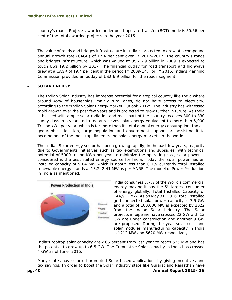country's roads. Projects awarded under build-operate-transfer (BOT) mode is 50.56 per cent of the total awarded projects in the year 2015.

The value of roads and bridges infrastructure in India is projected to grow at a compound annual growth rate (CAGR) of 17.4 per cent over FY 2012–2017. The country's roads and bridges infrastructure, which was valued at US\$ 6.9 billion in 2009 is expected to touch US\$ 19.2 billion by 2017. The financial outlay for road transport and highways grew at a CAGR of 19.4 per cent in the period FY 2009-14. For FY 2016, India's Planning Commission provided an outlay of US\$ 6.9 billion for the roads segment.

## **SOLAR ENERGY**

The Indian Solar Industry has immense potential for a tropical country like India where around 45% of households, mainly rural ones, do not have access to electricity, according to the "Indian Solar Energy Market Outlook 2012". The industry has witnessed rapid growth over the past few years and is projected to grow further in future. As India is blessed with ample solar radiation and most part of the country receives 300 to 330 sunny days in a year. India today receives solar energy equivalent to more than 5,000 Trillion kWh per year, which is far more than its total annual energy consumption. India's geographical location, large population and government support are assisting it to become one of the most rapidly emerging solar energy markets in the world.

The Indian Solar energy sector has been growing rapidly, in the past few years, majority due to Governments initiatives such as tax exemptions and subsidies, with technical potential of 5000 trillion KWh per year to minimize the operating cost, solar power is considered is the best suited energy source for India. Today the Solar power has an installed capacity of 9.84 MW which is about less than 0.1% currently total installed renewable energy stands at 13,242.41 MW as per MNRE. The model of Power Production in India as mentioned:



India consumes 3.7% of the World's commercial energy making it has the 5<sup>th</sup> largest consumer of energy globally. Total Installed Capacity of 144,912 MW. As on May 31, 2016, total installed grid connected solar power capacity is 7.5 GW and a total of 100,000 MW is expected by 2022 from the Indian Solar Industry. The Solar projects in pipeline have crossed 22 GW with 13 GW are under construction and another 9 GW are proposed. During the year solar cells and solar modules manufacturing capacity in India is 1212 MW and 5620 MW respectively.

India's rooftop solar capacity grew 66 percent from last year to reach 525 MW and has the potential to grow up to 6.5 GW. The Cumulative Solar capacity in India has crossed 4 GW as of June, 2016.

Many states have started promoted Solar based applications by giving incentives and tax savings. In order to boost the Solar Industry state like Gujarat and Rajasthan have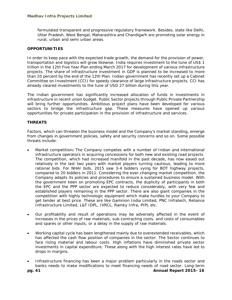formulated transparent and progressive regulatory framework. Besides, state like Delhi, Uttar Pradesh, West Bengal, Maharashtra and Chandigarh are promoting solar energy in rural, urban and semi urban areas.

## **OPPORTUNITIES**

In order to keep pace with the expected trade growth, the demand for the provision of power, transportation and logistics will grow likewise. India requires investment to the tune of US\$ 1 trillion in the 12th Five Year Plan ending March 2017 for development of various infrastructure projects. The share of infrastructure investment in GDP is planned to be increased to more than 10 percent by the end of the 12th Plan. Indian government has recently set up a Cabinet Committee on Investment (CCI) for speedy clearance of large infrastructure projects. CCI has already cleared investments to the tune of USD 27 billion during this year.

The Indian government has significantly increased allocation of funds in investments in infrastructure in recent union budget. Public Sector projects through Public Private Partnership will bring further opportunities. Ambitious project plans have been developed for various sectors to bridge the infrastructure gap. These measures have opened up various opportunities for private participation in the provision of infrastructure and services.

#### **THREATS**

Factors, which can threaten the business model and the Company's market standing, emerge from changes in government policies, safety and security concerns and so on. Some possible threats include:

- Market competition**:** The Company competes with a number of Indian and international infrastructure operators in acquiring concessions for both new and existing road projects. The competition, which had increased manifold in the past decade, has now eased out relatively in the last two years with market players turning cautious, leading to more rational bids. For NHAI bids, 2015 saw 3-4 bidders vying for BOT highway projects, compared to 20 bidders in 2011. Considering the ever-changing market competition, the Company adapts its policies and procedures to ensure a sustained business model. With the government keen on promoting EPC contracts, the duplicity of participants in both the EPC and the PPP sector are expected to reduce considerably, with very few and established players remaining in the PPP sector. There are also giant companies in the competition with highly technologic equipment which make hurdles to your Company to get tender at best price. These are like Gammon India Limited, PNC Infratech, Reliance Infrastructure Limited, L&T IDPL, IVRCL, Ramky Infra, PIPL etc.
- Our profitability and result of operations may be adversely affected in the event of increases in the prices of raw materials, sub-contracting costs, and costs of consumables and spares or other inputs, or a delay in the supply of raw materials.
- Working capital cycle has been lengthened mainly due to overextended receivables, which has affected the cash flow position of companies in the sector. The Sector continues to face rising material and labour costs. High inflations have diminished private sector investments in capital expenditure. These along with the high interest rates have led to drops in margins.
- Infrastructure financing has been a major problem particularly in the roads sector and banks needs to make modifications to meet financing needs of road sector. Long-term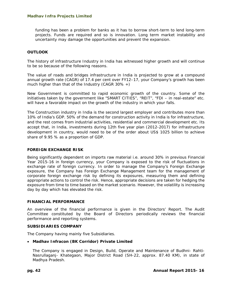funding has been a problem for banks as it has to borrow short-term to lend long-term projects. Funds are required and so is innovation. Long term market instability and uncertainty may damage the opportunities and prevent the expansion.

## **OUTLOOK**

The history of infrastructure Industry in India has witnessed higher growth and will continue to be so because of the following reasons.

The value of roads and bridges infrastructure in India is projected to grow at a compound annual growth rate (CAGR) of 17.4 per cent over FY12–17, your Company's growth has been much higher than that of the Industry (CAGR  $30\%$  +)

New Government is committed to rapid economic growth of the country. Some of the initiatives taken by the government like "SMART CITIES", "REIT", "FDI – in real-estate" etc. will have a favorable impact on the growth of the industry in which your falls.

The Construction industry in India is the second largest employer and contributes more than 10% of India's GDP. 50% of the demand for construction activity in India is for infrastructure, and the rest comes from industrial activities, residential and commercial development etc. Its accept that, in India, investments during 12th five year plan (2012-2017) for infrastructure development in country, would need to be of the order about US\$ 1025 billion to achieve share of 9.95 % as a proportion of GDP.

#### **FOREIGN EXCHANGE RISK**

Being significantly dependent on imports raw material i.e. around 30% in previous Financial Year 2015-16 in foreign currency, your Company is exposed to the risk of fluctuations in exchange rate of foreign currency. In order to manage the Company's Foreign Exchange exposure, the Company has Foreign Exchange Management team for the management of corporate foreign exchange risk by defining its exposures, measuring them and defining appropriate actions to control the risk. Hence, appropriate decisions are taken for hedging the exposure from time to time based on the market scenario. However, the volatility is increasing day by day which has elevated the risk.

#### **FINANCIAL PERFORMANCE**

An overview of the financial performance is given in the Directors' Report. The Audit Committee constituted by the Board of Directors periodically reviews the financial performance and reporting systems.

#### **SUBSIDIARIES COMPANY**

The Company having mainly five Subsidiaries.

## *Madhav Infracon (BK Corridor) Private Limited*

The Company is engaged in Design, Build, Operate and Maintenance of Budhni- Rahti-Nasrullaganj- Khategaon, Major District Road (SH-22, approx. 87.40 KM), in state of Madhya Pradesh.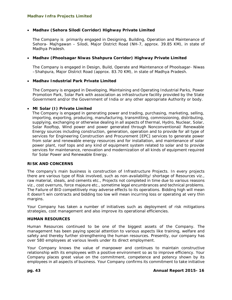## *Madhav (Sehora Silodi Corridor) Highway Private Limited*

The Company is primarily engaged in Designing, Building, Operation and Maintenance of Sehora- Majhgawan – Silodi, Major District Road (NH-7, approx. 39.85 KM), in state of Madhya Pradesh.

## *Madhav (Phoolsagar Niwas Shahpura Corridor) Highway Private Limited*

The Company is engaged in Design, Build, Operate and Maintenance of Phoolsagar- Niwas –Shahpura, Major District Road (approx. 83.70 KM), in state of Madhya Pradesh.

## *Madhav Industrial Park Private Limited*

The Company is engaged in Developing, Maintaining and Operating Industrial Parks, Power Promotion Park, Solar Park with association as infrastructure facility provided by the State Government and/or the Government of India or any other appropriate Authority or body.

#### *MI Solar (I) Private Limited*

The Company is engaged in generating power and trading, purchasing, marketing, selling, importing, exporting, producing, manufacturing, transmitting, commissioning, distributing, supplying, exchanging or otherwise dealing in all aspects of thermal, Hydro, Nuclear, Solar, Solar Rooftop, Wind power and power generated through Nonconventional/ Renewable Energy sources including construction, generation, operation and to provide for all type of services for Engineering Construction and Procurement [EPC] services to generate power from solar and renewable energy resources and for installation, and maintenance of solar power plant, roof tops and any kind of equipment system related to solar and to provide services for maintenance, renovation and modernization of all kinds of equipment required for Solar Power and Renewable Energy.

## **RISK AND CONCERNS**

The company's main business is construction of Infrastructure Projects. In every projects there are various type of Risk involved, such as non-availability/ shortage of Resources viz., raw material, steals, and cements etc., Projects not completed in time due to various reasons viz., cost overruns, force majeure etc., sometime legal encumbrances and technical problems. The Failure of BID competitively may adverse effects to its operations. Bidding high will mean it doesn't win contracts and bidding too low will mean incurring loss or operating at very thin margins.

Your Company has taken a number of initiatives such as deployment of risk mitigations strategies, cost management and also improve its operational efficiencies.

#### **HUMAN RESOURCES**

Human Resources continued to be one of the biggest assets of the Company. The management has been paying special attention to various aspects like training, welfare and safety and thereby further strengthening the human resources. Presently, our company has over 580 employees at various levels under its direct employment.

Your Company knows the value of manpower and continues to maintain constructive relationship with its employees with a positive environment so as to improve efficiency. Your Company places great value on the commitment, competence and potency shown by its employees in all aspects of business. Your Company confirms its commitment to take initiative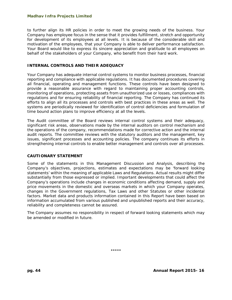to further align its HR policies in order to meet the growing needs of the business. Your Company has employee focus in the sense that it provides fulfillment, stretch and opportunity for development of its employees at all levels. It is because of the considerable skill and motivation of the employees, that your Company is able to deliver performance satisfaction. Your Board would like to express its sincere appreciation and gratitude to all employees on behalf of the stakeholders of your Company, who benefit from their hard work.

#### **INTERNAL CONTROLS AND THEIR ADEQUACY**

Your Company has adequate internal control systems to monitor business processes, financial reporting and compliance with applicable regulations. It has documented procedures covering all financial, operating and management functions. These controls have been designed to provide a reasonable assurance with regard to maintaining proper accounting controls, monitoring of operations, protecting assets from unauthorized use or losses, compliances with regulations and for ensuring reliability of financial reporting. The Company has continued its efforts to align all its processes and controls with best practices in these areas as well. The systems are periodically reviewed for identification of control deficiencies and formulation of time bound action plans to improve efficiency at all the levels.

The Audit committee of the Board reviews internal control systems and their adequacy, significant risk areas, observations made by the internal auditors on control mechanism and the operations of the company, recommendations made for corrective action and the internal audit reports. The committee reviews with the statutory auditors and the management, key issues, significant processes and accounting policies. The company continues its efforts in strengthening internal controls to enable better management and controls over all processes.

#### **CAUTIONARY STATEMENT**

Some of the statements in this Management Discussion and Analysis, describing the Company's objectives, projections, estimates and expectations may be 'forward looking statements' within the meaning of applicable Laws and Regulations. Actual results might differ substantially from those expressed or implied. Important developments that could affect the Company's operations include changes in economic conditions affecting demand, supply and price movements in the domestic and overseas markets in which your Company operates, changes in the Government regulations, Tax Laws and other Statutes or other incidental factors. Market data and products information contained in this Report have been based on information accumulated from various published and unpublished reports and their accuracy, reliability and completeness cannot be assured.

The Company assumes no responsibility in respect of forward looking statements which may be amended or modified in future.

\*\*\*\*\*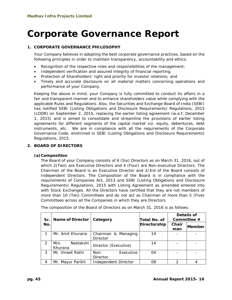# **Corporate Governance Report**

## **1. CORPORATE GOVERNANCE PHILOSOPHY**

Your Company believes in adopting the best corporate governance practices, based on the following principles in order to maintain transparency, accountability and ethics:

- Recognition of the respective roles and responsibilities of the management;
- Independent verification and assured integrity of financial reporting;
- Protection of Shareholders' right and priority for investor relations; and
- Timely and accurate disclosure on all material matters concerning operations and performance of your Company.

Keeping the above in mind, your Company is fully committed to conduct its affairs in a fair and transparent manner and to enhance shareholders value while complying with the applicable Rules and Regulations. Also, the Securities and Exchange Board of India (SEBI) has notified SEBI (Listing Obligations and Disclosure Requirements) Regulations, 2015 (LODR) on September 2, 2015, replacing the earlier listing agreement (w.e.f. December 1, 2015) and is aimed to consolidate and streamline the provisions of earlier listing agreements for different segments of the capital market viz. equity, debentures, debt instruments, etc. We are in compliance with all the requirements of the Corporate Governance Code, enshrined in SEBI (Listing Obligations and Disclosure Requirements) Regulations, 2015.

## **2. BOARD OF DIRECTORS**

## **(a)Composition**

The Board of your Company consists of 6 (Six) Directors as on March 31, 2016, out of which 2(Two) are Executive Directors and 4 (Four) are Non-executive Directors. The Chairman of the Board is an Executive Director and 2/3rd of the Board consists of Independent Directors. The Composition of the Board is in compliance with the requirements of Companies Act, 2013 and SEBI (Listing Obligations and Disclosure Requirements) Regulations, 2015 with Listing Agreement as amended entered into with Stock Exchanges. All the Directors have certified that they are not members of more than 10 (Ten) Committees and do not act as Chairman of more than 5 (Five) Committees across all the Companies in which they are Directors.

| Sr.           | <b>Name of Director</b> | Category             | Total No. of | Details of<br>Committee # |               |
|---------------|-------------------------|----------------------|--------------|---------------------------|---------------|
| No.           |                         |                      | Directorship | Chair                     | <b>Member</b> |
|               |                         |                      |              | man                       |               |
|               | Mr. Amit Khurana        | Chairman & Managing  | 14           |                           |               |
|               |                         | Director             |              |                           |               |
| $\mathcal{P}$ | Neelakshi<br>Mrs.       | Director (Executive) | 14           |                           |               |
|               | Khurana                 |                      |              |                           |               |
| 3             | Mr. Vineet Rathi        | Executive<br>Non-    | 04           |                           |               |
|               |                         | <b>Director</b>      |              |                           |               |
| 4             | Mr. Mayur Parikh        | Independent Director | 08           | っ                         |               |

The composition of the Board of Directors as on March 31, 2016 is as follows: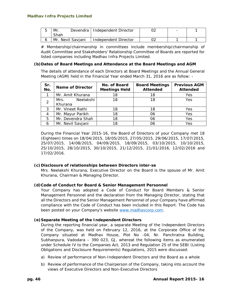| Mr.               | Devendra   Independent Director | - |  |
|-------------------|---------------------------------|---|--|
| Shah              |                                 |   |  |
| Mr. Nevil Saviani | Independent Director            |   |  |

# Membership/chairmanship in committees include membership/chairmanship of Audit Committee and Stakeholders' Relationship Committee of Boards are reported for listed companies including Madhav Infra Projects Limited.

## **(b)Dates of Board Meetings and Attendance at the Board Meetings and AGM**

The details of attendance of each Directors at Board Meetings and the Annual General Meeting (AGM) held in the Financial Year ended March 31, 2016 are as follow: -

| Sr.<br>No.     | <b>Name of Director</b>      | No. of Board<br><b>Meetings Held</b> | <b>Board Meetings</b><br><b>Attended</b> | <b>Previous AGM</b><br><b>Attended</b> |
|----------------|------------------------------|--------------------------------------|------------------------------------------|----------------------------------------|
|                | Mr. Amit Khurana             | 18                                   | 18                                       | Yes                                    |
| $\mathcal{P}$  | Neelakshi<br>Mrs.<br>Khurana | 18                                   | 18                                       | Yes                                    |
| 3              | Mr. Vineet Rathi             | 18                                   | 18                                       | Yes                                    |
| $\overline{4}$ | Mr. Mayur Parikh             | 18                                   | 06                                       | Yes                                    |
| 5              | Mr. Devendra Shah            | 18                                   | 06                                       | Yes                                    |
| 6              | Mr. Nevil Savjani            | 18                                   | 06                                       | Yes                                    |

During the Financial Year 2015-16, the Board of Directors of your Company met 18 (Eighteen) times on 18/04/2015, 18/05/2015, 27/05/2015, 29/06/2015, 17/07/2015, 25/07/2015, 14/08/2015, 04/09/2015, 18/09/2015, 03/10/2015, 10/10/2015, 25/10/2015, 28/10/2015, 30/10/2015, 21/12/2015, 21/01/2016, 12/02/2016 and 17/02/2016.

## **(c)Disclosure of relationships between Directors inter-se**

Mrs. Neelakshi Khurana, Executive Director on the Board is the spouse of Mr. Amit Khurana, Chairman & Managing Director.

## **(d)Code of Conduct for Board & Senior Management Personnel**

Your Company has adopted a Code of Conduct for Board Members & Senior Management Personnel and the declaration from the Managing Director, stating that all the Directors and the Senior Management Personnel of your Company have affirmed compliance with the Code of Conduct has been included in this Report. The Code has been posted on your Company's website www.madhavcorp.com.

## **(e)Separate Meeting of the Independent Directors**

During the reporting financial year, a separate Meeting of the Independent Directors of the Company, was held on February 12, 2016, at the Corporate Office of the Company situated at Madhav House, Plot No -04, Nr. Panchratna Building, Subhanpura, Vadodara – 390 023, GJ, whereat the following items as enumerated under Schedule IV to the Companies Act, 2013 and Regulation 25 of the SEBI (Listing Obligations and Disclosure Requirements) Regulations, 2015 were discussed:

- a) Review of performance of Non-Independent Directors and the Board as a whole
- b) Review of performance of the Chairperson of the Company, taking into account the views of Executive Directors and Non-Executive Directors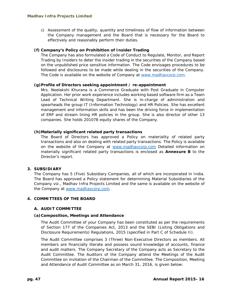c) Assessment of the quality, quantity and timeliness of flow of information between the Company management and the Board that is necessary for the Board to effectively and reasonably perform their duties.

## **(f) Company's Policy on Prohibition of Insider Trading**

The Company has also formulated a Code of Conduct to Regulate, Monitor, and Report Trading by Insiders to deter the insider trading in the securities of the Company based on the unpublished price sensitive information. The Code envisages procedures to be followed and disclosures to be made while dealing in the securities of the Company. The Code is available on the website of Company at www.madhavcorp.com.

## **(g)Profile of Directors seeking appointment / re-appointment**

Mrs. Neelakshi Khurana is a Commerce Graduate with Post Graduate in Computer Application. Her prior work experience includes working based software firm as a Team Lead of Technical Writing Department. She is in-charge of administration and spearheads the group IT (Information Technology) and HR Policies. She has excellent management and information skills and has been the driving force in implementation of ERP and stream lining HR policies in the group. She is also director of other 13 companies. She holds 201078 equity shares of the Company.

## **(h)Materially significant related party transactions**

The Board of Directors has approved a Policy on materiality of related party transactions and also on dealing with related party transactions. The Policy is available on the website of the Company at www.madhavcorp.com Detailed information on materially significant related party transactions is enclosed as *Annexure B* to the Director's report.

## **3. SUBSIDIARY**

The Company has 5 (Five) Subsidiary Companies, all of which are incorporated in India. The Board has approved a Policy statement for determining Material Subsidiaries of the Company *viz*., Madhav Infra Projects Limited and the same is available on the website of the Company at www.madhavcorp.com.

## **4. COMMITTEES OF THE BOARD**

## **A. AUDIT COMMITTEE**

## **(a)Composition, Meetings and Attendance**

The Audit Committee of your Company has been constituted as per the requirements of Section 177 of the Companies Act, 2013 and the SEBI (Listing Obligations and Disclosure Requirements) Regulations, 2015 (specified in Part C of Schedule II).

The Audit Committee comprises 3 (Three) Non-Executive Directors as members. All members are financially literate and possess sound knowledge of accounts, finance and audit matters. The Company Secretary of the Company acts as Secretary to the Audit Committee. The Auditors of the Company attend the Meetings of the Audit Committee on invitation of the Chairman of the Committee. The Composition, Meeting and Attendance of Audit Committee as on March 31, 2016, is given below: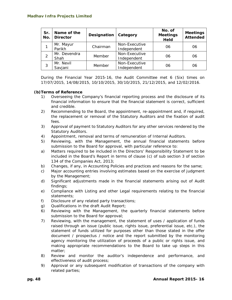| Sr.<br>No. | Name of the<br><b>Director</b> | Designation | Category                     | No. of<br><b>Meetings</b><br><b>Held</b> | <b>Meetings</b><br><b>Attended</b> |
|------------|--------------------------------|-------------|------------------------------|------------------------------------------|------------------------------------|
|            | Mr. Mayur<br>Parikh            | Chairman    | Non-Executive<br>Independent | 06                                       | 06                                 |
| 2          | Mr. Devendra<br>Shah           | Member      | Non-Executive<br>Independent | 06                                       | 06                                 |
|            | Mr. Nevil<br>Savjani           | Member      | Non-Executive<br>Independent | 06                                       | 06                                 |

During the Financial Year 2015-16, the Audit Committee met 6 (Six) times on 17/07/2015, 14/08/2015, 10/10/2015, 30/10/2015, 21/12/2015, and 12/02/2016.

## **(b)Terms of Reference**

- 1) Overseeing the Company's financial reporting process and the disclosure of its financial information to ensure that the financial statement is correct, sufficient and credible.
- 2) Recommending to the Board, the appointment, re-appointment and, if required, the replacement or removal of the Statutory Auditors and the fixation of audit fees.
- 3) Approval of payment to Statutory Auditors for any other services rendered by the Statutory Auditors.
- 4) Appointment, removal and terms of remuneration of Internal Auditors.
- 5) Reviewing, with the Management, the annual financial statements before submission to the Board for approval, with particular reference to:
- a) Matters required to be included in the Directors' Responsibility Statement to be included in the Board's Report in terms of clause (c) of sub section 3 of section 134 of the Companies Act, 2013;
- b) Changes, if any, in Accounting Policies and practices and reasons for the same;
- c) Major accounting entries involving estimates based on the exercise of judgment by the Management;
- d) Significant adjustments made in the financial statements arising out of Audit findings;
- e) Compliance with Listing and other Legal requirements relating to the financial statements;
- f) Disclosure of any related party transactions;
- g) Qualifications in the draft Audit Report;
- 6) Reviewing with the Management, the quarterly financial statements before submission to the Board for approval;
- 7) Reviewing, with the management, the statement of uses / application of funds raised through an issue (public issue, rights issue, preferential issue, etc.), the statement of funds utilized for purposes other than those stated in the offer document / prospectus / notice and the report submitted by the monitoring agency monitoring the utilization of proceeds of a public or rights issue, and making appropriate recommendations to the Board to take up steps in this matter;
- 8) Review and monitor the auditor's independence and performance, and effectiveness of audit process;
- 9) Approval or any subsequent modification of transactions of the company with related parties;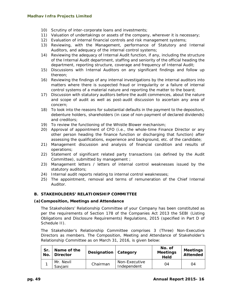- 10) Scrutiny of inter-corporate loans and investments;
- 11) Valuation of undertakings or assets of the company, wherever it is necessary;
- 12) Evaluation of internal financial controls and risk management systems;
- 13) Reviewing, with the Management, performance of Statutory and Internal Auditors, and adequacy of the internal control systems;
- 14) Reviewing the adequacy of Internal Audit function, if any, including the structure of the Internal Audit department, staffing and seniority of the official heading the department, reporting structure, coverage and frequency of Internal Audit;
- 15) Discussions with Internal Auditors on any significant findings and follow up thereon;
- 16) Reviewing the findings of any internal investigations by the internal auditors into matters where there is suspected fraud or irregularity or a failure of internal control systems of a material nature and reporting the matter to the board;
- 17) Discussion with statutory auditors before the audit commences, about the nature and scope of audit as well as post-audit discussion to ascertain any area of concern;
- 18) To look into the reasons for substantial defaults in the payment to the depositors, debenture holders, shareholders (in case of non-payment of declared dividends) and creditors;
- 19) To review the functioning of the Whistle Blower mechanism;
- 20) Approval of appointment of CFO (i.e., the whole-time Finance Director or any other person heading the finance function or discharging that function) after assessing the qualifications, experience and background, etc. of the candidate;
- 21) Management discussion and analysis of financial condition and results of operations;
- 22) Statement of significant related party transactions (as defined by the Audit Committee), submitted by management ;
- 23) Management letters / letters of internal control weaknesses issued by the statutory auditors;
- 24) Internal audit reports relating to internal control weaknesses;
- 25) The appointment, removal and terms of remuneration of the Chief Internal Auditor.

## **B. STAKEHOLDERS' RELATIONSHIP COMMITTEE**

#### **(a)Composition, Meetings and Attendance**

The Stakeholders' Relationship Committee of your Company has been constituted as per the requirements of Section 178 of the Companies Act 2013 the SEBI (Listing Obligations and Disclosure Requirements) Regulations, 2015 (specified in Part D of Schedule II).

The Stakeholder's Relationship Committee comprises 3 (Three) Non-Executive Directors as members. The Composition, Meeting and Attendance of Stakeholder's Relationship Committee as on March 31, 2016, is given below:

| Sr.<br>No. | Name of the<br><b>Director</b> | Designation   Category |                              | No. of<br><b>Meetings</b><br><b>Held</b> | <b>Meetings</b><br>Attended |
|------------|--------------------------------|------------------------|------------------------------|------------------------------------------|-----------------------------|
|            | Mr. Nevil<br>Savjani           | Chairman               | Non-Executive<br>Independent | 04                                       | 04                          |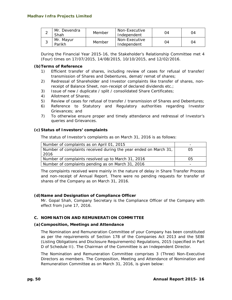|   | Mr. Devendra<br>Shah | Member | Non-Executive<br>Independent | Ω4 | 04 |
|---|----------------------|--------|------------------------------|----|----|
| ີ | Mr. Mayur<br>Parikh  | Member | Non-Executive<br>Independent | ገ4 | 94 |

During the Financial Year 2015-16, the Stakeholder's Relationship Committee met 4 (Four) times on 17/07/2015, 14/08/2015, 10/10/2015, and 12/02/2016.

#### **(b)Terms of Reference**

- 1) Efficient transfer of shares, including review of cases for refusal of transfer/ transmission of Shares and Debentures, demat/ remat of shares;
- 2) Redressal of Shareholder and Investor complaints like transfer of shares, nonreceipt of Balance Sheet, non-receipt of declared dividends etc.;
- 3) Issue of new / duplicate / split / consolidated Share Certificates;
- 4) Allotment of Shares;
- 5) Review of cases for refusal of transfer / transmission of Shares and Debentures;
- 6) Reference to Statutory and Regulatory authorities regarding Investor Grievances; and
- 7) To otherwise ensure proper and timely attendance and redressal of Investor's queries and Grievances.

#### **(c)Status of Investors' complaints**

The status of Investor's complaints as on March 31, 2016 is as follows:

| Number of complaints as on April 01, 2015                                | -  |
|--------------------------------------------------------------------------|----|
| Number of complaints received during the year ended on March 31,<br>2016 | 05 |
| Number of complaints resolved up to March 31, 2016                       | 05 |
| Number of complaints pending as on March 31, 2016                        | -  |

The complaints received were mainly in the nature of delay in Share Transfer Process and non-receipt of Annual Report. There were no pending requests for transfer of shares of the Company as on March 31, 2016.

## **(d)Name and Designation of Compliance Officer**

Mr. Gopal Shah, Company Secretary is the Compliance Officer of the Company with effect from June 17, 2016.

## **C. NOMINATION AND REMUNERATION COMMITTEE**

#### **(a)Composition, Meetings and Attendance**

The Nomination and Remuneration Committee of your Company has been constituted as per the requirements of Section 178 of the Companies Act 2013 and the SEBI (Listing Obligations and Disclosure Requirements) Regulations, 2015 (specified in Part D of Schedule II). The Chairman of the Committee is an Independent Director.

The Nomination and Remuneration Committee comprises 3 (Three) Non-Executive Directors as members. The Composition, Meeting and Attendance of Nomination and Remuneration Committee as on March 31, 2016, is given below: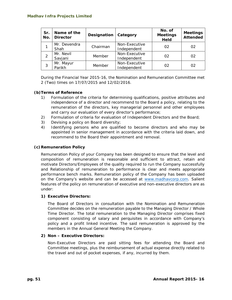| Sr.<br>No. | Name of the<br><b>Director</b> | Designation | Category                     | No. of<br><b>Meetings</b><br><b>Held</b> | <b>Meetings</b><br><b>Attended</b> |
|------------|--------------------------------|-------------|------------------------------|------------------------------------------|------------------------------------|
|            | Mr. Devendra<br>Shah           | Chairman    | Non-Executive<br>Independent | 02                                       | 02                                 |
|            | Mr. Nevil<br>Savjani           | Member      | Non-Executive<br>Independent | 02                                       | 02                                 |
| 3          | Mr. Mayur<br>Parikh            | Member      | Non-Executive<br>Independent | 02                                       | 02                                 |

During the Financial Year 2015-16, the Nomination and Remuneration Committee met 2 (Two) times on 17/07/2015 and 12/02/2016.

## **(b)Terms of Reference**

- 1) Formulation of the criteria for determining qualifications, positive attributes and independence of a director and recommend to the Board a policy, relating to the remuneration of the directors, key managerial personnel and other employees and carry our evaluation of every director's performance;
- 2) Formulation of criteria for evaluation of Independent Directors and the Board;
- 3) Devising a policy on Board diversity;
- 4) Identifying persons who are qualified to become directors and who may be appointed in senior management in accordance with the criteria laid down, and recommend to the Board their appointment and removal.

## **(c)Remuneration Policy**

Remuneration Policy of your Company has been designed to ensure that the level and composition of remuneration is reasonable and sufficient to attract, retain and motivate Directors/Employees of the quality required to run the Company successfully and Relationship of remuneration to performance is clear and meets appropriate performance bench marks. Remuneration policy of the Company has been uploaded on the Company's website and can be accessed at www.madhavcorp.com. Salient features of the policy on remuneration of executive and non-executive directors are as under:

## **1) Executive Directors:**

The Board of Directors in consultation with the Nomination and Remuneration Committee decides on the remuneration payable to the Managing Director / Whole Time Director. The total remuneration to the Managing Director comprises fixed component consisting of salary and perquisites in accordance with Company's policy and a profit linked incentive. The said remuneration is approved by the members in the Annual General Meeting the Company.

## **2) Non – Executive Directors:**

Non-Executive Directors are paid sitting fees for attending the Board and Committee meetings, plus the reimbursement of actual expense directly related to the travel and out of pocket expenses, if any, incurred by them.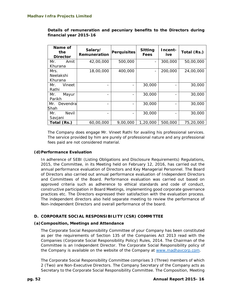| Name of<br>the<br><b>Director</b> | Salary/<br>Remuneration | Perquisites              | <b>Sitting</b><br><b>Fees</b> | Incent-<br>ive. | Total (Rs.) |
|-----------------------------------|-------------------------|--------------------------|-------------------------------|-----------------|-------------|
| Mr.<br>Amit                       | 42,00,000               | 500,000                  |                               | 300,000         | 50,00,000   |
| Khurana                           |                         |                          |                               |                 |             |
| Mrs.                              | 18,00,000               | 400,000                  |                               | 200,000         | 24,00,000   |
| Neelakshi                         |                         |                          |                               |                 |             |
| Khurana                           |                         |                          |                               |                 |             |
| Vineet<br>Mr.                     |                         | $\overline{\phantom{a}}$ | 30,000                        |                 | 30,000      |
| Rathi                             |                         |                          |                               |                 |             |
| Mr.<br>Mayur                      |                         | $\overline{\phantom{a}}$ | 30,000                        |                 | 30,000      |
| Parikh                            |                         |                          |                               |                 |             |
| Devendra<br>Mr.                   |                         | $\overline{\phantom{a}}$ | 30,000                        |                 | 30,000      |
| Shah                              |                         |                          |                               |                 |             |
| <b>Nevil</b><br>Mr.               |                         |                          | 30,000                        |                 | 30,000      |
| Savjani                           |                         |                          |                               |                 |             |
| Total (Rs.)                       | 60,00,000               | 9,00,000                 | 1,20,000                      | 500,000         | 75,20,000   |

**Details of remuneration and pecuniary benefits to the Directors during financial year 2015-16** 

The Company does engage Mr. Vineet Rathi for availing his professional services. The service provided by him are purely of professional nature and any professional fees paid are not considered material.

## **(d)Performance Evaluation**

In adherence of SEBI (Listing Obligations and Disclosure Requirements) Regulations, 2015, the Committee, in its Meeting held on February 12, 2016, has carried out the annual performance evaluation of Directors and Key Managerial Personnel. The Board of Directors also carried out annual performance evaluation of Independent Directors and Committees of the Board. Performance evaluation was carried out based on approved criteria such as adherence to ethical standards and code of conduct, constructive participation in Board Meetings, implementing good corporate governance practices etc. The Directors expressed their satisfaction with the evaluation process. *The independent directors also held separate meeting to review the performance of Non-independent Directors and overall performance of the board.* 

## **D. CORPORATE SOCIAL RESPONSIBILITY (CSR) COMMITTEE**

## **(a)Composition, Meetings and Attendance**

The Corporate Social Responsibility Committee of your Company has been constituted as per the requirements of Section 135 of the Companies Act 2013 read with the Companies (Corporate Social Responsibility Policy) Rules, 2014. The Chairman of the Committee is an Independent Director. The Corporate Social Responsibility policy of the Company is available on the website of the Company at www.madhavcorp.com.

The Corporate Social Responsibility Committee comprises 3 (Three) members of which 2 (Two) are Non-Executive Directors. The Company Secretary of the Company acts as Secretary to the Corporate Social Responsibility Committee. The Composition, Meeting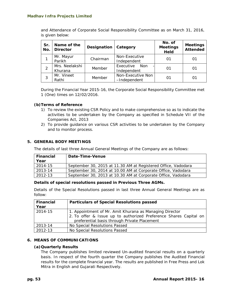and Attendance of Corporate Social Responsibility Committee as on March 31, 2016, is given below:

| Sr.<br>No. | Name of the<br><b>Director</b> | Designation | Category                               | No. of<br><b>Meetings</b><br>Held | <b>Meetings</b><br><b>Attended</b> |
|------------|--------------------------------|-------------|----------------------------------------|-----------------------------------|------------------------------------|
|            | Mr. Mayur<br>Parikh            | Chairman    | Non-Executive<br>Independent           | 01                                | 01                                 |
|            | Mrs. Neelakshi<br>Khurana      | Member      | Executive<br><b>Non</b><br>Independent | 01                                | 01                                 |
| 3          | Mr. Vineet<br>Rathi            | Member      | Non-Executive Non<br>-Independent      |                                   | 01                                 |

During the Financial Year 2015-16, the Corporate Social Responsibility Committee met 1 (One) times on 12/02/2016.

## **(b)Terms of Reference**

- 1) To review the existing CSR Policy and to make comprehensive so as to indicate the activities to be undertaken by the Company as specified in Schedule VII of the Companies Act, 2013
- 2) To provide guidance on various CSR activities to be undertaken by the Company and to monitor process.

## **5. GENERAL BODY MEETINGS**

The details of last three Annual General Meetings of the Company are as follows:

| <b>Financial</b> | Date-Time-Venue                                               |
|------------------|---------------------------------------------------------------|
| Year             |                                                               |
| 2014-15          | September 30, 2015 at 11.30 AM at Registered Office, Vadodara |
| 2013-14          | September 30, 2014 at 10.00 AM at Corporate Office, Vadodara  |
| 2012-13          | September 30, 2013 at 10.30 AM at Corporate Office, Vadodara  |

#### **Details of special resolutions passed in Previous Three AGMs.**

Details of the Special Resolutions passed in last three Annual General Meetings are as follow:

| <b>Financial</b> | <b>Particulars of Special Resolutions passed</b>                                                                             |  |  |
|------------------|------------------------------------------------------------------------------------------------------------------------------|--|--|
| Year             |                                                                                                                              |  |  |
| 2014-15          | 1. Appointment of Mr. Amit Khurana as Managing Director<br>2. To offer & Issue up to authorized Preference Shares Capital on |  |  |
|                  | preferential basis through Private Placement                                                                                 |  |  |
| 2013-14          | No Special Resolutions Passed                                                                                                |  |  |
| 2012-13          | No Special Resolutions Passed                                                                                                |  |  |

#### **6. MEANS OF COMMUNICATIONS**

#### **(a)Quarterly Results**

The Company publishes limited reviewed Un-audited financial results on a quarterly basis. In respect of the fourth quarter the Company publishes the Audited Financial results for the complete financial year. The results are published in Free Press and Lok Mitra in English and Gujarati Respectively.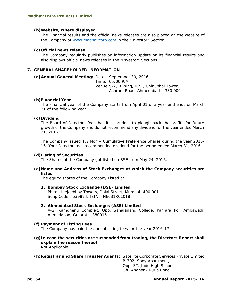#### **(b)Website, where displayed**

The Financial results and the official news releases are also placed on the website of the Company at www.madhavcorp.com in the "Investor" Section.

#### **(c)Official news release**

The Company regularly publishes an information update on its financial results and also displays official news releases in the "Investor" Sections.

#### **7. GENERAL SHAREHOLDER INFORMATION**

**(a)Annual General Meeting:** Date: September 30, 2016 Time: 05:00 P.M. Venue: S-2, B Wing, ICSI, Chinubhai Tower, Ashram Road, Ahmedabad – 380 009

#### **(b)Financial Year**

The Financial year of the Company starts from April 01 of a year and ends on March 31 of the following year.

#### **(c)Dividend**

The Board of Directors feel that it is prudent to plough back the profits for future growth of the Company and do not recommend any dividend for the year ended March 31, 2016.

The Company issued 1% Non – Cumulative Preference Shares during the year 2015- 16. Your Directors not recommended dividend for the period ended March 31, 2016.

#### **(d)Listing of Securities**

The Shares of the Company got listed on BSE from May 24, 2016.

#### **(e)Name and Address of Stock Exchanges at which the Company securities are listed**

The equity shares of the Company Listed at:

#### **1. Bombay Stock Exchange (BSE) Limited**

Phiroz Jeejeebhoy Towers, Dalal Street, Mumbai -400 001 Scrip Code: 539894, ISIN: INE631R01018

#### **2. Ahmedabad Stock Exchanges (ASE) Limited**

A-2, Kamdhenu Complex, Opp. Sahajanand College, Panjara Pol, Ambawadi, Ahmedabad, Gujarat – 380015

#### **(f) Payment of Listing Fees**

The Company has paid the annual listing fees for the year 2016-17.

**(g)In case the securities are suspended from trading, the Directors Report shall explain the reason thereof:**  Not Applicable

**(h)Registrar and Share Transfer Agents:** Satellite Corporate Services Private Limited B-302, Sony Apartment, Opp. ST. Jude High School, Off. Andheri- Kurla Road,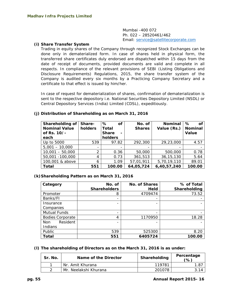Mumbai -400 072 Ph. 022 – 28520461/462 Email: service@satellitecorporate.com

#### **(i) Share Transfer System**

Trading in equity shares of the Company through recognized Stock Exchanges can be done only in dematerialized form. In case of shares held in physical form, the transferred share certificates duly endorsed are dispatched within 15 days from the date of receipt of documents, provided documents are valid and complete in all respects. In compliance of the relevant provisions of SEBI (Listing Obligations and Disclosure Requirements) Regulations, 2015, the share transfer system of the Company is audited every six months by a Practicing Company Secretary and a certificate to that effect is issued by him/her.

In case of request for dematerialization of shares, confirmation of dematerialization is sent to the respective depository *i.e.* National Securities Depository Limited (NSDL) or Central Depository Services (India) Limited (CDSL), expeditiously.

| Shareholding of<br><b>Nominal Value</b><br>of Rs. 10/-<br>each | Share-<br>holders        | ℅<br>Οf<br>Total<br><b>Share</b><br>$\blacksquare$<br>holders | No. of<br><b>Shares</b> | <b>Nominal</b><br>Value (Rs.) | $\%$<br>Οf<br><b>Nominal</b><br>Value |
|----------------------------------------------------------------|--------------------------|---------------------------------------------------------------|-------------------------|-------------------------------|---------------------------------------|
| Up to 5000                                                     | 539                      | 97.82                                                         | 292,300                 | 29,23,000                     | 4.57                                  |
| $5,001 - 10,000$                                               | $\overline{\phantom{0}}$ |                                                               |                         |                               |                                       |
| $10,001 - 50,000$                                              | 2                        | 0.36                                                          | 50,000                  | 500,000                       | 0.78                                  |
| 50,001 -100,000                                                | 4                        | 0.73                                                          | 361,513                 | 36, 15, 130                   | 5.64                                  |
| 100,001 & above                                                | 6                        | 1.09                                                          | 57,01,911               | 5,70,19,110                   | 89.01                                 |
| Total                                                          | 551                      | 100.00                                                        | 64,05,724               | 6,40,57,240                   | 100.00                                |

## **(j) Distribution of Shareholding as on March 31, 2016**

## **(k)Shareholding Pattern as on March 31, 2016**

| Category                | No. of              | <b>No. of Shares</b> | % of Total   |
|-------------------------|---------------------|----------------------|--------------|
|                         | <b>Shareholders</b> | Held                 | Shareholding |
| Promoter                | 8                   | 4709474              | 73.52        |
| Banks/FI                | -                   | -                    |              |
| Insurance               |                     |                      |              |
| Companies               |                     |                      |              |
| Mutual Funds            |                     |                      |              |
| <b>Bodies Corporate</b> | 4                   | 1170950              | 18.28        |
| Resident<br><b>Non</b>  |                     |                      |              |
| Indians                 |                     |                      |              |
| Public                  | 539                 | 525300               | 8.20         |
| Total                   | 551                 | 6405724              | 100.00       |

## **(l) The shareholding of Directors as on the March 31, 2016 is as under:**

| Sr. No. | Name of the Director  | Shareholding | Percentage<br>$\%$ |
|---------|-----------------------|--------------|--------------------|
|         | Nr. Amit Khurana      | 119781       |                    |
|         | Mr. Neelakshi Khurana | 201078       |                    |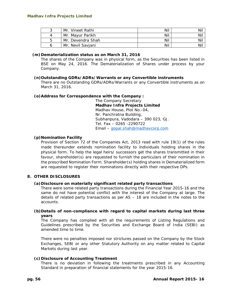| ີ | Mr. Vineet Rathi  | Nil | Nil |
|---|-------------------|-----|-----|
|   | Mr. Mavur Parikh  | Nil | Nil |
| 5 | Mr. Devendra Shah | Nil | Nil |
|   | Mr. Nevil Saviani | Nil | Nil |

#### **(m)Dematerialization status as on March 31, 2016**

The shares of the Company was in physical form, as the Securities has been listed in BSE on May 24, 2016. The Dematerialization of Shares under process by your Company.

#### **(n)Outstanding GDRs/ADRs/Warrants or any Convertible instruments**

There are no Outstanding GDRs/ADRs/Warrants or any Convertible instruments as on March 31, 2016.

#### **(o)Address for Correspondence with the Company :**

The Company Secretary **Madhav Infra Projects Limited**  Madhav House, Plot No.-04, Nr. Panchratna Building, Subhanpura, Vadodara – 390 023, GJ. Tel. Fax – 0265 -2290722 Email – gopal.shah@madhavcorp.com

## **(p)Nomination Facility**

Provision of Section 72 of the Companies Act, 2013 read with rule 19(1) of the rules made thereunder extends nomination facility to individuals holding shares in the physical form. To help the legal heirs/ successors get the shares transmitted in their favour, shareholder(s) are requested to furnish the particulars of their nomination in the prescribed Nomination Form. Shareholder(s) holding shares in Dematerialized form are requested to register their nominations directly with their respective DPs.

#### **8. OTHER DISCLOSURES**

#### **(a)Disclosure on materially significant related party transactions**

There were some related party transactions during the Financial Year 2015-16 and the same do not have potential conflict with the interest of the Company at large. The details of related party transactions as per AS – 18 are included in the notes to the accounts.

## **(b)Details of non-compliance with regard to capital markets during last three years**

The Company has complied with all the requirements of Listing Regulations and Guidelines prescribed by the Securities and Exchange Board of India (SEBI) as amended time to time.

There were no penalties imposed nor strictures passed on the Company by the Stock Exchanges, SEBI or any other Statutory Authority on any matter related to Capital Markets during last year.

#### **(c)Disclosure of Accounting Treatment**

There is no deviation in following the treatments prescribed in any Accounting Standard in preparation of financial statements for the year 2015-16.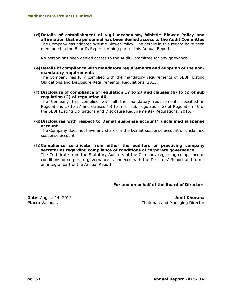**(d)Details of establishment of vigil mechanism, Whistle Blower Policy and affirmation that no personnel has been denied access to the Audit Committee**  The Company has adopted Whistle Blower Policy. The details in this regard have been mentioned in the Board's Report forming part of this Annual Report.

No person has been denied access to the Audit Committee for any grievance.

**(e)Details of compliance with mandatory requirements and adoption of the nonmandatory requirements** 

The Company has fully complied with the mandatory requirements of SEBI (Listing Obligations and Disclosure Requirements) Regulations, 2015.

**(f) Disclosure of compliance of regulation 17 to 27 and clauses (b) to (i) of sub regulation (2) of regulation 46** 

The Company has complied with all the mandatory requirements specified in Regulations 17 to 27 and clauses (b) to (i) of sub–regulation (2) of Regulation 46 of the SEBI (Listing Obligations and Disclosure Requirements) Regulations, 2015.

**(g)Disclosures with respect to Demat suspense account/ unclaimed suspense account** 

The Company does not have any shares in the Demat suspense account or unclaimed suspense account.

**(h)Compliance certificate from either the auditors or practicing company secretaries regarding compliance of conditions of corporate governance**  The Certificate from the Statutory Auditors of the Company regarding compliance of conditions of corporate governance is annexed with the Directors' Report and forms an integral part of the Annual Report.

## **For and on behalf of the Board of Directors**

**Date:** August 14, 2016 **Amit Khurana** *Amit Khurana* **Amit Khurana Amit Khurana Place:** Vadodara **Chairman and Managing Director** Chairman and Managing Director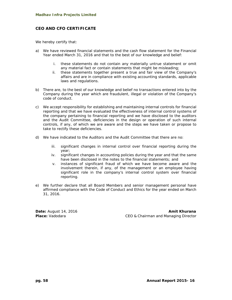## **CEO AND CFO CERTIFICATE**

We hereby certify that:

- a) We have reviewed financial statements and the cash flow statement for the Financial Year ended March 31, 2016 and that to the best of our knowledge and belief:
	- i. these statements do not contain any materially untrue statement or omit any material fact or contain statements that might be misleading;
	- ii. these statements together present a true and fair view of the Company's affairs and are in compliance with existing accounting standards, applicable laws and regulations.
- b) There are, to the best of our knowledge and belief no transactions entered into by the Company during the year which are fraudulent, illegal or violation of the Company's code of conduct.
- c) We accept responsibility for establishing and maintaining internal controls for financial reporting and that we have evaluated the effectiveness of internal control systems of the company pertaining to financial reporting and we have disclosed to the auditors and the Audit Committee, deficiencies in the design or operation of such internal controls, if any, of which we are aware and the steps we have taken or propose to take to rectify these deficiencies.
- d) We have indicated to the Auditors and the Audit Committee that there are no:
	- iii. significant changes in internal control over financial reporting during the year;
	- iv. significant changes in accounting policies during the year and that the same have been disclosed in the notes to the financial statements; and
	- v. instances of significant fraud of which we have become aware and the involvement therein, if any, of the management or an employee having significant role in the company's internal control system over financial reporting.
- *e) We further declare that all Board Members and senior management personal have affirmed compliance with the Code of Conduct and Ethics for the year ended on March 31, 2016.*

**Date:** August 14, 2016 **Amit Khurana** *Amit Khurana* **Amit Khurana Amit Khurana Place:** Vadodara **CEO & Chairman and Managing Director**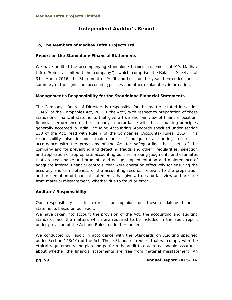# **Independent Auditor's Report**

## **To, The Members of Madhav Infra Projects Ltd.**

## **Report on the Standalone Financial Statements**

We have audited the accompanying standalone financial statements of M/s Madhav Infra Projects Limited ("the company"), which comprise the Balance Sheet as at 31st March 2016, the Statement of Profit and Loss for the year then ended, and a summary of the significant accounting policies and other explanatory information.

## **Management's Responsibility for the Standalone Financial Statements**

The Company's Board of Directors is responsible for the matters stated in section 134(5) of the Companies Act, 2013 ("the Act") with respect to preparation of these standalone financial statements that give a true and fair view of financial position, financial performance of the company in accordance with the accounting principles generally accepted in India, including Accounting Standards specified under section 133 of the Act, read with Rule 7 of the Companies (Accounts) Rules, 2014. This responsibility also includes maintenance of adequate accounting records in accordance with the provisions of the Act for safeguarding the assets of the company and for preventing and detecting frauds and other irregularities; selection and application of appropriate accounting policies; making judgments and estimates that are reasonable and prudent; and design, implementation and maintenance of adequate internal financial controls, that were operating effectively for ensuring the accuracy and completeness of the accounting records, relevant to the preparation and presentation of financial statements that give a true and fair view and are free from material misstatement, whether due to fraud or error.

## **Auditors' Responsibility**

Our responsibility is to express an opinion on these standalone financial statements based on our audit.

We have taken into account the provision of the Act, the accounting and auditing standards and the matters which are required to be included in the audit report under provision of the Act and Rules made thereunder.

We conducted our audit in accordance with the Standards on Auditing specified under Section 143(10) of the Act. Those Standards require that we comply with the ethical requirements and plan and perform the audit to obtain reasonable assurance about whether the financial statements are free from material misstatement. An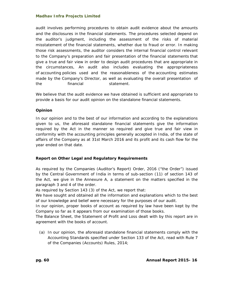audit involves performing procedures to obtain audit evidence about the amounts and the disclosures in the financial statements. The procedures selected depend on the auditor's judgment, including the assessment of the risks of material misstatement of the financial statements, whether due to fraud or error. In making those risk assessments, the auditor considers the internal financial control relevant to the Company's preparation and fair presentation of the financial statements that give a true and fair view in order to design audit procedures that are appropriate in the circumstances, An audit also includes evaluating the appropriateness of accounting policies used and the reasonableness of the accounting estimates made by the Company's Director, as well as evaluating the overall presentation of the financial statement.

We believe that the audit evidence we have obtained is sufficient and appropriate to provide a basis for our audit opinion on the standalone financial statements.

## **Opinion**

In our opinion and to the best of our information and according to the explanations given to us, the aforesaid standalone financial statements give the information required by the Act in the manner so required and give true and fair view in conformity with the accounting principles generally accepted in India, of the state of affairs of the Company as at 31st March 2016 and its profit and its cash flow for the year ended on that date.

## **Report on Other Legal and Regulatory Requirements**

As required by the Companies (Auditor's Report) Order, 2016 ("the Order") issued by the Central Government of India in terms of sub-section (11) of section 143 of the Act, we give in the Annexure A, a statement on the matters specified in the paragraph 3 and 4 of the order.

As required by Section 143 (3) of the Act, we report that:

We have sought and obtained all the information and explanations which to the best of our knowledge and belief were necessary for the purposes of our audit.

In our opinion, proper books of account as required by law have been kept by the Company so far as it appears from our examination of those books.

The Balance Sheet, the Statement of Profit and Loss dealt with by this report are in agreement with the books of account.

(a) In our opinion, the aforesaid standalone financial statements comply with the Accounting Standards specified under Section 133 of the Act, read with Rule 7 of the Companies (Accounts) Rules, 2014;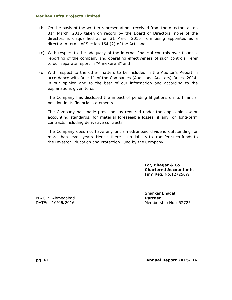- (b) On the basis of the written representations received from the directors as on 31<sup>st</sup> March, 2016 taken on record by the Board of Directors, none of the directors is disqualified as on 31 March 2016 from being appointed as a director in terms of Section 164 (2) of the Act; and
- (c) With respect to the adequacy of the internal financial controls over financial reporting of the company and operating effectiveness of such controls, refer to our separate report in "Annexure B" and
- (d) With respect to the other matters to be included in the Auditor's Report in accordance with Rule 11 of the Companies (Audit and Auditors) Rules, 2014, in our opinion and to the best of our information and according to the explanations given to us:
	- i. The Company has disclosed the impact of pending litigations on its financial position in its financial statements.
	- ii. The Company has made provision, as required under the applicable law or accounting standards, for material foreseeable losses, if any, on long-term contracts including derivative contracts.
- iii. The Company does not have any unclaimed/unpaid dividend outstanding for more than seven years. Hence, there is no liability to transfer such funds to the Investor Education and Protection Fund by the Company.

For, **Bhagat & Co. Chartered Accountants**  Firm Reg. No.127250W

PLACE: Ahmedabad **PLACE: Partner** 

 Shankar Bhagat DATE: 10/06/2016 Membership No.: 52725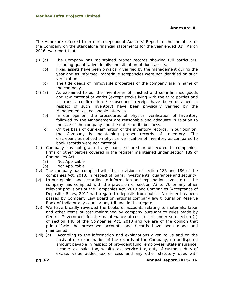The Annexure referred to in our Independent Auditors' Report to the members of the Company on the standalone financial statements for the year ended 31<sup>st</sup> March 2016, we report that:

- (i) (a) The Company has maintained proper records showing full particulars, including quantitative details and situation of fixed assets.
	- (b) Fixed assets have been physically verified by the management during the year and as informed, material discrepancies were not identified on such verification.
	- (c) The title deeds of immovable properties of the company are in name of the company.
- (ii) (a) As explained to us, the inventories of finished and semi-finished goods and raw material at works (except stocks lying with the third parties and in transit, confirmation / subsequent receipt have been obtained in respect of such inventory) have been physically verified by the Management at reasonable intervals.
	- (b) In our opinion, the procedures of physical verification of Inventory followed by the Management are reasonable and adequate in relation to the size of the company and the nature of its business.
	- (c) On the basis of our examination of the inventory records, in our opinion, the Company is maintaining proper records of Inventory. The discrepancies noticed on physical verification of inventory as compared to book records were not material.
- (iii) Company has not granted any loans, secured or unsecured to companies, firms or other parties covered in the register maintained under section 189 of Companies Act.
	- (a) Not Applicable
	- (b) Not Applicable
- (iv) The company has complied with the provisions of section 185 and 186 of the companies Act, 2013, in respect of loans, investments, guarantee and security.
- (v) In our opinion and according to information and explanation given to us, the company has complied with the provision of section 73 to 76 or any other relevant provisions of the Companies Act, 2013 and Companies (Acceptance of Deposits) Rules, 2014 with regard to deposits from public. No order has been passed by Company Law Board or national company law tribunal or Reserve Bank of India or any court or any tribunal in this regard.
- (vi) We have broadly reviewed the books of accounts relating to materials, labor and other items of cost maintained by company pursuant to rules made by Central Government for the maintenance of cost record under sub-section (I) of section 148 of the Companies Act, 2013 and we are of the opinion that prima facie the prescribed accounts and records have been made and maintained.
- (vii) (a) According to the information and explanations given to us and on the basis of our examination of the records of the Company, no undisputed amount payable in respect of provident fund, employees' state insurance, income tax, sales-tax, wealth tax, service tax, duty of customs, duty of excise, value added tax or cess and any other statutory dues with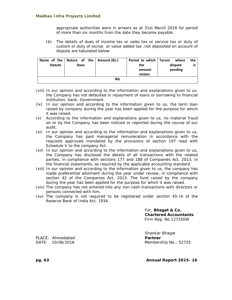appropriate authorities were in arrears as at 31st March 2016 for period of more than six months from the date they become payable.

(b) The details of dues of income tax or sales tax or service tax or duty of custom or duty of excise or value added tax ,not deposited on account of dispute are tabulated below:

| <b>Statute</b> | Name of the   Nature of the   Amount (Rs.)<br>Dues |  | Period to which   Forum<br>the<br>amount | where<br>dispute<br>pending | the |  |  |
|----------------|----------------------------------------------------|--|------------------------------------------|-----------------------------|-----|--|--|
|                |                                                    |  | relates                                  |                             |     |  |  |
| <b>NIL</b>     |                                                    |  |                                          |                             |     |  |  |

- (viii) In our opinion and according to the information and explanations given to us, the Company has not defaulted in repayment of loans or borrowing to financial institution, bank, Government.
- (ix) In our opinion and according to the information given to us, the term loan raised by company during the year has been applied for the purpose for which it was raised.
- (x) According to the information and explanations given to us, no material fraud on or by the Company has been noticed or reported during the course of our audit.
- (xi) In our opinion and according to the information and explanations given to us, the Company has paid managerial remuneration in accordance with the requisite approvals mandated by the provisions of section 197 read with Schedule V to the company Act.
- (xii) In our opinion and according to the information and explanations given to us, the Company has disclosed the details of all transactions with the related parties, in compliance with sections 177 and 188 of Companies Act, 2013, in the financial statements, as required by the applicable accounting standard.
- (xiii) In our opinion and according to the information given to us, the company has made preferential allotment during the year under review, in compliance with section 42 of the Companies Act, 2013. The fund raised by the company during the year has been applied for the purpose for which it was raised.
- (xiv) The company has not entered into any non-cash transactions with directors or persons connected with him.
- (xv) The company is not required to be registered under section 45-IA of the Reserve Bank of India Act, 1934.

For, **Bhagat & Co. Chartered Accountants** Firm Reg. No.127250W

 Shankar Bhagat DATE: 10/06/2016 Membership No.: 52725

PLACE: Ahmedabad **PLACE: Partner** 

**pg. 63 Annual Report 2015- 16**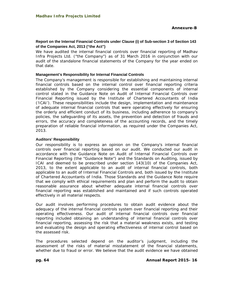## **Report on the Internal Financial Controls under Clause (i) of Sub-section 3 of Section 143 of the Companies Act, 2013 ("the Act")**

We have audited the internal financial controls over financial reporting of Madhav Infra Projects Ltd. ("the Company") as of 31 March 2016 in conjunction with our audit of the standalone financial statements of the Company for the year ended on that date.

## **Management's Responsibility for Internal Financial Controls**

The Company's management is responsible for establishing and maintaining internal financial controls based on the internal control over financial reporting criteria established by the Company considering the essential components of internal control stated in the Guidance Note on Audit of Internal Financial Controls over Financial Reporting issued by the Institute of Chartered Accountants of India ('ICAI'). These responsibilities include the design, implementation and maintenance of adequate internal financial controls that were operating effectively for ensuring the orderly and efficient conduct of its business, including adherence to company's policies, the safeguarding of its assets, the prevention and detection of frauds and errors, the accuracy and completeness of the accounting records, and the timely preparation of reliable financial information, as required under the Companies Act, 2013.

## **Auditors' Responsibility**

Our responsibility is to express an opinion on the Company's internal financial controls over financial reporting based on our audit. We conducted our audit in accordance with the Guidance Note on Audit of Internal Financial Controls over Financial Reporting (the "Guidance Note") and the Standards on Auditing, issued by ICAI and deemed to be prescribed under section 143(10) of the Companies Act, 2013, to the extent applicable to an audit of internal financial controls, both applicable to an audit of Internal Financial Controls and, both issued by the Institute of Chartered Accountants of India. Those Standards and the Guidance Note require that we comply with ethical requirements and plan and perform the audit to obtain reasonable assurance about whether adequate internal financial controls over financial reporting was established and maintained and if such controls operated effectively in all material respects.

Our audit involves performing procedures to obtain audit evidence about the adequacy of the internal financial controls system over financial reporting and their operating effectiveness. Our audit of internal financial controls over financial reporting included obtaining an understanding of internal financial controls over financial reporting, assessing the risk that a material weakness exists, and testing and evaluating the design and operating effectiveness of internal control based on the assessed risk.

The procedures selected depend on the auditor's judgment, including the assessment of the risks of material misstatement of the financial statements, whether due to fraud or error. We believe that the audit evidence we have obtained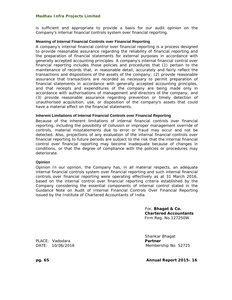is sufficient and appropriate to provide a basis for our audit opinion on the Company's internal financial controls system over financial reporting.

#### **Meaning of Internal Financial Controls over Financial Reporting**

A company's internal financial control over financial reporting is a process designed to provide reasonable assurance regarding the reliability of financial reporting and the preparation of financial statements for external purposes in accordance with generally accepted accounting principles. A company's internal financial control over financial reporting includes those policies and procedures that (1) pertain to the maintenance of records that, in reasonable detail, accurately and fairly reflect the transactions and dispositions of the assets of the company; (2) provide reasonable assurance that transactions are recorded as necessary to permit preparation of financial statements in accordance with generally accepted accounting principles, and that receipts and expenditures of the company are being made only in accordance with authorisations of management and directors of the company; and (3) provide reasonable assurance regarding prevention or timely detection of unauthorised acquisition, use, or disposition of the company's assets that could have a material effect on the financial statements.

#### **Inherent Limitations of Internal Financial Controls over Financial Reporting**

Because of the inherent limitations of internal financial controls over financial reporting, including the possibility of collusion or improper management override of controls, material misstatements due to error or fraud may occur and not be detected. Also, projections of any evaluation of the internal financial controls over financial reporting to future periods are subject to the risk that the internal financial control over financial reporting may become inadequate because of changes in conditions, or that the degree of compliance with the policies or procedures may deteriorate.

#### **Opinion**

Opinion In our opinion, the Company has, in all material respects, an adequate internal financial controls system over financial reporting and such internal financial controls over financial reporting were operating effectively as at 31 March 2016, based on the internal control over financial reporting criteria established by the Company considering the essential components of internal control stated in the Guidance Note on Audit of Internal Financial Controls Over Financial Reporting issued by the Institute of Chartered Accountants of India.

> For, **Bhagat & Co. Chartered Accountants**  Firm Reg. No.127250W

PLACE: Vadodara **Partner**

Shankar Bhagat DATE: 10/06/2016 Membership No. 52725

**pg. 65 Annual Report 2015- 16**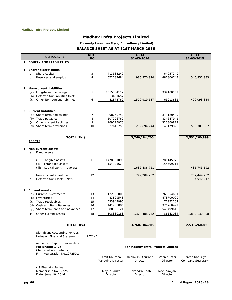**(Formerly known as Myraj Consultancy Limited) BALANCE SHEET AS AT 31ST MARCH 2016** 

|              | <b>PARTICUALRS</b>                                                      | <b>NOTE</b><br><b>NO</b> |                                   | <b>AS AT</b><br>31-03-2016        |                           | <b>AS AT</b><br>31-03-2015           |
|--------------|-------------------------------------------------------------------------|--------------------------|-----------------------------------|-----------------------------------|---------------------------|--------------------------------------|
| J.           | <b>EQUITY AND LIABILITIES</b>                                           |                          |                                   |                                   |                           |                                      |
|              |                                                                         |                          |                                   |                                   |                           |                                      |
| 1            | Shareholders' funds<br>Share capital<br>(a)                             | 3                        | 413583240                         |                                   | 64057240                  |                                      |
|              | (b)<br>Reserves and surplus                                             | $\overline{4}$           | 572787684                         | 986,370,924                       | 481800743                 | 545,857,983                          |
|              |                                                                         |                          |                                   |                                   |                           |                                      |
| 2            | <b>Non-current liabilities</b>                                          |                          |                                   |                                   |                           |                                      |
|              | (a) Long-term borrowings                                                | 5                        | 1515584112                        |                                   | 334180152                 |                                      |
|              | (b) Deferred tax liabilities (Net)<br>(c) Other Non-current liabilities | 6                        | 13461657<br>41873769              | 1,570,919,537                     | 65913682                  | 400,093,834                          |
|              |                                                                         |                          |                                   |                                   |                           |                                      |
|              |                                                                         |                          |                                   |                                   |                           |                                      |
|              | 3 Current liabilities<br>(a) Short-term borrowings                      | 7                        | 498260750                         |                                   | 379120489                 |                                      |
|              | (b) Trade payables                                                      | 8                        | 507296769                         |                                   | 834647941                 |                                      |
|              | (c) Other current liabilities                                           | 9                        | 169725970                         |                                   | 326360829                 |                                      |
|              | (d) Short-term provisions                                               | 10                       | 27610755                          | 1,202,894,244                     | 45179823                  | 1,585,309,082                        |
|              |                                                                         |                          |                                   |                                   |                           |                                      |
|              | TOTAL (Rs.)                                                             |                          |                                   | 3,760,184,705                     |                           | 2,531,260,899                        |
| Ш.           | <u>ASSETS</u>                                                           |                          |                                   |                                   |                           |                                      |
| 1            | <b>Non-current assets</b>                                               |                          |                                   |                                   |                           |                                      |
|              | Fixed assets<br>(a)                                                     |                          |                                   |                                   |                           |                                      |
|              | Tangible assets<br>(i)                                                  | 11                       | 1478161098                        |                                   | 281145978                 |                                      |
|              | (ii)<br>Intangible assets                                               |                          | 154325623                         |                                   | 154599214                 |                                      |
|              | Capital work-in-pgoress<br>(iii)                                        |                          |                                   | 1,632,486,721                     |                           | 435,745,192                          |
|              | Non-current investment<br>(b)                                           | 12                       |                                   | 749,209,252                       |                           | 257,444,752                          |
|              | (c)<br>Deferred tax Assets (Net)                                        |                          |                                   |                                   |                           | 5,940,947                            |
|              |                                                                         |                          |                                   |                                   |                           |                                      |
| $\mathbf{2}$ | <b>Current assets</b>                                                   |                          |                                   |                                   |                           |                                      |
|              | (a) Current Investments                                                 | 13                       | 122160000                         |                                   | 268654681                 |                                      |
|              | (b) Inventories                                                         | 14                       | 83829548                          |                                   | 478700000                 |                                      |
|              | (c) Trade receivables<br>(d) Cash and Bank Balances                     | 15<br>16                 | 533947995<br>441205886            |                                   | 71972102<br>376760492     |                                      |
|              | Short-term loans and advances<br>(e)                                    | 17                       | 88965121                          |                                   | 549499649                 |                                      |
|              | Other current assets<br>(f)                                             | 18                       | 108380183                         | 1,378,488,732                     | 86543084                  | 1,832,130,008                        |
|              |                                                                         |                          |                                   |                                   |                           |                                      |
|              | TOTAL (Rs.)                                                             |                          |                                   | 3,760,184,705                     |                           | 2,531,260,899                        |
|              |                                                                         |                          |                                   |                                   |                           |                                      |
|              | <b>Significant Accounting Policies</b>                                  |                          |                                   |                                   |                           |                                      |
|              | Notes on Financial Statements                                           | 1 TO 42                  |                                   |                                   |                           |                                      |
|              | As per our Report of even date                                          |                          |                                   |                                   |                           |                                      |
|              | For Bhagat & Co<br><b>Chartered Accountants</b>                         |                          |                                   | For Madhav Infra Projects Limited |                           |                                      |
|              | Firm Registration No.127250W                                            |                          |                                   |                                   |                           |                                      |
|              |                                                                         |                          | Amit Khurana<br>Managing Director | Neelakshi Khurana<br>Director     | Veenit Rathi<br>Director  | Haresh Kapuriya<br>Company Secretary |
|              |                                                                         |                          |                                   |                                   |                           |                                      |
|              | (S.Bhagat - Partner)                                                    |                          |                                   |                                   |                           |                                      |
|              | Membership No.52725<br>Date: June 10, 2016                              |                          | Mayur Parikh<br>Director          | Devendra Shah<br>Director         | Nevil Savjani<br>Director |                                      |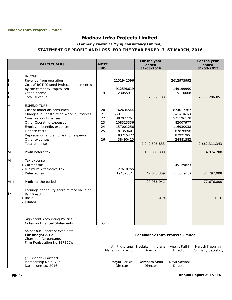**(Formerly known as Myraj Consultancy Limited)**

# **STATEMENT OF PROFIT AND LOSS FOR THE YEAR ENDED 31ST MARCH, 2016**

|              |                                            |             |                   | For the year                      |                          | For the year                         |
|--------------|--------------------------------------------|-------------|-------------------|-----------------------------------|--------------------------|--------------------------------------|
|              | <b>PARTICUALRS</b>                         | <b>NOTE</b> |                   | ended                             |                          | ended<br>31-03-2015                  |
|              |                                            | <b>NO</b>   |                   | 31-03-2016                        |                          |                                      |
|              | <b>INCOME</b>                              |             |                   |                                   |                          |                                      |
|              | Revenue from operation                     |             | 2151942596        |                                   | 2612975992               |                                      |
| $\mathbf{H}$ | Cost of BOT / Owned Projects implemented   |             |                   |                                   |                          |                                      |
|              | by the company capitalised                 |             | 912598619         |                                   | 149199990                |                                      |
| Ш            | Other income                               | 19          | 23055917          |                                   | 15110068                 |                                      |
| IV           | <b>Total Revenue</b>                       |             |                   | 3,087,597,133                     |                          | 2,777,286,051                        |
| V            | <b>EXPENDITURE</b>                         |             |                   |                                   |                          |                                      |
|              | Cost of materials consumed                 | 20          | 1762634544        |                                   | 1874017367               |                                      |
|              | Changes in Construction Work in Progress   | 21          | 221000000         |                                   | (162520402)              |                                      |
|              | <b>Construction Expenses</b>               | 22          | 387072254         |                                   | 571196178                |                                      |
|              | Other Operating expenses                   | 23          | 108323336         |                                   | 82007977                 |                                      |
|              | Employee benefits expenses                 | 24          | 157001256         |                                   | 116930038                |                                      |
|              | Finance costs                              | 25          | 181359607         |                                   | 67876696                 |                                      |
|              | Depreciation and amortisation expense      |             | 93715422          |                                   | 87921906                 |                                      |
|              | Other expenses                             | 26          | 38490415          |                                   | 24881582                 |                                      |
|              | Total expenses                             |             |                   |                                   |                          |                                      |
|              |                                            |             |                   | 2,949,596,833                     |                          | 2,662,311,343                        |
| VI           | Profit before tax                          |             |                   | 138,000,300                       |                          | 114,974,708                          |
|              |                                            |             |                   |                                   |                          |                                      |
| VII          | Tax expense:                               |             |                   |                                   |                          |                                      |
|              | 1 Current tax                              |             |                   |                                   | 45129823                 |                                      |
|              | 2 Minimum Alternative Tax                  |             | 27610755          |                                   |                          |                                      |
|              | 3 Deferred tax                             |             | 19402604          | 47,013,359                        | (7831915)                | 37,297,908                           |
| VIII         | Profit for the period                      |             |                   | 90,986,941                        |                          | 77,676,800                           |
|              |                                            |             |                   |                                   |                          |                                      |
|              | Earnings per equity share of face value of |             |                   |                                   |                          |                                      |
| 1X           | Rs.10 each                                 |             |                   |                                   |                          |                                      |
|              | 1 Basic                                    |             |                   | 14.20                             |                          | 12.13                                |
|              | 2 Diluted                                  |             |                   |                                   |                          |                                      |
|              |                                            |             |                   |                                   |                          |                                      |
|              |                                            |             |                   |                                   |                          |                                      |
|              | <b>Significant Accounting Policies</b>     |             |                   |                                   |                          |                                      |
|              | Notes on Financial Statements              | 1 TO 42     |                   |                                   |                          |                                      |
|              |                                            |             |                   |                                   |                          |                                      |
|              | As per our Report of even date             |             |                   |                                   |                          |                                      |
|              | For Bhagat & Co                            |             |                   | For Madhav Infra Projects Limited |                          |                                      |
|              | <b>Chartered Accountants</b>               |             |                   |                                   |                          |                                      |
|              | Firm Registration No.127250W               |             | Amit Khurana      |                                   |                          |                                      |
|              |                                            |             | Managing Director | Neelakshi Khurana<br>Director     | Veenit Rathi<br>Director | Haresh Kapuriya<br>Company Secretary |
|              |                                            |             |                   |                                   |                          |                                      |
|              | (S.Bhagat - Partner)                       |             |                   |                                   |                          |                                      |
|              | Membership No.52725                        |             | Mayur Parikh      | Devendra Shah                     | Nevil Savjani            |                                      |
|              | Date: June 10, 2016                        |             | Director          | Director                          | Director                 |                                      |

 **pg. 67 Annual Report 2015- 16**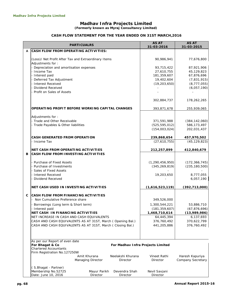**(Formerly known as Myraj Consultancy Limited)**

#### **CASH FLOW STATEMENT FOR THE YEAR ENDED ON 31ST MARCH,2016**

|   | <b>PARTICUALRS</b>                                                                                                       |                                   |                                   | <b>AS AT</b><br>31-03-2016   | <b>AS AT</b><br>31-03-2015           |
|---|--------------------------------------------------------------------------------------------------------------------------|-----------------------------------|-----------------------------------|------------------------------|--------------------------------------|
| A | CASH FLOW FROM OPERATING ACTIVITIES:                                                                                     |                                   |                                   |                              |                                      |
|   | (Loss)/ Net Profit After Tax and Extraordinary Items<br>Adjustments for:                                                 |                                   |                                   | 90,986,941                   | 77,676,800                           |
|   | - Depreciation and amortisation expenses                                                                                 |                                   |                                   | 93,715,422                   | 87,921,906                           |
|   | - Income Tax                                                                                                             |                                   |                                   | 27,610,755                   | 45,129,823                           |
|   | - Interest paid                                                                                                          |                                   |                                   | 181,359,607                  | 67,876,696                           |
|   | Deferred Tax Adjustment<br>- Interest Received                                                                           |                                   |                                   | 19,402,604<br>(19, 203, 650) | (7,831,915)<br>(8, 777, 055)         |
|   | Dividend Received                                                                                                        |                                   |                                   |                              | (6,057,190)                          |
|   | - Profit on Sales of Assets                                                                                              |                                   |                                   |                              |                                      |
|   |                                                                                                                          |                                   |                                   | 302,884,737                  | 178,262,265                          |
|   | OPERATING PROFIT BEFORE WORKING CAPITAL CHANGES                                                                          |                                   |                                   | 393,871,678                  | 255,939,065                          |
|   | Adjustments for:                                                                                                         |                                   |                                   |                              |                                      |
|   | - Trade and Other Receivable                                                                                             |                                   |                                   | 371,591,988                  | (384, 142, 060)                      |
|   | - Trade Payables & Other liabilities                                                                                     |                                   |                                   | (525, 595, 012)              | 586, 173, 497                        |
|   |                                                                                                                          |                                   |                                   | (154,003,024)                | 202,031,437                          |
|   | <b>CASH GENERATED FROM OPERATION</b>                                                                                     |                                   |                                   | 239,868,654                  | 457,970,502                          |
|   | - Income Tax                                                                                                             |                                   |                                   | (27,610,755)                 | (45, 129, 823)                       |
|   | NET CASH FROM OPERATING ACTIVITIES                                                                                       |                                   |                                   | 212,257,899                  | 412,840,679                          |
| В | <b>CASH FLOW FROM INVESTING ACTIVITIES</b>                                                                               |                                   |                                   |                              |                                      |
|   |                                                                                                                          |                                   |                                   |                              |                                      |
|   | - Purchase of Fixed Assets<br>Purchase of Investments                                                                    |                                   |                                   | (1, 290, 456, 950)           | (172, 366, 745)<br>(235, 180, 500)   |
|   | Sales of Fixed Assets                                                                                                    |                                   |                                   | (345, 269, 819)              |                                      |
|   | - Interest Received                                                                                                      |                                   |                                   | 19,203,650                   | 8,777,055                            |
|   | Dividend Received                                                                                                        |                                   |                                   |                              | 6,057,190                            |
|   | NET CASH USED IN INVESTING ACTIVITIES                                                                                    |                                   |                                   | (1,616,523,119)              | (392, 713, 000)                      |
| C | <b>CASH FLOW FROM FINANCING ACTIVITIES</b>                                                                               |                                   |                                   |                              |                                      |
|   | - Non Cumulative Preference share                                                                                        |                                   |                                   | 349,526,000                  |                                      |
|   | Borrowings (Long term & Short term)                                                                                      |                                   |                                   | 1,300,544,221                | 53,886,710                           |
|   | Interest paid                                                                                                            |                                   |                                   | (181, 359, 607)              | (67, 876, 696)                       |
|   | NET CASH IN FINANCING ACTIVITIES                                                                                         |                                   |                                   | 1,468,710,614                | (13,989,986)                         |
|   | NET INCREASE IN CASH AND CASH EQUIVALENTS                                                                                |                                   |                                   | 64,445,394                   | 6,137,693                            |
|   | CASH AND CASH EQUIVALENTS AS AT 31ST, March (Opening Bal.)<br>CASH AND CASH EQUIVALENTS AS AT 31ST, March (Closing Bal.) |                                   |                                   | 376,760,492<br>441,205,886   | 370,622,799<br>376,760,492           |
|   |                                                                                                                          |                                   |                                   |                              |                                      |
|   |                                                                                                                          |                                   |                                   |                              |                                      |
|   | As per our Report of even date<br>For Bhagat & Co                                                                        |                                   | For Madhav Infra Projects Limited |                              |                                      |
|   | <b>Chartered Accountants</b>                                                                                             |                                   |                                   |                              |                                      |
|   | Firm Registration No.127250W                                                                                             |                                   |                                   |                              |                                      |
|   |                                                                                                                          | Amit Khurana<br>Managing Director | Neelakshi Khurana<br>Director     | Vineet Rathi<br>Director     | Haresh Kapuriya<br>Company Secretary |
|   |                                                                                                                          |                                   |                                   |                              |                                      |
|   | (S.Bhagat - Partner)                                                                                                     |                                   |                                   |                              |                                      |
|   | Membership No.52725<br>Date: June 10, 2016                                                                               | Mayur Parikh<br>Director          | Devendra Shah<br>Director         | Nevil Savjani<br>Director    |                                      |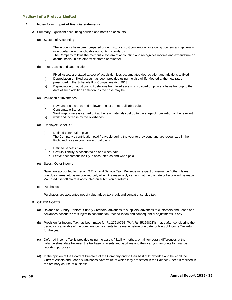i)

#### **1 Notes forming part of financial statements.**

- **A** Summary Significant accounting policies and notes on accounts.
	- (a) System of Accounting
		- The accounts have been prepared under historical cost convention, as a going concern and generally in accordance with applicable accounting standards.
		- ii) The Company follows the mercantile system of accounting and recognizes income and expenditure on accrual basis unless otherwise stated hereinafter.
	- (b) Fixed Assets and Depreciation
		- i) Fixed Assets are stated at cost of acquisition less accumulated depreciation and additions to fixed
		- ii) Depreciation on fixed assets has been provided using the Useful life Method at the new rates prescribed in the Schedule II of Companies Act, 2013.
		- iii) Depreciation on additions to / deletions from fixed assets is provided on pro-rata basis from/up to the date of such addition / deletion, as the case may be.
	- (c) Valuation of Inventories
		- i) Raw Materials are carried at lower of cost or net realisable value.
		- ii) Consumable Stores
		- iii) Work-in-progress is carried out at the raw materials cost up to the stage of completion of the relevant work and increase by the overheads.
	- (d) Employee Benefits :
		- i) Defined contribution plan : The Company's contribution paid / payable during the year to provident fund are recognized in the Profit and Loss Account on accrual basis.
		- ii) Defined benefits plan :
			- Gratuity liability is accounted as and when paid.
			- Leave encashment liability is accounted as and when paid.
	- (e) Sales / Other Income

Sales are accounted for net of VAT tax and Service Tax. Revenue in respect of insurance / other claims, overdue interest etc. is recognized only when it is reasonably certain that the ultimate collection will be made. VAT credit set off claim is accounted on submision of returns.

(f) Purchases

Purchases are accounted net of value added tax credit and cenvat of service tax.

#### B OTHER NOTES

- (a) Balance of Sundry Debtors, Sundry Creditors, advances to suppliers, advances to customers and Loans and Advances accounts are subject to confirmation, reconciliation and consequential adjustments, if any.
- (b) Provision for Income Tax has been made for Rs.27610755 (P.Y. Rs.45129823)is made after considering the deductions available of the company on payments to be made before due date for filing of Income Tax return for the year.
- (c) Deferred Income Tax is provided using the assets / liability method, on all temporary differences at the balance sheet date between the tax base of assets and liabilities and their carrying amounts for financial reporting purposes.
- (d) In the opinion of the Board of Directors of the Company and to their best of knowledge and belief all the Current Assets and Loans & Advnaces have value at which they are stated in the Balance Sheet, if realized in the ordinary course of business.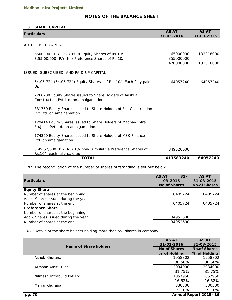# **NOTES OF THE BALANCE SHEET**

#### **3 SHARE CAPITAL**

| <b>Particulars</b>                                                                                     | <b>AS AT</b><br>31-03-2016 | <b>AS AT</b><br>31-03-2015 |
|--------------------------------------------------------------------------------------------------------|----------------------------|----------------------------|
| <b>AUTHORISED CAPITAL</b>                                                                              |                            |                            |
| 6500000 (P.Y.13231800) Equity Shares of Rs.10/-<br>3,55,00,000 (P.Y. Nil) Preference Shares of Rs.10/- | 65000000<br>355000000      | 132318000                  |
|                                                                                                        | 420000000                  | 132318000                  |
| ISSUED, SUBSCRIBED, AND PAID-UP CAPITAL                                                                |                            |                            |
| 64,05,724 (64,05,724) Equity Shares of Rs. 10/- Each fully paid<br>Up                                  | 64057240                   | 64057240                   |
| 2260200 Equity Shares issued to Share Holders of Aashka<br>Construction Pvt.Ltd. on amalgamation.      |                            |                            |
| 831750 Equity Shares issued to Share Holders of Elia Construction<br>Pvt.Ltd. on amalgamation.         |                            |                            |
| 129414 Equity Shares issued to Share Holders of Madhav Infra<br>Projects Pvt.Ltd. on amalgamation.     |                            |                            |
| 174360 Equity Shares issued to Share Holders of MSK Finance<br>Ltd. on amalgamation.                   |                            |                            |
| 3,49,52,600 (P.Y. Nil) 1% non-Cumulative Preference Shares of<br>Rs.10/- each fully paid up            | 349526000                  |                            |
| <b>TOTAL</b>                                                                                           | 413583240                  | 64057240                   |

**3.1** The reconciliation of the number of shares outstanding is set out below.

| <b>Particulars</b>                   | <b>AS AT</b><br>$31 -$<br>03-2016<br><b>No.of Shares</b> | <b>AS AT</b><br>31-03-2015<br><b>No.of Shares</b> |
|--------------------------------------|----------------------------------------------------------|---------------------------------------------------|
| <b>Equity Share</b>                  |                                                          |                                                   |
| Number of shares at the beginning    | 6405724                                                  | 6405724                                           |
| Add: - Shares issued during the year |                                                          |                                                   |
| Number of shares at the end          | 6405724                                                  | 6405724                                           |
| <b>Preference Share</b>              |                                                          |                                                   |
| Number of shares at the beginning    |                                                          |                                                   |
| Add: - Shares issued during the year | 34952600                                                 |                                                   |
| Number of shares at the end          | 34952600                                                 |                                                   |

**3.2** Details of the share holders holding more than 5% shares in company

|                              | <b>AS AT</b>        | <b>AS AT</b>          |
|------------------------------|---------------------|-----------------------|
| Name of Share holders        | 31-03-2016          | 31-03-2015            |
|                              | <b>No.of Shares</b> | <b>No.of Shares</b>   |
|                              | % of Holding        | % of Holding          |
| Ashok Khurana                | 1958802             | 1958802               |
|                              | 30.58%              | 30.58%                |
| Armaan Amit Trust            | 2034000             | 2034000               |
|                              | 31.75%              | 31.75%                |
| Nilmesh Infrabuild Pyt. Ltd. | 1057950             | 1057950               |
|                              | 16.52%              | 16.52%                |
| Manju Khurana                | 330300              | 330300                |
|                              | 5.16%               | 5.16%                 |
| pg. 70                       |                     | Annual Report 2015-16 |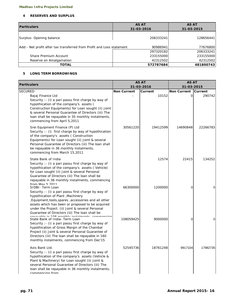#### **4 RESERVES AND SURPLUS**

| <b>Particulars</b>                                                     | <b>AS AT</b><br>31-03-2016 | <b>AS AT</b><br>31-03-2015 |
|------------------------------------------------------------------------|----------------------------|----------------------------|
| Surplus-Opening balance                                                | 206333241                  | 128656441                  |
| Add: - Net profit after tax transferred from Profit and Loss statement | 90986941                   | 77676800                   |
|                                                                        | 297320182                  | 206333241                  |
| Share Premium Account                                                  | 233155000                  | 233155000                  |
| Reserve on Amalgamation                                                | 42312502                   | 42312502                   |
| <b>TOTAL</b>                                                           | 572787684                  | 481800743                  |

#### **5 LONG TERM BORROWINGS**

| <b>Particulars</b>                                                                                                                                                                                                                                                                                                                            |                    | <b>AS AT</b><br>31-03-2016 | <b>AS AT</b>                     |                |
|-----------------------------------------------------------------------------------------------------------------------------------------------------------------------------------------------------------------------------------------------------------------------------------------------------------------------------------------------|--------------------|----------------------------|----------------------------------|----------------|
| <b>SECURED</b>                                                                                                                                                                                                                                                                                                                                | <b>Non Current</b> | Current                    | 31-03-2015<br><b>Non Current</b> | <b>Current</b> |
| Bajaj Finance Ltd<br>Security : - (i) a pari passu first charge by way of<br>hypothication of the company's assets (<br>Construction Equipments) for Loan sought (ii) Joint<br>& several Personal Guarantee of Directors (iii) The<br>loan shall be repayable in 35 monthly instalments,<br>commencing from April 5,2011                      |                    | 10152                      | $\mathbf{O}$                     | 290742         |
| Srei Equipment Finance (P) Ltd<br>Security :- (i) first charge by way of hypothication<br>of the company's assets (Construction<br>Equipments) for Loan sought (ii) Joint & several<br>Personal Guarantee of Directors (iii) The Ioan shall<br>be repayable in 36 monthly instalments,<br>commencing from March 15,2011                       | 30561220           | 19412599                   | 14690848                         | 22266783       |
| State Bank of India<br>Security : - (i) a pari passu first charge by way of<br>hypothication of the company's assets (Vehicle)<br>for Loan sought (ii) Joint & several Personal<br>Guarantee of Directors (iii) The loan shall be<br>repayable in 36 monthly instalments, commencing<br>from May 5 2011                                       |                    | 12574                      | 22415                            | 134252         |
| SIDBI- Term Loan<br>Security : - (i) a pari passu first charge by way of<br>hypothication of Plant, Machinery<br>, Equipment, tools, spares, accessories and all other<br>assets which hav been or proposed to be acquired<br>under the Project. (ii) Joint & several Personal<br>Guarantee of Directors (iii) The loan shall be              | 66300000           | 1200000                    | 0                                | 0              |
| ranavabla in 100 manthiv inatalmanta, aa<br>State Bank of India- Term Loan<br>Security : - (i) a pari passu first charge by way of<br>hypothication of Gross Margin of the Chambal<br>Project (ii) Joint & several Personal Guarantee of<br>Directors (iii) The loan shall be repayable in 160<br>monthly instalments, commencing from Dec'15 | 108059425          | 9000000                    | 0                                | 0              |
| Axis Bank Ltd.<br>Security : - (i) a pari passu first charge by way of<br>hypothication of the company's assets (Vehicle &<br>Plant & Machinery) for Loan sought (ii) Joint &<br>several Personal Guarantee of Directors (iii) The<br>loan shall be repayable in 36 monthly instalments,<br>commencing from                                   | 52545736           | 18761248                   | 9917104                          | 17982735       |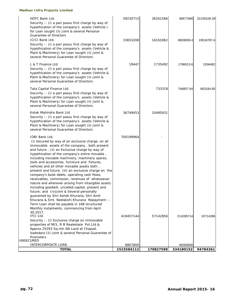| HDFC Bank Ltd.                                                                                                                                           | 59230715   | 36161566  | 38977690  | 22159108.39 |
|----------------------------------------------------------------------------------------------------------------------------------------------------------|------------|-----------|-----------|-------------|
| Security : - (i) a pari passu first charge by way of<br>hypothication of the company's assets (Vehicle)<br>for Loan sought (ii) Joint & several Personal |            |           |           |             |
| <b>Guarantee of Directors</b>                                                                                                                            |            |           |           |             |
| <b>ICICI Bank Ltd.</b><br>Security : - (i) a pari passu first charge by way of                                                                           | 33653208   | 16161862  | 8659009.4 | 19016787.6  |
| hypothication of the company's assets (Vehicle &                                                                                                         |            |           |           |             |
| Plant & Machinery) for Loan sought (ii) Joint &                                                                                                          |            |           |           |             |
| several Personal Guarantee of Directors                                                                                                                  |            |           |           |             |
| L & T Finance Ltd.                                                                                                                                       | 19447      | 1735492   | 1786913.6 | 1556482     |
| Security : - (i) a pari passu first charge by way of                                                                                                     |            |           |           |             |
| hypothication of the company's assets (Vehicle &                                                                                                         |            |           |           |             |
| Plant & Machinery) for Loan sought (ii) Joint &<br>several Personal Guarantee of Directors                                                               |            |           |           |             |
|                                                                                                                                                          |            |           |           |             |
| Tata Capital Finance Ltd.                                                                                                                                |            | 733318    | 746857.64 | 663184.85   |
| Security : - (i) a pari passu first charge by way of<br>hypothication of the company's assets (Vehicle &                                                 |            |           |           |             |
| Plant & Machinery) for Loan sought (ii) Joint &                                                                                                          |            |           |           |             |
| several Personal Guarantee of Directors                                                                                                                  |            |           |           |             |
| Kotak Mahindra Bank Ltd                                                                                                                                  | 36749453   | 10495931  |           |             |
| Security : - (i) a pari passu first charge by way of                                                                                                     |            |           |           |             |
| hypothication of the company's assets (Vehicle &                                                                                                         |            |           |           |             |
| Plant & Machinery) for Loan sought (ii) Joint &                                                                                                          |            |           |           |             |
| several Personal Guarantee of Directors                                                                                                                  |            |           |           |             |
| <b>IDBI Bank Ltd.</b>                                                                                                                                    | 700199964  |           |           |             |
| (i) Secured by way of an exclusive charge, on all                                                                                                        |            |           |           |             |
| immovable assets of the company, both present                                                                                                            |            |           |           |             |
| and future ; (ii) an Exclusive charge by way of                                                                                                          |            |           |           |             |
| hypothication of the company's entire movable,<br>including movable machinery, machinery spares,                                                         |            |           |           |             |
| tools and accessories, furniture and fixtures,                                                                                                           |            |           |           |             |
| vehicles and all other movable assets both,                                                                                                              |            |           |           |             |
| present and future; (iii) an exclusive charge on the                                                                                                     |            |           |           |             |
| company's book-debts, operating cash flows,                                                                                                              |            |           |           |             |
| receivables, commission, revenues of whatsoever<br>nature and wherever arising from intangible assets                                                    |            |           |           |             |
| including goodwill, uncalled capital, present and                                                                                                        |            |           |           |             |
| future; and (iv) Joint & Several personally                                                                                                              |            |           |           |             |
| guaranted by Shri Ashok Khurana, Shri Amit                                                                                                               |            |           |           |             |
| Khurana & Smt. Neelakshi Khurana Repayment :-                                                                                                            |            |           |           |             |
| Term Loan shall be payable in 168 structured                                                                                                             |            |           |           |             |
| Monthly instalments, commencing from April<br>30,2017.                                                                                                   |            |           |           |             |
| <b>IFCI Ltd.</b>                                                                                                                                         | 419457144  | 57142856  | 214285714 | 10714286    |
| Security : - (i) Exclusive charge on immovable                                                                                                           |            |           |           |             |
| properties of M/S. R B Realestate Pvt.Ltd.&                                                                                                              |            |           |           |             |
| Approx.25293 Sq.mtr.NA Land at Chapad,                                                                                                                   |            |           |           |             |
| Vadodara (ii) Joint & several Personal Guarantee of<br>Promoters                                                                                         |            |           |           |             |
| <b>UNSECURED</b>                                                                                                                                         |            |           |           |             |
| INTERCORPOATE LOAN                                                                                                                                       | 8807800    |           | 45093600  |             |
| <b>TOTAL</b>                                                                                                                                             | 1515584112 | 170827598 | 334180152 | 94784361    |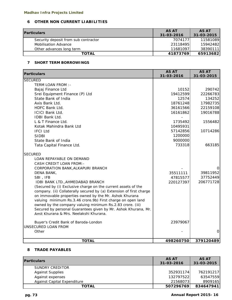# **6 OTHER NON CURRENT LIABILITIES**

| <b>Particulars</b>                   | <b>AS AT</b> | <b>AS AT</b> |
|--------------------------------------|--------------|--------------|
|                                      | 31-03-2016   | 31-03-2015   |
| Security deposit from sub contractor | 7074177      | 11581089     |
| <b>Mobilisation Advance</b>          | 23118495     | 15942482     |
| Other advances long term             | 11681097     | 38390111     |
| <b>TOTAL</b>                         | 41873769     | 65913682     |

# **7 SHORT TERM BORROWINGS**

| <b>Particulars</b>                                                  | <b>AS AT</b><br>31-03-2016 | <b>AS AT</b><br>31-03-2015 |
|---------------------------------------------------------------------|----------------------------|----------------------------|
| <b>SECURED</b>                                                      |                            |                            |
| TERM LOAN FROM :-                                                   |                            |                            |
| Bajaj Finance Ltd                                                   | 10152                      | 290742                     |
| Srei Equipment Finance (P) Ltd                                      | 19412599                   | 22266783                   |
| State Bank of India                                                 | 12574                      | 134252                     |
| Axis Bank Ltd.                                                      | 18761248                   | 17982735                   |
| HDFC Bank Ltd.                                                      | 36161566                   | 22159108                   |
| <b>ICICI Bank Ltd.</b>                                              | 16161862                   | 19016788                   |
| <b>IDBI Bank Ltd.</b>                                               |                            |                            |
| $L$ & T Finance Ltd.                                                | 1735492                    | 1556482                    |
| Kotak Mahindra Bank Ltd                                             | 10495931                   |                            |
| <b>IFCI Ltd</b>                                                     | 57142856                   | 10714286                   |
| <b>SIDBI</b>                                                        | 1200000                    |                            |
| State Bank of India                                                 | 9000000                    |                            |
| Tata Capital Finance Ltd.                                           | 733318                     | 663185                     |
| <b>SECURED</b>                                                      |                            |                            |
| LOAN REPAYABLE ON DEMAND                                            |                            |                            |
| <b>CASH CREDIT LOAN FROM: -</b>                                     |                            |                            |
| CORPORATION BANK, ALKAPURI BRANCH                                   |                            | 0                          |
| DENA BANK,                                                          | 35511111                   | 39811952                   |
| SBI, IFB                                                            | 47815577                   | 37752449                   |
| IDBI BANK LTD., AHMEDABAD BRANCH                                    | 220127397                  | 206771728                  |
| (Secured by (i) Exclusive charge on the current assets of the       |                            |                            |
| company. (ii) Collaterally secured by (a) Extension of first charge |                            |                            |
| on immovable properties owned by the Mr. Ashok Khurana              |                            |                            |
| valuing minimum Rs.3.46 crore.9b) First charge on open land         |                            |                            |
| owned by the company valuing minimum Rs.2.83 crore. (iii)           |                            |                            |
| Secured by personal Guarantees given by Mr. Ashok Khurana, Mr.      |                            |                            |
| Amit Khurana & Mrs. Neelakshi Khurana.                              |                            |                            |
| Buyer's Credit Bank of Baroda-London                                | 23979067                   |                            |
| UNSECURED LOAN FROM                                                 |                            |                            |
| Other                                                               |                            | $\overline{O}$             |
| <b>TOTAL</b>                                                        | 498260750                  | 379120489                  |

#### **8 TRADE PAYABLES**

| <b>Particulars</b>          | <b>AS AT</b><br>31-03-2016 | <b>AS AT</b><br>31-03-2015 |
|-----------------------------|----------------------------|----------------------------|
| SUNDRY CREDITOR             |                            |                            |
| <b>Against Supplies</b>     | 352931174                  | 762191217                  |
| Against expenses            | 132797522                  | 63547559                   |
| Against Capital Expenditure | 21568073                   | 8909165                    |
| <b>TOTAL</b>                | 507296769                  | 834647941                  |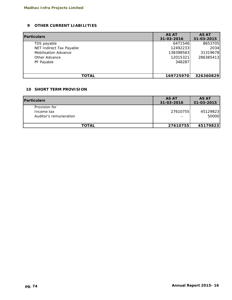## **9 OTHER CURRENT LIABILITIES**

| <b>Particulars</b>          | <b>AS AT</b> | <b>AS AT</b> |  |
|-----------------------------|--------------|--------------|--|
|                             | 31-03-2016   | 31-03-2015   |  |
| TDS payable                 | 6471546      | 8653705      |  |
| NET Indirect Tax Payable    | 12492233     | 2034         |  |
| <b>Mobilisation Advance</b> | 138398583    | 31319678     |  |
| Other Advance               | 12015321     | 286385413    |  |
| PF Payable                  | 348287       |              |  |
|                             |              |              |  |
|                             |              |              |  |
| TOTAL                       | 169725970    | 326360829    |  |

#### **10 SHORT TERM PROVISION**

| <b>Particulars</b>                                    | <b>AS AT</b><br>31-03-2016           | <b>AS AT</b><br>31-03-2015 |
|-------------------------------------------------------|--------------------------------------|----------------------------|
| Provision for<br>Income tax<br>Auditor's remuneration | 27610755<br>$\overline{\phantom{0}}$ | 45129823<br>50000          |
| <b>TOTAL</b>                                          | 27610755                             | 45179823                   |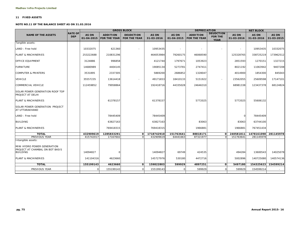#### **11 FIXED ASSETS**

#### **NOTE NO.11 OF THE BALANCE SHEET AS ON 31.03.2016**

|                                                                                   |                              |                            |                                        | <b>GROSS BLOCK</b>                      |                     |                            | <b>DEPRECIATION</b>                    |                                                   |                     | <b>NET BLOCK</b>     |                     |
|-----------------------------------------------------------------------------------|------------------------------|----------------------------|----------------------------------------|-----------------------------------------|---------------------|----------------------------|----------------------------------------|---------------------------------------------------|---------------------|----------------------|---------------------|
| <b>NAME OF THE ASSETS</b>                                                         | <b>RATE OF</b><br><b>DEP</b> | <b>AS ON</b><br>01-04-2015 | <b>ADDITION</b><br><b>FOR THE YEAR</b> | <b>DEUDCTION</b><br><b>FOR THE YEAR</b> | AS ON<br>31-03-2016 | <b>AS ON</b><br>01-04-2015 | <b>ADDITION</b><br><b>FOR THE YEAR</b> | <b>DEUDCTION</b><br><b>FOR THE</b><br><b>YEAR</b> | AS ON<br>31-03-2016 | AS ON<br>31-03-2016  | AS ON<br>31-03-2015 |
| Tangible assets:                                                                  |                              |                            |                                        |                                         |                     |                            |                                        |                                                   |                     |                      |                     |
| LAND: Free hold                                                                   |                              | 10332075                   | 621360                                 |                                         | 10953435            |                            |                                        |                                                   |                     | 10953435             | 10332075            |
| <b>PLANT &amp; MACHINERIES</b>                                                    |                              | 253222688                  | 210831296                              |                                         | 464053984           | 79260175                   | 46068590                               |                                                   | 125328765           | 338725219            | 173962512           |
| OFFICE EQUIPMENT                                                                  |                              | 3124886                    | 996858                                 |                                         | 4121744             | 1797671                    | 1053923                                |                                                   | 2851593             | 1270151              | 1327215             |
| <b>FURNITURE</b>                                                                  |                              | 14680989                   | 4404145                                |                                         | 19085134            | 5273781                    | 2747411                                |                                                   | 8021192             | 11063942             | 9407208             |
| <b>COMPUTER &amp; PRINTERS</b>                                                    |                              | 3531895                    | 2337305                                |                                         | 5869200             | 2686852                    | 1328047                                |                                                   | 4014900             | 1854300              | 845043              |
| <b>VEHICLE</b>                                                                    |                              | 35557235                   | 13614418                               |                                         | 49171653            | 18410133                   | 5151922                                | $\sim$                                            | 23562055            | 25609598             | 17147101            |
| COMMERCIAL VEHICLE                                                                |                              | 112459852                  | 79958864                               |                                         | 192418716           | 44335028                   | 24646310                               |                                                   | 68981338            | 123437378            | 68124824            |
| SOLAR POWER GENERATION ROOF TOP<br><b>PROJECT AT DELHI</b>                        |                              |                            |                                        |                                         |                     |                            |                                        |                                                   |                     |                      |                     |
| PLANT & MACHINERIES                                                               |                              |                            | 61378157                               |                                         | 61378157            |                            | 5772025                                |                                                   | 5772025             | 55606132             |                     |
| SOLAR POWER GENERATION PROJECT<br>AT UTTARAKHAND                                  |                              |                            |                                        |                                         |                     |                            |                                        |                                                   |                     |                      |                     |
| LAND : Free hold                                                                  |                              |                            | 78445409                               |                                         | 78445409            |                            |                                        |                                                   | 0                   | 78445409             |                     |
| <b>BUILDING</b>                                                                   |                              |                            | 63827163                               |                                         | 63827163            |                            | 83063                                  |                                                   | 83063               | 63744100             |                     |
| PLANT & MACHINERIES                                                               |                              |                            | 769418315                              |                                         | 769418315           |                            | 1966881                                |                                                   | 1966881             | 767451434            |                     |
| <b>TOTAL</b>                                                                      |                              | 432909619                  | 1285833291                             | O                                       | 1718742910          | 151763641                  | 88818171                               | οI                                                | 240581811           | 1478161098 281145978 |                     |
| PREVIOUS YEAR                                                                     |                              | 415742017                  | 17167602                               | $\Omega$                                | 432909619           | 64441663                   | 87321977                               | $\Omega$                                          | 151763641           | 281145978            |                     |
| Intangible assets:                                                                |                              |                            |                                        |                                         |                     |                            |                                        |                                                   |                     |                      |                     |
| MINI HYDRO POWER GENERATION<br>PROJECT AT CHAMBAL ON BOT BASIS<br><b>BUILDING</b> |                              | 14094827                   | ∩                                      |                                         | 14094827            | 69749                      | 424535                                 |                                                   | 494284              | 13600543             | 14025078            |
| PLANT & MACHINERIES                                                               |                              | 141104316                  | 4623660                                |                                         | 145727976           | 530180                     | 4472716                                |                                                   | 5002896             | 140725080            | 140574136           |
| <b>TOTAL</b>                                                                      |                              | 155199143                  | 4623660                                | 0                                       | 159822803           | 599929                     | 4897251                                | $\Omega$                                          | 5497180             | 154325623            | 154599214           |
| PREVIOUS YEAR                                                                     |                              |                            | 155199143                              | $\Omega$                                | 155199143           |                            | 599929                                 |                                                   | 599929              | 154599214            |                     |
|                                                                                   |                              |                            |                                        |                                         |                     |                            |                                        |                                                   |                     |                      |                     |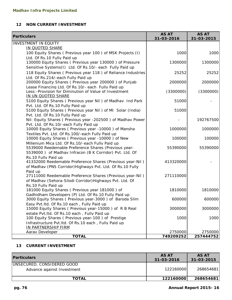## **12 NON CURRENT INVESTMENT**

| <b>Particulars</b>                                                    | <b>AS AT</b><br>31-03-2016 | <b>AS AT</b><br>31-03-2015 |
|-----------------------------------------------------------------------|----------------------------|----------------------------|
| <b>INVESTMENT IN EQUITY</b>                                           |                            |                            |
| IN QUOTED SHARE                                                       |                            |                            |
| 100 Equity Shares (Previous year 100) of MSK Projects (I)             | 1000                       | 1000                       |
| Ltd. Of Rs.10 Fully Paid up                                           |                            |                            |
| 130000 Equity Shares ( Previous year 130000 ) of Pressure             | 1300000                    | 1300000                    |
| Sensitive Systems(I) Ltd. Of Rs.10/- each Fully Paid up               |                            |                            |
| 118 Equity Shares (Previous year 118) of Reliance Industries          | 25252                      | 25252                      |
| Ltd. Of Rs.214/-each Fully Paid up                                    |                            |                            |
| 200000 Equity Shares ( Previous year 200000 ) of Punjab               | 2000000                    | 2000000                    |
| Lease Financing Ltd. Of Rs.10/- each Fully Paid up                    |                            |                            |
| Less: - Provision for Diminution of Value of Investment               | (3300000)                  | (3300000)                  |
| IN UN QUOTED SHARE                                                    |                            |                            |
| 5100 Equity Shares ( Previous year Nil) of Madhav Ind Park            | 51000                      |                            |
| Pvt. Ltd. Of Rs. 10 Fully Paid up                                     |                            |                            |
| 5100 Equity Shares (Previous year Nil) of MI Solar (India)            | 51000                      |                            |
| Pvt. Ltd. Of Rs. 10 Fully Paid up                                     |                            |                            |
| Nil- Equity Shares (Previous year -202500) of Madhav Power            |                            | 192767500                  |
| Pvt. Ltd. Of Rs.10/-each Fully Paid up                                |                            |                            |
| 10000 Equity Shares (Previous year -10000) of Mansha                  | 1000000                    | 1000000                    |
| Textiles Pvt. Ltd. Of Rs. 100/-each Fully Paid up                     |                            |                            |
| 10000 Equity Shares (Previous year -10000) of New                     | 100000                     | 100000                     |
| Millenium Mica Ltd. Of Rs.10/-each Fully Paid up                      |                            |                            |
| 5539000 Reedemable Preference Shares (Previous year-                  | 55390000                   | 55390000                   |
| 5539000) of Madhav Infracon (B K Corridor) Pvt. Ltd. Of               |                            |                            |
| Rs.10 Fully Paid up                                                   |                            |                            |
| 41332000 Reedemable Preference Shares (Previous year-Nil)             | 413320000                  |                            |
| of Madhav (PNS Corridor) Highways Pvt. Ltd. Of Rs. 10 Fully           |                            |                            |
| Paid up                                                               |                            |                            |
| 27111000 Reedemable Preference Shares (Previous year-Nil)             | 271110000                  |                            |
| of Madhav (Sehora-Silodi Corridor) Highways Pvt. Ltd. Of              |                            |                            |
| Rs.10 Fully Paid up<br>181000 Equity Shares (Previous year 181000) of | 1810000                    | 1810000                    |
| Gadhidham Developers (P) Ltd. Of Rs. 10 Fully Paid up                 |                            |                            |
| 3000 Equity Shares (Previous year-3000) of Baroda Slim                | 600000                     | 600000                     |
| Easy Pvt. Itd. Of Rs. 10 each, Fully Paid up                          |                            |                            |
| 15000 Equity Shares (Previous year-15000) of R B Real                 | 3000000                    | 3000000                    |
| estate Pvt. Itd. Of Rs. 10 each, Fully Paid up                        |                            |                            |
| 100 Equity Shares (Previous year-100) of Prestige                     | 1000                       | 1000                       |
| Infrastructure Pvt. Itd. Of Rs. 10 each, Fully Paid up                |                            |                            |
| IN PARTNERSHIP FIRM                                                   |                            |                            |
| <b>Aarav Developer</b>                                                | 2750000                    | 2750000                    |
| <b>TOTAL</b>                                                          | 749209252                  | 257444752                  |

# **13 CURRENT INVESTMENT**

| <b>Particulars</b>                                       | <b>AS AT</b><br>31-03-2016 | <b>AS AT</b><br>31-03-2015 |
|----------------------------------------------------------|----------------------------|----------------------------|
| UNSECURED, CONSIDERED GOOD<br>Advance against Investment | 1221600001                 | 268654681                  |
| <b>TOTAL</b>                                             | 122160000                  | 268654681                  |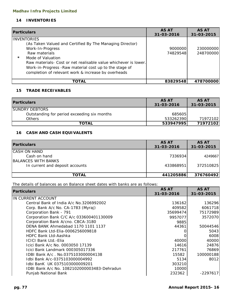# **14 INVENTORIES**

| <b>Particulars</b>                                                                                                                                                                                                                                                                                                                       | <b>AS AT</b><br>31-03-2016 | <b>AS AT</b><br>31-03-2015 |
|------------------------------------------------------------------------------------------------------------------------------------------------------------------------------------------------------------------------------------------------------------------------------------------------------------------------------------------|----------------------------|----------------------------|
| <b>INVENTORIES</b><br>(As Taken Valued and Certified By The Managing Director)<br>Work-In-Progress<br>Raw materials<br>$\star$<br>Mode of Valuation<br>Raw materials- Cost or net realisable value whichever is lower.<br>Work-in-Progress - Raw material cost up to the stage of<br>completion of relevant work & increase by overheads | 9000000<br>74829548        | 230000000<br>248700000     |
| TOTAL                                                                                                                                                                                                                                                                                                                                    | 83829548                   | 478700000                  |

# **15 TRADE RECEIVABLES**

| <b>Particulars</b>                          | <b>AS AT</b><br>31-03-2016 | AS AT<br>31-03-2015 |
|---------------------------------------------|----------------------------|---------------------|
| <b>SUNDRY DEBTORS</b>                       |                            |                     |
| Outstanding for period exceeding six months | 685605                     |                     |
| <b>Others</b>                               | 533262390                  | 719721021           |
| <b>TOTAL</b>                                | 533947995                  | 71972102            |

# **16 CASH AND CASH EQUIVALENTS**

| <b>Particulars</b>              | <b>AS AT</b><br>31-03-2016 | <b>AS AT</b><br>31-03-2015 |
|---------------------------------|----------------------------|----------------------------|
| CASH ON HAND                    |                            |                            |
| Cash on hand                    | 7336934                    | 4249667                    |
| BALANCES WITH BANKS             |                            |                            |
| In current and deposit accounts | 433868951                  | 372510825                  |
|                                 |                            |                            |
| <b>TOTAL</b>                    | 441205886                  | 376760492                  |

# The details of balances as on Balance sheet dates with banks are as follows:

| <b>Particulars</b>                          | <b>AS AT</b><br>31-03-2016 | <b>AS AT</b><br>31-03-2015 |
|---------------------------------------------|----------------------------|----------------------------|
| IN CURRENT ACCOUNT                          |                            |                            |
| Central Bank of India A/c No.3206992002     | 136162                     | 136296                     |
| Corp. Bank A/c No. CA-1783 (Myraj)          | 409582                     | 6061718                    |
| Corporation Bank - 791                      | 35699474                   | 75172989                   |
| Corporation Bank C/C A/c 033600401130009    | 9957077                    | 3572070                    |
| Corporation Bank A/cno. CBCA-3180           | 9885                       |                            |
| DENA BANK Ahmedabad 1170 1101 1137          | 44361                      | 50044546                   |
| HDFC Bank Ltd-Elia-0006256009818            |                            | 5043                       |
| <b>HDFC Bank Ltd-Aashka</b>                 |                            | 6008                       |
| <b>ICICI Bank Ltd.-Elia</b>                 | 40000                      | 40000                      |
| Icici Bank A/c No. 0003050 17139            | 14616                      | 24876                      |
| Icici Bank Landmark 000305017336            | 217761                     | 76869                      |
| IDBI Bank A/c. No.0375103000004138          | 15582                      | 100000188                  |
| Idbi Bank A/c-0375103000004992              | 5134                       | 8012                       |
| Idbi BanK UK 0375103000009201               | 303210                     |                            |
| IDBI Bank A/c No. 1082102000003483-Dehradun | 10000                      |                            |
| Punjab National Bank                        | 232362                     | $-2297617$                 |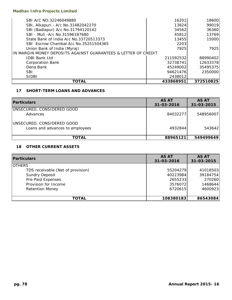| SBI A/C NO.32246049880                                         | 16201     | 18600     |
|----------------------------------------------------------------|-----------|-----------|
| SBI, Alkapuri - A/c No.31482042270                             | 13824     | 99019     |
| SBI (Badlapur) A/c No.31794120142                              | 34562     | 36360     |
| SBI - Muli - A/c No. 31596187680                               | 45812     | 13769     |
| State Bank of India A/c No.33720513373                         | 13455     | 15000     |
| SBI Escrow Chambal A/c No.35251504365                          | 2203      |           |
| Union Bank of India (Myraj)                                    | 7925      | 7925      |
| IN MARGIN MONEY DEPOSITS AGAINST GUARANTEES & LETTER OF CREDIT |           |           |
| <b>IDBI Bank Ltd</b>                                           | 211592532 | 88990402  |
| <b>Corporation Bank</b>                                        | 32738741  | 12633378  |
| Dena Bank                                                      | 45249002  | 35495375  |
| <b>SBI</b>                                                     | 94621476  | 2350000   |
| <b>SIDBI</b>                                                   | 2438012   |           |
| TOTAL                                                          | 433868951 | 372510825 |

# **17 SHORT-TERM LOANS AND ADVANCES**

| <b>Particulars</b>                                            | <b>AS AT</b><br>31-03-2016 | <b>AS AT</b><br>31-03-2015 |
|---------------------------------------------------------------|----------------------------|----------------------------|
| UNSECURED, CONSIDERED GOOD<br>Advances                        | 840322771                  | 548956007                  |
| UNSECURED, CONSIDERED GOOD<br>Loans and advances to employees | 4932844                    | 543642                     |
| <b>TOTAL</b>                                                  | 88965121                   | 549499649                  |

## **18 OTHER CURRENT ASSETS**

| <b>Particulars</b>                | <b>AS AT</b><br>31-03-2016 | <b>AS AT</b><br>31-03-2015 |
|-----------------------------------|----------------------------|----------------------------|
| <b>OTHERS</b>                     |                            |                            |
| TDS receivable (Net of provision) | 55204279                   | 41018503                   |
| <b>Sundry Deposit</b>             | 40223984                   | 39184754                   |
| Pre-Paid Expenses                 | 2655233                    | 270260                     |
| Provision for Income              | 3576072                    | 1468644                    |
| <b>Retention Money</b>            | 6720615                    | 4600923                    |
|                                   |                            |                            |
| <b>TOTAL</b>                      | 108380183                  | 86543084                   |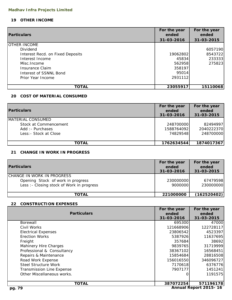## **19 OTHER INCOME**

|                                  | For the year | For the year |
|----------------------------------|--------------|--------------|
| <b>Particulars</b>               | ended        | ended        |
|                                  | 31-03-2016   | 31-03-2015   |
| <b>OTHER INCOME</b>              |              |              |
| Dividend                         |              | 6057190      |
| Interest Recd. on Fixed Deposits | 19062802     | 8543722      |
| Interest Income                  | 45834        | 233333       |
| Misc. Income                     | 562958       | 275823       |
| Insurance Claim                  | 358197       |              |
| Interest of SSNNL Bond           | 95014        |              |
| Prior Year Income                | 2931112      |              |
|                                  |              |              |
| <b>TOTAL</b>                     | 23055917     | 15110068     |

# **20 COST OF MATERIAL CONSUMED**

| <b>Particulars</b>                                                                               | For the year<br>ended<br>31-03-2016 | For the year<br>ended<br>31-03-2015 |
|--------------------------------------------------------------------------------------------------|-------------------------------------|-------------------------------------|
| <b>IMATERIAL CONSUMED</b><br>Stock at Commencement<br>Add: - Purchases<br>Less: - Stock at Close | 248700000<br>1588764092<br>74829548 | 82494997<br>2040222370<br>248700000 |
| <b>TOTAL</b>                                                                                     | 1762634544                          | 1874017367                          |

# **21 CHANGE IN WORK IN PROGRESS**

| <b>Particulars</b>                                                                                             | For the year<br>ended<br>31-03-2016 | For the year<br>ended<br>31-03-2015 |
|----------------------------------------------------------------------------------------------------------------|-------------------------------------|-------------------------------------|
| ICHANGE IN WORK IN PROGRESS<br>Opening Stock of work in progress<br>Less : - Closing stock of Work in progress | 230000000<br>9000000                | 67479598<br>230000000               |
| <b>TOTAL</b>                                                                                                   | 221000000                           | (162520402)                         |

# **22 CONSTRUCTION EXPENSES**

|                                  | For the year | For the year          |
|----------------------------------|--------------|-----------------------|
| <b>Particulars</b>               | ended        | ended                 |
|                                  | 31-03-2016   | 31-03-2015            |
| <b>Borewall</b>                  | 695300       | 47000                 |
| Civil Works                      | 121668906    | 122728117             |
| <b>Electrical Expenses</b>       | 23806542     | 4523397               |
| <b>Erection Works</b>            | 5387926      | 11637695              |
| Freight                          | 357684       | 38692                 |
| <b>Mahinery Hire Charges</b>     | 9839765      | 31719999              |
| Professional & Consultancy       | 38367102     | 16568451              |
| Repairs & Maintenance            | 15854684     | 28816508              |
| Road Work Expense                | 156016550    | 346096727             |
| <b>Steel Structure Work</b>      | 7170618      | 6376776               |
| <b>Transmission Line Expense</b> | 7907177      | 1451241               |
| Other Miscellaneous works.       |              | 1191575               |
|                                  |              |                       |
| <b>TOTAL</b>                     | 387072254    | 571196178             |
| pg. 79                           |              | Annual Report 2015-16 |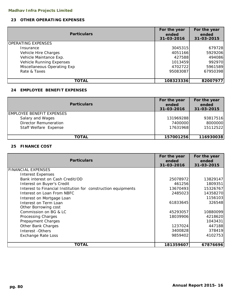# **23 OTHER OPERATING EXPENSES**

| <b>Particulars</b>              | For the year<br>ended<br>31-03-2016 | For the year<br>ended<br>31-03-2015 |
|---------------------------------|-------------------------------------|-------------------------------------|
| <b>OPERATING EXPENSES</b>       |                                     |                                     |
| Insurance                       | 3045315                             | 679728                              |
| Vehicle Hire Charges            | 4051166                             | 5929206                             |
| Vehicle Maintance Exp.          | 427588                              | 494086                              |
| <b>Vehicle Running Expenses</b> | 1013459                             | 992970                              |
| Miscellaneous Operating Exp     | 4702722                             | 5961589                             |
| Rate & Taxes                    | 95083087                            | 67950398                            |
|                                 |                                     |                                     |
| TOTAL                           | 108323336                           | 82007977                            |

## **24 EMPLOYEE BENEFIT EXPENSES**

| <b>Particulars</b>               | For the year<br>ended<br>31-03-2016 | For the year<br>ended<br>31-03-2015 |
|----------------------------------|-------------------------------------|-------------------------------------|
| <b>EMPLOYEE BENEFIT EXPENSES</b> |                                     |                                     |
| Salary and Wages                 | 131969288                           | 93817516                            |
| <b>Director Remuneration</b>     | 7400000                             | 8000000                             |
| Staff Welfare Expense            | 17631968                            | 15112522                            |
|                                  |                                     |                                     |
| TOTAL                            | 157001256                           | 116930038                           |

## **25 FINANCE COST**

| <b>Particulars</b>                                            | For the year<br>ended<br>31-03-2016 | For the year<br>ended<br>31-03-2015 |
|---------------------------------------------------------------|-------------------------------------|-------------------------------------|
| <b>FINANCIAL EXPENSES</b>                                     |                                     |                                     |
| <b>Interest Expenses</b>                                      |                                     |                                     |
| Bank interest on Cash Credit/OD                               | 25078972                            | 13829147                            |
| Interest on Buyer's Credit                                    | 461256                              | 1809351                             |
| Interest to Financial Institution for construction equipments | 13670493                            | 15326767                            |
| Interest on Loan From NBFC                                    | 2485023                             | 14358270                            |
| Interest on Mortgage Loan                                     |                                     | 1156103                             |
| Interest on Term Loan                                         | 61833645                            | 326548                              |
| Other Borrowing cost                                          |                                     |                                     |
| Commission on BG & LC                                         | 45293057                            | 10880099                            |
| Processing Charges                                            | 18039906                            | 4218620                             |
| Prepayment Charges                                            |                                     | 1043431                             |
| Other Bank Charges                                            | 1237024                             | 447188                              |
| Interest - Others                                             | 3400828                             | 378419                              |
| <b>Exchange Rate Loss</b>                                     | 9859402                             | 4102753                             |
| TOTAL                                                         | 181359607                           | 67876696                            |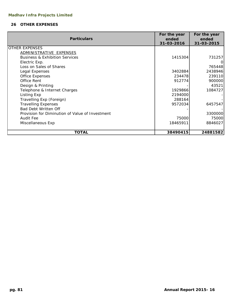## **26 OTHER EXPENSES**

|                                                 | For the year | For the year |
|-------------------------------------------------|--------------|--------------|
| <b>Particulars</b>                              | ended        | ended        |
|                                                 | 31-03-2016   | 31-03-2015   |
| <b>OTHER EXPENSES</b>                           |              |              |
| ADMINISTRATIVE EXPENSES                         |              |              |
| <b>Business &amp; Exhibition Services</b>       | 1415304      | 731257       |
| Electric Exp.                                   |              |              |
| Loss on Sales of Shares                         |              | 765448       |
| Legal Expenses                                  | 3402884      | 2438946      |
| <b>Office Expenses</b>                          | 234478       | 239110       |
| Office Rent                                     | 912774       | 900000       |
| Design & Printing                               |              | 43521        |
| Telephone & Internet Charges                    | 1929866      | 1084727      |
| Listing Exp                                     | 2194000      |              |
| Travelling Exp (Foreign)                        | 288164       |              |
| <b>Travelling Expenses</b>                      | 9572034      | 6457547      |
| <b>Bad Debt Written Off</b>                     |              |              |
| Provision for Diminution of Value of Investment |              | 3300000      |
| Audit Fee                                       | 75000        | 75000        |
| Miscellaneous Exp                               | 18465911     | 8846027      |
|                                                 |              |              |
| TOTAL                                           | 38490415     | 24881582     |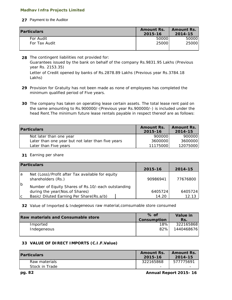### **27** Payment to the Auditor

| <b>Particulars</b> | <b>Amount Rs.</b><br>2015-16 | <b>Amount Rs.</b><br>2014-15 |
|--------------------|------------------------------|------------------------------|
| For Audit          | 50000                        | 50000                        |
| For Tax Audit      | 25000                        | 25000                        |

**28** The contingent liabilities not provided for: Letter of Credit opened by banks of Rs.2878.89 Lakhs (Previous year Rs.3784.18 Lakhs) Guarantees issued by the bank on behalf of the company Rs.9831.95 Lakhs (Previous year Rs. 2153.35)

- **29** Provision for Gratuity has not been made as none of employees has completed the minimum qualified period of Five years.
- **30** The company has taken on operating lease certain assets. The total lease rent paid on the same amounting to Rs.900000/-(Previous year Rs.900000/-) is included under the head Rent.The minimum future lease rentals payable in respect thereof are as follows:

| <b>Particulars</b>                                | <b>Amount Rs.</b><br>2015-16 | <b>Amount Rs.</b><br>2014-15 |
|---------------------------------------------------|------------------------------|------------------------------|
| Not later than one year                           | 900000                       | 900000                       |
| Later than one year but not later than five years | 3600000                      | 3600000                      |
| Later than Five years                             | 11175000                     | 12075000                     |

# **31** Earning per share

|    | <b>Particulars</b>                                                                     |          |          |
|----|----------------------------------------------------------------------------------------|----------|----------|
|    |                                                                                        | 2015-16  | 2014-15  |
| Ia | Net (Loss)/Profit after Tax available for equity<br>shareholders (Rs.)                 | 90986941 | 77676800 |
| Ib | Number of Equity Shares of Rs.10/-each outstanding<br>during the year (Nos. of Shares) | 6405724  | 6405724  |
| Iс | Basic/ Diluted Earning Per Share(Rs.a/b)                                               | 14.20    | 12.13    |

**32** Value of Imported & Indegeneous raw material,comsumable store consumed

| <b>Raw materials and Consumable store</b> | $%$ of<br>Consumption | <b>Value in</b><br>Rs. |
|-------------------------------------------|-----------------------|------------------------|
| Imported                                  | 18%                   | 322165868              |
| Indegeneous                               | 82%                   | 1440468676             |
|                                           |                       |                        |

# **33 VALUE OF DIRECT IMPORTS (C.I.F.Value)**

| <b>Particulars</b> | <b>Amount Rs.</b><br>2015-16 | <b>Amount Rs.</b><br>2014-15 |
|--------------------|------------------------------|------------------------------|
| Raw materials      | 322165868                    | 577775691                    |
| Stock in Trade     | -                            |                              |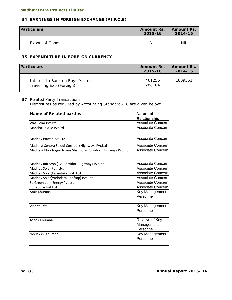# **34 EARNINGS IN FOREIGN EXCHANGE (At F.O.B)**

| <b>Particulars</b> |                        | <b>Amount Rs.</b><br>2015-16 | <b>Amount Rs.</b><br>2014-15 |
|--------------------|------------------------|------------------------------|------------------------------|
|                    | <b>Export of Goods</b> | Nil                          | NiL                          |

## **35 EXPENDITURE IN FOREIGN CURRENCY**

| <b>Particulars</b>                                             | <b>Amount Rs.</b><br>2015-16 | <b>Amount Rs.</b><br>2014-15 |
|----------------------------------------------------------------|------------------------------|------------------------------|
| Interest to Bank on Buyer's credit<br>Travelling Exp (Foreign) | 461256<br>288164             | 1809351                      |

#### **37** Related Party Transactions:

Disclosures as required by Accounting Standard -18 are given below:

| Name of Related parties                                      | <b>Nature of</b>                           |
|--------------------------------------------------------------|--------------------------------------------|
|                                                              | <b>Relationship</b>                        |
| Waa Solar Pvt Ltd.                                           | Associate Concern                          |
| Mansha Textile Pyt. Itd.                                     | Associate Concern                          |
| Madhav Power Pvt. Ltd.                                       | Associate Concern                          |
| Madhav( Sehora Selodi Corridor) Highways Pvt.Ltd             | Associate Concern                          |
| Madhav( Phoolsagar Niwas Shahpura Corridor) Highways Pvt.Ltd | Associate Concern                          |
| Madhav Infracon (BK Corridor) Highways Pvt.Ltd               | Associate Concern                          |
| Madhav Solar Pvt. Ltd.                                       | Associate Concern                          |
| Madhav Solar(Karnataka) Pvt. Ltd.                            | Associate Concern                          |
| Madhav Solar(Vadodara Rooftop) Pvt. Ltd.                     | Associate Concern                          |
| S J Green park Energy Pvt.Ltd.                               | Associate Concern                          |
| Euro Solar Pvt.Ltd.                                          | Associate Concern                          |
| Amit Khurana                                                 | Key Management<br>Personnel                |
| <b>Vineet Rathi</b>                                          | Key Management<br>Personnel                |
| Ashok Khurana                                                | Relative of Key<br>Management<br>Personnel |
| Neelakshi Khurana                                            | Key Management<br>Personnel                |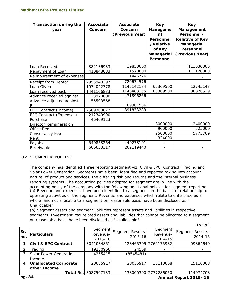| <b>Transaction during the</b><br>year | <b>Associate</b><br>Concern | <b>Associate</b><br>Concern<br>(Previous Year) | <b>Key</b><br>Manageme<br>nt<br>Personnel<br>/Relative<br>of Key<br>Managerial<br>Personnel | <b>Key</b><br>Management<br>Personnel /<br><b>Relative of Key</b><br>Managerial<br>Personnel<br>(Previous Year) |
|---------------------------------------|-----------------------------|------------------------------------------------|---------------------------------------------------------------------------------------------|-----------------------------------------------------------------------------------------------------------------|
| Loan Received                         | 382136933                   | 19850000                                       |                                                                                             | 111030000                                                                                                       |
| Repayment of Loan                     | 410848083                   | 1570000                                        |                                                                                             | 111120000                                                                                                       |
| Reimbursement of expenses             |                             | 1446726                                        |                                                                                             |                                                                                                                 |
| <b>Receipt from Debtor</b>            | 2955948397                  | 720634576                                      |                                                                                             |                                                                                                                 |
| Loan Given                            | 1974042778                  | 1145142184                                     | 65369500                                                                                    | 12745143                                                                                                        |
| Loan received back                    | 1441106833                  | 1146483155                                     | 65369500                                                                                    | 30876529                                                                                                        |
| Advance received against              | 123970000                   | 471896266                                      |                                                                                             |                                                                                                                 |
| Advance adjusted against<br>Bill      | 55593568                    | 69901536                                       |                                                                                             |                                                                                                                 |
| EPC Contract (Income)                 | 2569308872                  | 891833283                                      |                                                                                             |                                                                                                                 |
| <b>EPC Contract (Expenses)</b>        | 212349990                   |                                                |                                                                                             |                                                                                                                 |
| Purchase                              | 46469123                    |                                                |                                                                                             |                                                                                                                 |
| <b>Director Remuneration</b>          |                             |                                                | 8000000                                                                                     | 2400000                                                                                                         |
| Office Rent                           |                             |                                                | 900000                                                                                      | 525000                                                                                                          |
| Consultancy Fee                       |                             |                                                | 2500000                                                                                     | 5775709                                                                                                         |
| Rent                                  |                             |                                                | 324000                                                                                      |                                                                                                                 |
| Payable                               | 540853264                   | 440278101                                      |                                                                                             |                                                                                                                 |
| Receivable                            | 606653317                   | 202119440                                      |                                                                                             |                                                                                                                 |

#### **37** SEGMENT REPORTING

The company has identified Three reporting segment viz. Civil & EPC Contract, Trading and Solar Power Generation. Segments have been identified and reported taking into account nature of product and services, the differing risk and returns and the internal business reporting systems. The accounting policies adopted for segment are in line with the accounting policy of the company with the following additional policies for segment reporting. (a) Revenue and expenses have been identified to a segment on the basis of relationship to operating activities of the segment. Revenue and expenses which relate to enterprise as a whole and not allocable to a segment on reasonable basis have been disclosed as " Unallocable".

 $(1 - D_0)$ (b) Segment assets and segment liabilities represent assets and liabilities in respective segments. Investment, tax related assets and liabilities that cannot be allocated to a segment on reasonable basis have been disclosed as "Unallocable".

|                | (IN RS.)                        |                                |                                   |                                |                                 |  |  |
|----------------|---------------------------------|--------------------------------|-----------------------------------|--------------------------------|---------------------------------|--|--|
| Sr.<br>lno.    | <b>Particulars</b>              | Segment<br>Revenue-<br>2015-16 | <b>Segment Results</b><br>2015-16 | Segment<br>Revenue-<br>2014-15 | Segment Results-<br>$2014 - 15$ |  |  |
|                | <b>Civil &amp; EPC Contract</b> | 3041034851                     |                                   | 123465305 2762175982           | 99864640                        |  |  |
| $\mathfrak{p}$ | Trading                         | 19250950                       | 24559                             |                                |                                 |  |  |
| 3              | Solar Power Generation          | 4255415                        | (8545481)                         |                                |                                 |  |  |
|                | Income                          |                                |                                   |                                |                                 |  |  |
| 4              | <b>Unallocated Corporate</b>    | 23055917                       | 23055917                          | 15110068                       | 15110068                        |  |  |
|                | other Income                    |                                |                                   |                                |                                 |  |  |
|                | Total Rs.                       | 3087597133                     |                                   | 138000300 2777286050           | 114974708                       |  |  |
| $-$            | $\mathbf{A}$                    |                                |                                   |                                |                                 |  |  |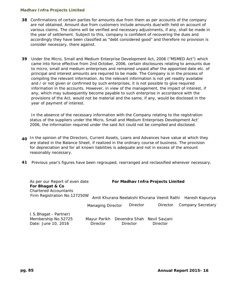- **38** Confirmations of certain parties for amounts due from them as per accounts of the company are not obtained. Amount due from customers include amounts due/with held on account of various claims. The claims will be verified and necessary adjustments, if any, shall be made in the year of settlement. Subject to this, company is confident of recovering the dues and accordingly they have been classified as "debt considered good" and therefore no provision is consider necessary, there against.
- **39** Under the Micro, Small and Medium Enterprise Development Act, 2006 ("MSMED Act") which came into force effective from 2nd October, 2006, certain disclosures relating to amounts due to micro, small and medium enterprises and remained unpaid after the appointed date etc. of principal and interest amounts are required to be made. The Company is in the process of compiling the relevant information. As the relevant information is not yet readily available and / or not given or confirmed by such enterprises, it is not possible to give required information in the accounts. However, in view of the management, the impact of interest, if any, which may subsequently become payable to such enterprise in accordance with the provisions of the Act, would not be material and the same, if any, would be disclosed in the year of payment of interest.

 In the absence of the necessary information with the Company relating to the registration status of the suppliers under the Micro, Small and Medium Enterprises Development Act' 2006, the information required under the said Act could not be compiled and disclosed.

- **40** In the opinion of the Directors, Current Assets, Loans and Advances have value at which they are stated in the Balance Sheet, if realized in the ordinary course of business. The provision for depreciation and for all known liabilities is adequate and not in excess of the amount reasonably necessary.
- **41** Previous year's figures have been regrouped, rearranged and reclassified wherever necessary.

| As per our Report of even date<br>For Bhagat & Co<br><b>Chartered Accountants</b> |                                 | For Madhav Infra Projects Limited           |                                  |                          |
|-----------------------------------------------------------------------------------|---------------------------------|---------------------------------------------|----------------------------------|--------------------------|
| Firm Registration No.127250W                                                      |                                 | Amit Khurana Neelakshi Khurana Veenit Rathi |                                  | Haresh Kapuriya          |
|                                                                                   | <b>Managing Director</b>        | Director                                    | Director                         | <b>Company Secretary</b> |
| (S.Bhagat - Partner)<br>Membership No.52725<br>Date: June 10, 2016                | Mayur Parikh<br><b>Director</b> | Devendra Shah<br><b>Director</b>            | Nevil Savjani<br><b>Director</b> |                          |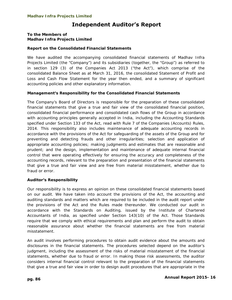# **Independent Auditor's Report**

#### **To the Members of Madhav Infra Projects Limited**

### **Report on the Consolidated Financial Statements**

We have audited the accompanying consolidated financial statements of Madhav Infra Projects Limited (the "Company") and its subsidiaries (together, the "Group") as referred to in section 129 (3) of the Companies Act 2013 ("the Act"), which comprise of the consolidated Balance Sheet as at March 31, 2016, the consolidated Statement of Profit and Loss and Cash Flow Statement for the year then ended, and a summary of significant accounting policies and other explanatory information.

### **Management's Responsibility for the Consolidated Financial Statements**

The Company's Board of Directors is responsible for the preparation of these consolidated financial statements that give a true and fair view of the consolidated financial position, consolidated financial performance and consolidated cash flows of the Group in accordance with accounting principles generally accepted in India, including the Accounting Standards specified under Section 133 of the Act, read with Rule 7 of the Companies (Accounts) Rules, 2014. This responsibility also includes maintenance of adequate accounting records in accordance with the provisions of the Act for safeguarding of the assets of the Group and for preventing and detecting frauds and other irregularities; selection and application of appropriate accounting policies; making judgments and estimates that are reasonable and prudent; and the design, implementation and maintenance of adequate internal financial control that were operating effectively for ensuring the accuracy and completeness of the accounting records, relevant to the preparation and presentation of the financial statements that give a true and fair view and are free from material misstatement, whether due to fraud or error.

#### **Auditor's Responsibility**

Our responsibility is to express an opinion on these consolidated financial statements based on our audit. We have taken into account the provisions of the Act, the accounting and auditing standards and matters which are required to be included in the audit report under the provisions of the Act and the Rules made thereunder. We conducted our audit in accordance with the Standards on Auditing, issued by the Institute of Chartered Accountants of India, as specified under Section 143(10) of the Act. Those Standards require that we comply with ethical requirements and plan and perform the audit to obtain reasonable assurance about whether the financial statements are free from material misstatement.

An audit involves performing procedures to obtain audit evidence about the amounts and disclosures in the financial statements. The procedures selected depend on the auditor's judgment, including the assessment of the risks of material misstatement of the financial statements, whether due to fraud or error. In making those risk assessments, the auditor considers internal financial control relevant to the preparation of the financial statements that give a true and fair view in order to design audit procedures that are appropriate in the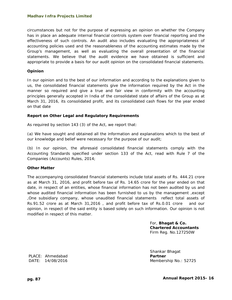circumstances but not for the purpose of expressing an opinion on whether the Company has in place an adequate internal financial controls system over financial reporting and the effectiveness of such controls. An audit also includes evaluating the appropriateness of accounting policies used and the reasonableness of the accounting estimates made by the Group's management, as well as evaluating the overall presentation of the financial statements. We believe that the audit evidence we have obtained is sufficient and appropriate to provide a basis for our audit opinion on the consolidated financial statements.

#### **Opinion**

In our opinion and to the best of our information and according to the explanations given to us, the consolidated financial statements give the information required by the Act in the manner so required and give a true and fair view in conformity with the accounting principles generally accepted in India of the consolidated state of affairs of the Group as at March 31, 2016, its consolidated profit, and its consolidated cash flows for the year ended on that date

#### **Report on Other Legal and Regulatory Requirements**

As required by section 143 (3) of the Act, we report that:

(a) We have sought and obtained all the information and explanations which to the best of our knowledge and belief were necessary for the purpose of our audit;

(b) In our opinion, the aforesaid consolidated financial statements comply with the Accounting Standards specified under section 133 of the Act, read with Rule 7 of the Companies (Accounts) Rules, 2014;

#### **Other Matter**

The accompanying consolidated financial statements include total assets of Rs. 444.21 crore as at March 31, 2016, and profit before tax of Rs. 14.65 crore for the year ended on that date, in respect of an entities, whose financial information has not been audited by us and whose audited financial information has been furnished to us by the management ,except ,One subsidiary company, whose unaudited financial statements reflect total assets of Rs.91.52 crore as at March 31,2016 , and profit before tax of Rs.0.01 crore and our opinion, in respect of the said entity is based solely on such information. Our opinion is not modified in respect of this matter.

> For, **Bhagat & Co. Chartered Accountants**  Firm Reg. No.127250W

Shankar Bhagat DATE: 14/08/2016 Membership No.: 52725

PLACE: Ahmedabad **PLACE: Partner**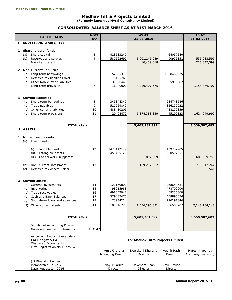**(Formerly known as Myraj Consultancy Limited)**

# **CONSOLIDATED BALANCE SHEET AS AT 31ST MARCH 2016**

|                | <b>PARTICUALRS</b>                                                                                                                                                                                               | <b>NOTE</b><br><b>NO</b>         |                                                                          | <b>AS AT</b><br>31-03-2016                                         |                                                                          | <b>AS AT</b><br>31-03-2015              |
|----------------|------------------------------------------------------------------------------------------------------------------------------------------------------------------------------------------------------------------|----------------------------------|--------------------------------------------------------------------------|--------------------------------------------------------------------|--------------------------------------------------------------------------|-----------------------------------------|
| J.             | <b>EQUITY AND LIABILITIES</b>                                                                                                                                                                                    |                                  |                                                                          |                                                                    |                                                                          |                                         |
| 1              | Shareholders' funds<br>Share capital<br>(a)<br>Reserves and surplus<br>(b)<br>(c) Minority Interest                                                                                                              | 3<br>$\overline{4}$              | 413583240<br>587562699                                                   | 1,001,145,939<br>10,439,018                                        | 64057240<br>490976351                                                    | 555,033,591<br>225,847,399              |
| $\mathbf{2}$   | <b>Non-current liabilities</b><br>(a) Long-term borrowings<br>(b) Deferred tax liabilities (Net)<br>(c) Other Non-current liabilities<br>(d) Long-term provision                                                 | 5<br>6<br>$\overline{7}$         | 3152385370<br>13465763<br>37556443<br>16000000                           | 3,219,407,575                                                      | 1088463025<br>65913682<br>$\overline{\phantom{a}}$                       | 1,154,376,707                           |
| 3              | <b>Current liabilities</b><br>(a) Short-term borrowings<br>(b) Trade payables<br>(c) Other current liabilities<br>(d) Short-term provisions                                                                      | 8<br>9<br>10<br>11               | 345344342<br>511229842<br>488410205<br>29404470                          | 1,374,388,859                                                      | 284748286<br>856129022<br>438172859<br>45199823                          | 1,624,249,990                           |
|                | <b>TOTAL (Rs.)</b><br><b>II ASSETS</b>                                                                                                                                                                           |                                  |                                                                          | 5,605,381,392                                                      |                                                                          | 3,559,507,687                           |
| 1              | <b>Non-current assets</b><br>Fixed assets<br>(a)<br>Tangible assets<br>(i)<br>(ii)<br>Intangible assets<br>(iii)<br>Capital work-in-pgoress<br>Non-current investment<br>(b)<br>(c)<br>Deferred tax Assets (Net) | 12<br>13                         | 1478442179<br>2453455129                                                 | 3,931,897,309<br>119,287,252                                       | 439232205<br>250597551                                                   | 689,829,756<br>715,512,242<br>5,981,541 |
| $\overline{2}$ | <b>Current assets</b><br>(a) Current Investments<br>(b) Inventories<br>(c) Trade receivables<br>Cash and Bank Balances<br>(d)<br>Short-term loans and advances<br>(e)<br>(f)<br>Other current assets             | 14<br>15<br>16<br>17<br>18<br>19 | 122160000<br>93215983<br>498352942<br>579487473<br>73934214<br>187046220 | 1,554,196,831                                                      | 268654681<br>478700000<br>69235860<br>468893056<br>776191844<br>86508707 | 2,148,184,148                           |
|                | <b>TOTAL (Rs.)</b>                                                                                                                                                                                               |                                  |                                                                          | 5,605,381,392                                                      |                                                                          | 3,559,507,687                           |
|                | <b>Significant Accounting Policies</b><br>Notes on Financial Statements                                                                                                                                          | 1 TO 42                          |                                                                          |                                                                    |                                                                          |                                         |
|                | As per our Report of even date<br>For Bhagat & Co<br><b>Chartered Accountants</b><br>Firm Registration No.127250W                                                                                                |                                  | Amit Khurana<br>Managing Director                                        | For Madhav Infra Projects Limited<br>Neelakshi Khurana<br>Director | Veenit Rathi<br>Director                                                 | Haresh Kapuriya<br>Company Secretary    |
|                | (S. Bhagat - Partner)<br>Membership No.52725<br>Date: August 14, 2016                                                                                                                                            |                                  | Mayur Parikh<br>Director                                                 | Devendra Shah<br>Director                                          | Nevil Savjani<br>Director                                                |                                         |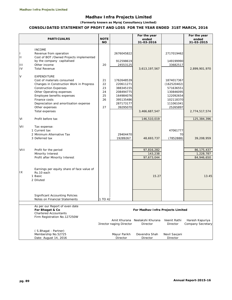**(Formerly known as Myraj Consultancy Limited)**

#### **CONSOLIDATED STATEMENT OF PROFIT AND LOSS FOR THE YEAR ENDED 31ST MARCH, 2016**

|              | <b>PARTICUALRS</b>                                                     | <b>NOTE</b> |                                                 | For the year<br>ended             |                          | For the year                         |
|--------------|------------------------------------------------------------------------|-------------|-------------------------------------------------|-----------------------------------|--------------------------|--------------------------------------|
|              |                                                                        | <b>NO</b>   |                                                 | 31-03-2016                        |                          | ended<br>31-03-2015                  |
|              |                                                                        |             |                                                 |                                   |                          |                                      |
|              | <b>INCOME</b>                                                          |             |                                                 |                                   |                          |                                      |
| Ш<br>Ш       | Revenue from operation                                                 |             | 2676045822                                      |                                   | 2717019462               |                                      |
|              | Cost of BOT / Owned Projects implemented<br>by the company capitalised |             | 912598619                                       |                                   | 149199990                |                                      |
| $\mathbf{H}$ | Other income                                                           | 20          | 24553125                                        |                                   | 33682517                 |                                      |
| IV           | <b>Total Revenue</b>                                                   |             |                                                 | 3,613,197,567                     |                          | 2,899,901,970                        |
|              |                                                                        |             |                                                 |                                   |                          |                                      |
| V            | EXPENDITURE                                                            |             |                                                 |                                   |                          |                                      |
|              | Cost of materials consumed                                             | 21          | 1762648539                                      |                                   | 1874017367               |                                      |
|              | Changes in Construction Work in Progress                               | 22          | 220611271                                       |                                   | (162520402)              |                                      |
|              | <b>Construction Expenses</b>                                           | 23          | 388345155                                       |                                   | 571636551                |                                      |
|              | Other Operating expenses                                               | 24          | 208494775                                       |                                   | 130846095                |                                      |
|              | Employee benefits expenses                                             | 25          | 164984076                                       |                                   | 122092654                |                                      |
|              | Finance costs                                                          | 26          | 395135486                                       |                                   | 102118370                |                                      |
|              | Depreciation and amortisation expense                                  |             | 287173177                                       |                                   | 111061041                |                                      |
|              | Other expenses                                                         | 27          | 39295070                                        |                                   | 25265897                 |                                      |
|              | Total expenses                                                         |             |                                                 | 3,466,687,547                     |                          | 2,774,517,574                        |
| VI           | Profit before tax                                                      |             |                                                 | 146,510,019                       |                          | 125,384,396                          |
|              |                                                                        |             |                                                 |                                   |                          |                                      |
| VII          | Tax expense:                                                           |             |                                                 |                                   |                          |                                      |
|              | 1 Current tax                                                          |             |                                                 |                                   | 47061777                 |                                      |
|              | 2 Minimum Alternative Tax                                              |             | 29404470                                        |                                   | 70                       |                                      |
|              | 3 Deferred tax                                                         |             | 19289267                                        | 48,693,737                        | (7852888)                | 39,208,959                           |
|              |                                                                        |             |                                                 |                                   |                          |                                      |
|              |                                                                        |             |                                                 |                                   |                          |                                      |
| VIII         | Profit for the period<br>Minority Interest                             |             |                                                 | 97,816,282<br>143,238             |                          | 86, 175, 437<br>1,228,787            |
|              | Profit after Minority Interest                                         |             |                                                 | 97,673,044                        |                          | 84,946,650                           |
|              |                                                                        |             |                                                 |                                   |                          |                                      |
|              |                                                                        |             |                                                 |                                   |                          |                                      |
| IX           | Earnings per equity share of face value of<br>Rs.10 each               |             |                                                 |                                   |                          |                                      |
|              | 1 Basic                                                                |             |                                                 | 15.27                             |                          | 13.45                                |
|              | 2 Diluted                                                              |             |                                                 |                                   |                          |                                      |
|              |                                                                        |             |                                                 |                                   |                          |                                      |
|              |                                                                        |             |                                                 |                                   |                          |                                      |
|              | <b>Significant Accounting Policies</b>                                 |             |                                                 |                                   |                          |                                      |
|              | Notes on Financial Statements                                          | 1 TO 42     |                                                 |                                   |                          |                                      |
|              |                                                                        |             |                                                 |                                   |                          |                                      |
|              | As per our Report of even date                                         |             |                                                 |                                   |                          |                                      |
|              | For Bhagat & Co                                                        |             |                                                 | For Madhav Infra Projects Limited |                          |                                      |
|              | <b>Chartered Accountants</b>                                           |             |                                                 |                                   |                          |                                      |
|              | Firm Registration No.127250W                                           |             |                                                 |                                   |                          |                                      |
|              |                                                                        |             | Amit Khurana<br><b>Director naging Director</b> | Neelakshi Khurana<br>Director     | Veenit Rathi<br>Director | Haresh Kapuriya<br>Company Secretary |
|              |                                                                        |             |                                                 |                                   |                          |                                      |
|              | (S. Bhagat - Partner)                                                  |             |                                                 |                                   |                          |                                      |
|              | Membership No.52725                                                    |             | Mayur Parikh                                    | Devendra Shah                     | Nevil Savjani            |                                      |
|              | Date: August 14, 2016                                                  |             | Director                                        | Director                          | Director                 |                                      |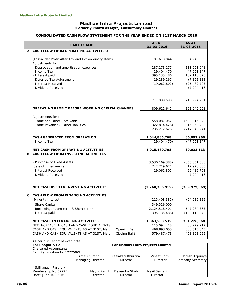**(Formerly known as Myraj Consultancy Limited)**

#### **CONSOLIDATED CASH FLOW STATEMENT FOR THE YEAR ENDED ON 31ST MARCH,2016**

|              | <b>PARTICUALRS</b>                                                       |                   |                   | <b>AS AT</b><br>31-03-2016        | <b>AS AT</b><br>31-03-2015 |
|--------------|--------------------------------------------------------------------------|-------------------|-------------------|-----------------------------------|----------------------------|
| A            | <b>CASH FLOW FROM OPERATING ACTIVITIES:</b>                              |                   |                   |                                   |                            |
|              | (Loss)/ Net Profit After Tax and Extraordinary Items<br>Adjustments for: |                   |                   | 97,673,044                        | 84,946,650                 |
|              | - Depreciation and amortisation expenses                                 |                   |                   | 287, 173, 177                     | 111,061,041                |
|              | - Income Tax                                                             |                   |                   | 29,404,470                        | 47,061,847                 |
|              | - Interest paid                                                          |                   |                   | 395, 135, 486                     | 102,118,370                |
|              | - Deferred Tax Adjustment                                                |                   |                   | 19,289,267                        | (7,852,888)                |
|              | - Interest Received<br>- Dividend Received                               |                   |                   | (19,062,802)                      | (25, 489, 703)             |
|              |                                                                          |                   |                   |                                   | (7,904,416)                |
|              |                                                                          |                   |                   | 711,939,598                       | 218,994,251                |
|              | OPERATING PROFIT BEFORE WORKING CAPITAL CHANGES                          |                   |                   | 809,612,642                       | 303,940,901                |
|              | Adjustments for:                                                         |                   |                   |                                   |                            |
|              | - Trade and Other Receivable                                             |                   |                   | 558,087,052                       | (532, 916, 343)            |
|              | - Trade Payables & Other liabilities                                     |                   |                   | (322, 814, 426)                   | 315,069,402                |
|              |                                                                          |                   |                   | 235,272,626                       | (217, 846, 941)            |
|              | CASH GENERATED FROM OPERATION                                            |                   |                   | 1,044,885,268                     | 86,093,960                 |
|              | - Income Tax                                                             |                   |                   | (29, 404, 470)                    | (47,061,847)               |
|              | <b>NET CASH FROM OPERATING ACTIVITIES</b>                                |                   |                   | 1,015,480,798                     | 39,032,113                 |
| в            | <b>CASH FLOW FROM INVESTING ACTIVITIES</b>                               |                   |                   |                                   |                            |
|              | - Purchase of Fixed Assets                                               |                   |                   | (3,530,169,388)                   | (356, 351, 688)            |
|              | Sale of Investments                                                      |                   |                   | 742,719,671                       | 12,978,000                 |
|              | - Interest Received                                                      |                   |                   | 19,062,802                        | 25,489,703                 |
|              | - Dividend Received                                                      |                   |                   |                                   | 7,904,416                  |
|              | NET CASH USED IN INVESTING ACTIVITIES                                    |                   |                   | (2,768,386,915)                   | (309, 979, 569)            |
| $\mathbf{C}$ | <b>CASH FLOW FROM FINANCING ACTIVITIES</b>                               |                   |                   |                                   |                            |
|              | -Minority Interest                                                       |                   |                   | (215, 408, 381)                   | (94, 639, 325)             |
|              | - Share Capital                                                          |                   |                   | 349,526,000                       |                            |
|              | Borrowings (Long term & Short term)                                      |                   |                   | 2,124,518,401                     | 547,984,363                |
|              | - Interest paid                                                          |                   |                   | (395, 135, 486)                   | (102, 118, 370)            |
|              | NET CASH IN FINANCING ACTIVITIES                                         |                   |                   | 1,863,500,535                     | 351,226,668                |
|              | NET INCREASE IN CASH AND CASH EQUIVALENTS                                |                   |                   | 115,094,418                       | 80,279,212                 |
|              | CASH AND CASH EQUIVALENTS AS AT 31ST, March (Opening Bal.)               |                   |                   | 468,893,055                       | 388,613,843                |
|              | CASH AND CASH EQUIVALENTS AS AT 31ST, March (Closing Bal.)               |                   |                   | 579,487,473                       | 468,893,055                |
|              | As per our Report of even date<br>For Bhagat & Co                        |                   |                   | For Madhav Infra Projects Limited |                            |
|              | <b>Chartered Accountants</b>                                             |                   |                   |                                   |                            |
|              | Firm Registration No.127250W                                             | Amit Khurana      | Neelakshi Khurana | Vineet Rathi                      | Haresh Kapuriya            |
|              |                                                                          | Managing Director | Director          | Director                          | Company Secretary          |
|              | (S.Bhagat - Partner)                                                     |                   |                   |                                   |                            |
|              | Membership No.52725                                                      | Mayur Parikh      | Devendra Shah     | Nevil Savjani                     |                            |
|              | Date: June 10, 2016                                                      | Director          | Director          | Director                          |                            |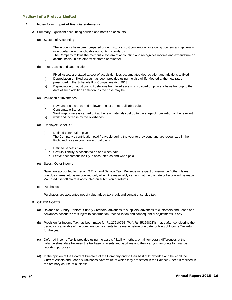i)

#### **1 Notes forming part of financial statements.**

- **A** Summary Significant accounting policies and notes on accounts.
	- (a) System of Accounting
		- The accounts have been prepared under historical cost convention, as a going concern and generally in accordance with applicable accounting standards.
		- ii) The Company follows the mercantile system of accounting and recognizes income and expenditure on accrual basis unless otherwise stated hereinafter.
	- (b) Fixed Assets and Depreciation
		- i) Fixed Assets are stated at cost of acquisition less accumulated depreciation and additions to fixed
		- ii) Depreciation on fixed assets has been provided using the Useful life Method at the new rates prescribed in the Schedule II of Companies Act, 2013.
		- iii) Depreciation on additions to / deletions from fixed assets is provided on pro-rata basis from/up to the date of such addition / deletion, as the case may be.
	- (c) Valuation of Inventories
		- i) Raw Materials are carried at lower of cost or net realisable value.
		- ii) Consumable Stores
		- iii) Work-in-progress is carried out at the raw materials cost up to the stage of completion of the relevant work and increase by the overheads.
	- (d) Employee Benefits :
		- i) Defined contribution plan : The Company's contribution paid / payable during the year to provident fund are recognized in the Profit and Loss Account on accrual basis.
		- ii) Defined benefits plan :
			- Gratuity liability is accounted as and when paid.
			- Leave encashment liability is accounted as and when paid.
	- (e) Sales / Other Income

Sales are accounted for net of VAT tax and Service Tax. Revenue in respect of insurance / other claims, overdue interest etc. is recognized only when it is reasonably certain that the ultimate collection will be made. VAT credit set off claim is accounted on submision of returns.

(f) Purchases

Purchases are accounted net of value added tax credit and cenvat of service tax.

#### B OTHER NOTES

- (a) Balance of Sundry Debtors, Sundry Creditors, advances to suppliers, advances to customers and Loans and Advances accounts are subject to confirmation, reconciliation and consequential adjustments, if any.
- (b) Provision for Income Tax has been made for Rs.27610755 (P.Y. Rs.45129823)is made after considering the deductions available of the company on payments to be made before due date for filing of Income Tax return for the year.
- (c) Deferred Income Tax is provided using the assets / liability method, on all temporary differences at the balance sheet date between the tax base of assets and liabilities and their carrying amounts for financial reporting purposes.
- (d) In the opinion of the Board of Directors of the Company and to their best of knowledge and belief all the Current Assets and Loans & Advnaces have value at which they are stated in the Balance Sheet, if realized in the ordinary course of business.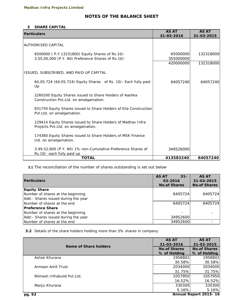# **NOTES OF THE BALANCE SHEET**

#### **3 SHARE CAPITAL**

| <b>Particulars</b>                                                                                     | <b>AS AT</b><br>31-03-2016 | <b>AS AT</b><br>31-03-2015 |
|--------------------------------------------------------------------------------------------------------|----------------------------|----------------------------|
| <b>AUTHORISED CAPITAL</b>                                                                              |                            |                            |
| 6500000 (P.Y.13231800) Equity Shares of Rs.10/-<br>3,55,00,000 (P.Y. Nil) Preference Shares of Rs.10/- | 65000000<br>355000000      | 132318000                  |
|                                                                                                        | 420000000                  | 132318000                  |
| ISSUED, SUBSCRIBED, AND PAID-UP CAPITAL                                                                |                            |                            |
| 64,05,724 (64,05,724) Equity Shares of Rs. 10/- Each fully paid<br>Up                                  | 64057240                   | 64057240                   |
| 2260200 Equity Shares issued to Share Holders of Aashka<br>Construction Pvt.Ltd. on amalgamation.      |                            |                            |
| 831750 Equity Shares issued to Share Holders of Elia Construction<br>Pvt.Ltd. on amalgamation.         |                            |                            |
| 129414 Equity Shares issued to Share Holders of Madhav Infra<br>Projects Pvt.Ltd. on amalgamation.     |                            |                            |
| 174360 Equity Shares issued to Share Holders of MSK Finance<br>Ltd. on amalgamation.                   |                            |                            |
| 3,49,52,600 (P.Y. Nil) 1% non-Cumulative Preference Shares of<br>Rs.10/- each fully paid up            | 349526000                  |                            |
| <b>TOTAL</b>                                                                                           | 413583240                  | 64057240                   |

**3.1** The reconciliation of the number of shares outstanding is set out below

| <b>Particulars</b>                   | <b>AS AT</b><br>$31 -$<br>03-2016<br><b>No.of Shares</b> | <b>AS AT</b><br>31-03-2015<br><b>No.of Shares</b> |
|--------------------------------------|----------------------------------------------------------|---------------------------------------------------|
| <b>Equity Share</b>                  |                                                          |                                                   |
| Number of shares at the beginning    | 6405724                                                  | 6405724                                           |
| Add: - Shares issued during the year |                                                          |                                                   |
| Number of shares at the end          | 6405724                                                  | 6405724                                           |
| <b>Preference Share</b>              |                                                          |                                                   |
| Number of shares at the beginning    |                                                          |                                                   |
| Add: - Shares issued during the year | 34952600                                                 |                                                   |
| Number of shares at the end          | 34952600                                                 |                                                   |

**3.2** Details of the share holders holding more than 5% shares in company

|                              | <b>AS AT</b>        | <b>AS AT</b>          |
|------------------------------|---------------------|-----------------------|
| Name of Share holders        | 31-03-2016          | 31-03-2015            |
|                              | <b>No.of Shares</b> | <b>No.of Shares</b>   |
|                              | % of Holding        | % of Holding          |
| Ashok Khurana                | 1958802             | 1958802               |
|                              | 30.58%              | 30.58%                |
| Armaan Amit Trust            | 2034000             | 2034000               |
|                              | 31.75%              | 31.75%                |
| Nilmesh Infrabuild Pyt. Ltd. | 1057950             | 1057950               |
|                              | 16.52%              | 16.52%                |
| Manju Khurana                | 330300              | 330300                |
|                              | 5.16%               | 5.16%                 |
| pg. 92                       |                     | Annual Report 2015-16 |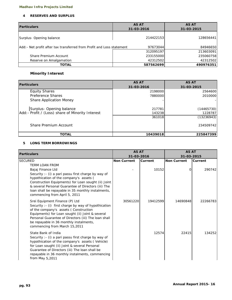#### **4 RESERVES AND SURPLUS**

| <b>Particulars</b>                                                     | <b>AS AT</b><br>31-03-2016 | <b>AS AT</b><br>31-03-2015 |
|------------------------------------------------------------------------|----------------------------|----------------------------|
| Surplus-Opening balance                                                | 214422153                  | 128656441                  |
| Add: - Net profit after tax transferred from Profit and Loss statement | 97673044                   | 84946650                   |
|                                                                        | 312095197                  | 213603091                  |
| Share Premium Account                                                  | 233155000                  | 235060758                  |
| Reserve on Amalgamation                                                | 42312502                   | 42312502                   |
| <b>TOTAL</b>                                                           | 587562699                  | 490976351                  |

# **Minority Interest**

| <b>Particulars</b>                                | <b>AS AT</b> | <b>AS AT</b> |
|---------------------------------------------------|--------------|--------------|
|                                                   | 31-03-2016   | 31-03-2015   |
| <b>Equity Shares</b>                              | 2198000      | 2564600      |
| Preference Shares                                 | 7880000      | 2010000      |
| <b>Share Application Money</b>                    |              |              |
| Surplus- Opening balance                          | 217781       | (14465730)   |
| Add: - Profit / (Loss) share of Minority Interest | 143238       | 1228787      |
|                                                   | 361018       | (13236943)   |
| Share Premium Account                             |              | 234509742    |
| <b>TOTAL</b>                                      | 10439018     | 225847399    |

#### **5 LONG TERM BORROWINGS**

| <b>Particulars</b>                                                                                        | <b>AS AT</b>       |          | <b>AS AT</b>       |          |
|-----------------------------------------------------------------------------------------------------------|--------------------|----------|--------------------|----------|
|                                                                                                           | 31-03-2016         |          | 31-03-2015         |          |
| <b>SECURED</b>                                                                                            | <b>Non Current</b> | Current  | <b>Non Current</b> | Current  |
| <b>TERM LOAN FROM</b>                                                                                     |                    |          |                    |          |
| Bajaj Finance Ltd                                                                                         |                    | 10152    | Ο                  | 290742   |
| Security : - (i) a pari passu first charge by way of                                                      |                    |          |                    |          |
| hypothication of the company's assets (                                                                   |                    |          |                    |          |
| Construction Equipments) for Loan sought (ii) Joint                                                       |                    |          |                    |          |
| & several Personal Guarantee of Directors (iii) The<br>loan shall be repayable in 35 monthly instalments, |                    |          |                    |          |
| commencing from April 5, 2011                                                                             |                    |          |                    |          |
|                                                                                                           |                    |          |                    |          |
| Srei Equipment Finance (P) Ltd                                                                            | 30561220           | 19412599 | 14690848           | 22266783 |
| Security : - (i) first charge by way of hypothication                                                     |                    |          |                    |          |
| of the company's assets (Construction<br>Equipments) for Loan sought (ii) Joint & several                 |                    |          |                    |          |
| Personal Guarantee of Directors (iii) The loan shall                                                      |                    |          |                    |          |
| be repayable in 36 monthly instalments,                                                                   |                    |          |                    |          |
| commencing from March 15,2011                                                                             |                    |          |                    |          |
| State Bank of India                                                                                       |                    | 12574    | 22415              | 134252   |
| Security : - (i) a pari passu first charge by way of                                                      |                    |          |                    |          |
| hypothication of the company's assets (Vehicle)                                                           |                    |          |                    |          |
| for Loan sought (ii) Joint & several Personal                                                             |                    |          |                    |          |
| Guarantee of Directors (iii) The loan shall be                                                            |                    |          |                    |          |
| repayable in 36 monthly instalments, commencing                                                           |                    |          |                    |          |
| from May 5,2011                                                                                           |                    |          |                    |          |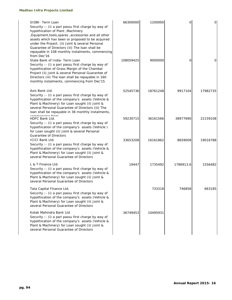| SIDBI- Term Loan<br>Security : - (i) a pari passu first charge by way of<br>hypothication of Plant , Machinery<br>, Equipment, tools, spares, accessories and all other<br>assets which hav been or proposed to be acquired<br>under the Project. (ii) Joint & several Personal<br>Guarantee of Directors (iii) The loan shall be<br>repayable in 108 monthly instalments, commencing | 66300000  | 1200000  | O         | 0        |
|---------------------------------------------------------------------------------------------------------------------------------------------------------------------------------------------------------------------------------------------------------------------------------------------------------------------------------------------------------------------------------------|-----------|----------|-----------|----------|
| from Dec'16<br>State Bank of India- Term Loan<br>Security : - (i) a pari passu first charge by way of<br>hypothication of Gross Margin of the Chambal<br>Project (ii) Joint & several Personal Guarantee of<br>Directors (iii) The loan shall be repayable in 160<br>monthly instalments, commencing from Dec'15                                                                      | 108059425 | 9000000  | Ο         | Ο        |
| Axis Bank Ltd.<br>Security : - (i) a pari passu first charge by way of<br>hypothication of the company's assets (Vehicle &<br>Plant & Machinery) for Loan sought (ii) Joint &<br>several Personal Guarantee of Directors (iii) The<br>loan shall be repayable in 36 monthly instalments,                                                                                              | 52545736  | 18761248 | 9917104   | 17982735 |
| commoncing from<br><b>HDFC Bank Ltd.</b><br>Security : - (i) a pari passu first charge by way of<br>hypothication of the company's assets (Vehicle)<br>for Loan sought (ii) Joint & several Personal<br><b>Guarantee of Directors</b>                                                                                                                                                 | 59230715  | 36161566 | 38977690  | 22159108 |
| <b>ICICI Bank Ltd.</b><br>Security : - (i) a pari passu first charge by way of<br>hypothication of the company's assets (Vehicle &<br>Plant & Machinery) for Loan sought (ii) Joint &<br>several Personal Guarantee of Directors                                                                                                                                                      | 33653208  | 16161862 | 8659009   | 19016788 |
| L & T Finance Ltd.<br>Security : - (i) a pari passu first charge by way of<br>hypothication of the company's assets (Vehicle &<br>Plant & Machinery) for Loan sought (ii) Joint &<br>several Personal Guarantee of Directors                                                                                                                                                          | 19447     | 1735492  | 1786913.6 | 1556482  |
| Tata Capital Finance Ltd.<br>Security : - (i) a pari passu first charge by way of<br>hypothication of the company's assets (Vehicle &<br>Plant & Machinery) for Loan sought (ii) Joint &<br>several Personal Guarantee of Directors                                                                                                                                                   |           | 733318   | 746858    | 663185   |
| Kotak Mahindra Bank Ltd<br>Security : - (i) a pari passu first charge by way of<br>hypothication of the company's assets (Vehicle &<br>Plant & Machinery) for Loan sought (ii) Joint &<br>several Personal Guarantee of Directors                                                                                                                                                     | 36749453  | 10495931 |           |          |
|                                                                                                                                                                                                                                                                                                                                                                                       |           |          |           |          |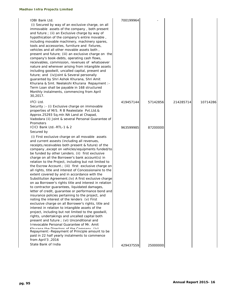#### IDBI Bank Ltd.

#### Secured by

| receivables, commission, revenues of whatsoever<br>nature and wherever arising from intangible assets<br>including goodwill, uncalled capital, present and<br>future; and (iv)Joint & Several personally<br>guaranted by Shri Ashok Khurana, Shri Amit<br>Khurana & Smt. Neelakshi Khurana Repayment :-<br>Term Loan shall be payable in 168 structured<br>Monthly instalments, commencing from April<br>30,2017.                                                                                                                                                                                                                                                                                                                                                                                                                                                                                                                                                                                                                                                                                                                                                                                                                                                                                                                                                                                                   |           |          |           |          |
|---------------------------------------------------------------------------------------------------------------------------------------------------------------------------------------------------------------------------------------------------------------------------------------------------------------------------------------------------------------------------------------------------------------------------------------------------------------------------------------------------------------------------------------------------------------------------------------------------------------------------------------------------------------------------------------------------------------------------------------------------------------------------------------------------------------------------------------------------------------------------------------------------------------------------------------------------------------------------------------------------------------------------------------------------------------------------------------------------------------------------------------------------------------------------------------------------------------------------------------------------------------------------------------------------------------------------------------------------------------------------------------------------------------------|-----------|----------|-----------|----------|
| IFCI Ltd.<br>Security : - (i) Exclusive charge on immovable<br>properties of M/S. R B Realestate Pvt.Ltd.&<br>Approx.25293 Sq.mtr.NA Land at Chapad,<br>Vadodara (ii) Joint & several Personal Guarantee of<br>Promoters                                                                                                                                                                                                                                                                                                                                                                                                                                                                                                                                                                                                                                                                                                                                                                                                                                                                                                                                                                                                                                                                                                                                                                                            | 419457144 | 57142856 | 214285714 | 10714286 |
| ICICI Bank Ltd.-RTL-1 & 2<br>Secured by<br>(i) First exclusive charge on all movable assets<br>and current assests (including all revenues,<br>receipts, receivables both present & future) of the<br>company, except on vehicles/equipments funded/to<br>be funded by other Lenders. (ii) first exclusive<br>charge on all the Borrower's bank account(s) in<br>relation to the Project, including but not limited to<br>the Escrow Account.; (iii) first exclusive charge on<br>all rights, title and interest of Concessionaire to the<br>extent covered by and in accordance with the<br>Substitution Agreement. (iv) A first exclusive charge<br>on aa Borrower's rights title and interest in relation<br>to contractor guarantees, liquidated damages,<br>letter of credit, guarantee or performance bond and<br>insurance policies pertaining to the project, and<br>noting the interest of the lenders (v) First<br>exclusive charge on all Borrower's rights, title and<br>interest in relation to intangible assets of the<br>project, including but not limited to the goodwill,<br>rights, undertakings and uncalled capital both<br>present and future ; (vi) Unconditional and<br>Irrevocable Personal Guarantee of Mr. Amit<br>Khurana the Directors of the Comnany (iv)<br>Repayment: -Repayment of Principle amount to be<br>paid in 22 half yearly instalments to commence<br>2016, from April'3 | 963599985 | 87200000 |           |          |
| State Bank of India                                                                                                                                                                                                                                                                                                                                                                                                                                                                                                                                                                                                                                                                                                                                                                                                                                                                                                                                                                                                                                                                                                                                                                                                                                                                                                                                                                                                 | 429437559 | 25000000 |           |          |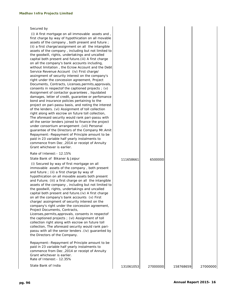#### Secured by

 (i) A first mortgage on all immovable assets and , first charge by way of hypothication on all movable assets of the company , both present and future ; (ii) a first charge/assignment on all the intangible assets of the company , including but not limited to the goodwill, rights, undertakings and uncalled capital both present and future.(iii) A first charge on all the company's bank accounts including, without limitation , the Ecrow Account and the Debt Service Revenue Account (iv) First charge/ assingment of security interest on the company's right under the concession agreement, Project Documents, Contracts, Licenses,permits,approvals, consents in respectof the captioned projects ; (v) Assignment of contactor guarantees , liquidated damages, letter of credit, guarantee or perfomance bond and insurance policies pertaining to the project on pari-passu basis, and noting the interest of the lenders. (vi) Assignment of toll collection right along with escrow on future toll collection, The aforesaid security would rank pari-passu with all the senior lenders joined to finance the project under consortium arrangement .(vii) Personal guarantee of the Directors of the Company Mr.Amit Repayment:-Repayment of Principle amount to be paid in 23 variable half yearly instalments to commence from Dec ,2014 or receipt of Annuity Grant whichever is earlier.

Rate of Interest: 12.15%

 (i) Secured by way of first mortgage on all immovable assets of the company , both present and future ; (ii) a first charge by way of hypothication on all movable assets both present and Future; (iii) a first charge on all the intangible assets of the company , including but not limited to the goodwill, rights, undertakings and uncalled capital both present and future.(iv) A first charge on all the company's bank accounts (v) First charge/ assingment of security interest on the company's right under the concession agreement, Project Documents, Contracts, Licenses,permits,approvals, consents in respectof the captioned projects ; (vi) Assignment of toll collection right along with escrow on future toll collection, The aforesaid security would rank paripassu with all the senior lenders .(iv) guaranted by the Directors of the Company.

Repayment:-Repayment of Principle amount to be paid in 23 variable half yearly instalments to commence from Dec ,2014 or receipt of Annuity Grant whichever is earlier. Rate of Interest:- 12.35%

State Bank of Bikaner & Jaipur 111658661 6500000 State Bank of India 131061053 27000000 158768659 27000000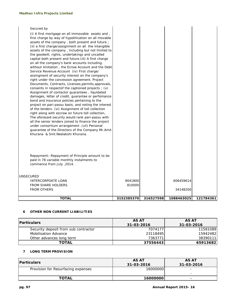| <b>TOTAL</b>                                                                                               | 3152385370 | 316527598 | 1088463025 | 121784361 |
|------------------------------------------------------------------------------------------------------------|------------|-----------|------------|-----------|
|                                                                                                            |            |           |            |           |
| <b>FROM OTHERS</b>                                                                                         |            |           | 34148200   |           |
| <b>FROM SHARE HOLDERS</b>                                                                                  | 810000     |           |            |           |
| UNSECURED<br><b>INTERCORPOATE LOAN</b>                                                                     | 9041800    |           | 606459614  |           |
|                                                                                                            |            |           |            |           |
|                                                                                                            |            |           |            |           |
| paid in 78 variable monthly instalments to<br>commence from July , 2014.                                   |            |           |            |           |
| Repayment: - Repayment of Principle amount to be                                                           |            |           |            |           |
|                                                                                                            |            |           |            |           |
|                                                                                                            |            |           |            |           |
| Khurana & Smt. Neelakshi Khurana.                                                                          |            |           |            |           |
| guarantee of the Directors of the Company Mr.Amit                                                          |            |           |            |           |
| all the senior lenders joined to finance the project<br>under consortium arrangement . (vii) Personal      |            |           |            |           |
| The aforesaid security would rank pari-passu with                                                          |            |           |            |           |
| right along with escrow on future toll collection,                                                         |            |           |            |           |
| project on pari-passu basis, and noting the interest<br>of the lenders. (vi) Assignment of toll collection |            |           |            |           |
| bond and insurance policies pertaining to the                                                              |            |           |            |           |
| damages, letter of credit, guarantee or perfomance                                                         |            |           |            |           |
| consents in respectof the captioned projects ; (v)<br>Assignment of contactor guarantees, liquidated       |            |           |            |           |
| Documents, Contracts, Licenses, permits, approvals,                                                        |            |           |            |           |
| right under the concession agreement, Project                                                              |            |           |            |           |
| Service Revenue Account (iv) First charge/<br>assingment of security interest on the company's             |            |           |            |           |
| without limitation, the Ecrow Account and the Debt                                                         |            |           |            |           |
| on all the company's bank accounts including,                                                              |            |           |            |           |
| the goodwill, rights, undertakings and uncalled<br>capital both present and future. (iii) A first charge   |            |           |            |           |
| assets of the company, including but not limited to                                                        |            |           |            |           |
| (ii) a first charge/assignment on all the intangible                                                       |            |           |            |           |
| assets of the company, both present and future;                                                            |            |           |            |           |
| first charge by way of hypothication on all movable                                                        |            |           |            |           |
| (i) A first mortgage on all immovable assets and,                                                          |            |           |            |           |

#### **6 OTHER NON CURRENT LIABILITIES**

| <b>Particulars</b>                   | AS AT<br>31-03-2016 | <b>AS AT</b><br>31-03-2016 |
|--------------------------------------|---------------------|----------------------------|
| Security deposit from sub contractor | 7074177             | 11581089                   |
| <b>Mobilisation Advance</b>          | 23118495            | 15942482                   |
| Other advances long term             | 7363771             | 38390111                   |
| <b>TOTAL</b>                         | 375564431           | 65913682                   |

#### **7 LONG TERM PROVISION**

| <b>Particulars</b>                 | <b>AS AT</b><br>31-03-2016 | <b>AS AT</b><br>31-03-2016 |
|------------------------------------|----------------------------|----------------------------|
| Provision for Resurfacing expenses | 16000000                   |                            |
|                                    |                            |                            |
| <b>TOTAL</b>                       | 16000000                   |                            |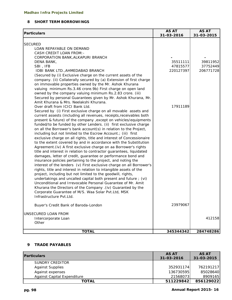# **8 SHORT TERM BORROWINGS**

| <b>Particulars</b>                                                   | <b>AS AT</b> | <b>AS AT</b> |
|----------------------------------------------------------------------|--------------|--------------|
|                                                                      | 31-03-2016   | 31-03-2015   |
| <b>SECURED</b>                                                       |              |              |
| LOAN REPAYABLE ON DEMAND                                             |              |              |
| <b>CASH CREDIT LOAN FROM: -</b>                                      |              |              |
| CORPORATION BANK, ALKAPURI BRANCH                                    |              |              |
| DENA BANK,                                                           | 35511111     | 39811952     |
| SBI, IFB                                                             | 47815577     | 37752449     |
| IDBI BANK LTD., AHMEDABAD BRANCH                                     | 220127397    | 206771728    |
| (Secured by (i) Exclusive charge on the current assets of the        |              |              |
| company. (ii) Collaterally secured by (a) Extension of first charge  |              |              |
| on immovable properties owned by the Mr. Ashok Khurana               |              |              |
| valuing minimum Rs.3.46 crore.9b) First charge on open land          |              |              |
| owned by the company valuing minimum Rs.2.83 crore. (iii)            |              |              |
| Secured by personal Guarantees given by Mr. Ashok Khurana, Mr.       |              |              |
| Amit Khurana & Mrs. Neelakshi Khurana.                               |              |              |
| Over draft from ICICI Bank Ltd.                                      | 17911189     |              |
| Secured by (i) First exclusive charge on all movable assets and      |              |              |
| current assests (including all revenues, receipts, receivables both  |              |              |
| present & future) of the company , except on vehicles/equipments     |              |              |
| funded/to be funded by other Lenders. (ii) first exclusive charge    |              |              |
| on all the Borrower's bank account(s) in relation to the Project,    |              |              |
| including but not limited to the Escrow Account.; (iii) first        |              |              |
| exclusive charge on all rights, title and interest of Concessionaire |              |              |
| to the extent covered by and in accordance with the Substitution     |              |              |
| Agreement. (iv) A first exclusive charge on aa Borrower's rights     |              |              |
| title and interest in relation to contractor guarantees, liquidated  |              |              |
| damages, letter of credit, guarantee or performance bond and         |              |              |
| insurance policies pertaining to the project, and noting the         |              |              |
| interest of the lenders (v) First exclusive charge on all Borrower's |              |              |
| rights, title and interest in relation to intangible assets of the   |              |              |
| project, including but not limited to the goodwill, rights,          |              |              |
| undertakings and uncalled capital both present and future; (vi)      |              |              |
| Unconditional and Irrevocable Personal Guarantee of Mr. Amit         |              |              |
| Khurana the Directors of the Company . (iv) Guaranted by the         |              |              |
| Corporate Guarantee of M/S. Waa Solar Pvt.Ltd, MSK                   |              |              |
| Infrastructure Pvt.Ltd.                                              |              |              |
| Buyer's Credit Bank of Baroda-London                                 | 23979067     |              |
| UNSECURED LOAN FROM                                                  |              |              |
| Intercorporate Loan                                                  |              | 412158       |
| Other                                                                |              |              |
| <b>TOTAL</b>                                                         | 345344342    | 284748286    |

## **9 TRADE PAYABLES**

| <b>Particulars</b>          | <b>AS AT</b><br>31-03-2016 | <b>AS AT</b><br>31-03-2015 |
|-----------------------------|----------------------------|----------------------------|
| SUNDRY CREDITOR             |                            |                            |
| <b>Against Supplies</b>     | 352931174                  | 762191217                  |
| Against expenses            | 136730595                  | 85028640                   |
| Against Capital Expenditure | 21568073                   | 8909165                    |
| <b>TOTAL</b>                | 511229842                  | 856129022                  |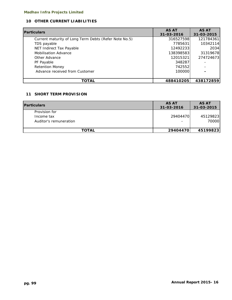# **10 OTHER CURRENT LIABILITIES**

| <b>Particulars</b>                                    | <b>AS AT</b> | <b>AS AT</b> |
|-------------------------------------------------------|--------------|--------------|
|                                                       | 31-03-2016   | 31-03-2015   |
| Current maturity of Long Term Debts (Refer Note No.5) | 316527598    | 121784361    |
| TDS payable                                           | 7785631      | 10342114     |
| NET Indirect Tax Payable                              | 12492233     | 2034         |
| <b>Mobilisation Advance</b>                           | 138398583    | 31319678     |
| Other Advance                                         | 12015321     | 274724673    |
| PF Payable                                            | 348287       |              |
| <b>Retention Money</b>                                | 742552       |              |
| Advance received from Customer                        | 100000       |              |
|                                                       |              |              |
| <b>TOTAL</b>                                          | 488410205    | 438172859    |

# **11 SHORT TERM PROVISION**

| <b>Particulars</b>                                    | <b>AS AT</b><br>31-03-2016           | <b>AS AT</b><br>31-03-2015 |
|-------------------------------------------------------|--------------------------------------|----------------------------|
| Provision for<br>Income tax<br>Auditor's remuneration | 29404470<br>$\overline{\phantom{0}}$ | 45129823<br>70000          |
| <b>TOTAL</b>                                          | 29404470                             | 45199823                   |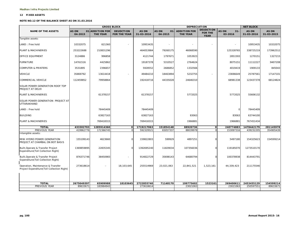#### **12 FIXED ASSETS**

#### **NOTE NO.12 OF THE BALANCE SHEET AS ON 31.03.2016**

|                                                                                 |                         |                                    | <b>GROSS BLOCK</b>                      |                            | <b>DEPRECIATION</b>                        |                                        |                                                   | <b>NET BLOCK</b>                  |                     |                     |
|---------------------------------------------------------------------------------|-------------------------|------------------------------------|-----------------------------------------|----------------------------|--------------------------------------------|----------------------------------------|---------------------------------------------------|-----------------------------------|---------------------|---------------------|
| <b>NAME OF THE ASSETS</b>                                                       | <b>AS ON</b><br>04-2015 | 01 ADDITION FOR<br><b>THE YEAR</b> | <b>DEUDCTION</b><br><b>FOR THE YEAR</b> | <b>AS ON</b><br>31-03-2016 | <b>AS ON</b><br>01 <sub>1</sub><br>04-2015 | <b>ADDITION FOR</b><br><b>THE YEAR</b> | <b>DEUDCTION</b><br><b>FOR THE</b><br><b>YEAR</b> | <b>AS ON</b><br>$31 -$<br>03-2016 | AS ON<br>31-03-2016 | AS ON<br>31-03-2015 |
| Tangible assets:                                                                |                         |                                    |                                         |                            |                                            |                                        |                                                   |                                   |                     |                     |
| LAND: Free hold                                                                 | 10332075                | 621360                             | $\overline{a}$                          | 10953435                   |                                            | $\sim$                                 | ä,                                                |                                   | 10953435            | 10332075            |
| PLANT & MACHINERIES                                                             | 253222688               | 210831296                          |                                         | 464053984                  | 79260175                                   | 46068590                               |                                                   | 125328765                         | 338725219           | 173962512           |
| OFFICE EQUIPMENT                                                                | 3124886                 | 996858                             |                                         | 4121744                    | 1797671                                    | 1053923                                |                                                   | 2851593                           | 1270151             | 1327215             |
| <b>FURNITURE</b>                                                                | 14761516                | 4425862                            |                                         | 19187378                   | 5310527                                    | 2764624                                |                                                   | 8075151                           | 11112227            | 9407208             |
| <b>COMPUTER &amp; PRINTERS</b>                                                  | 3531895                 | 2396657                            |                                         | 5928552                    | 2686852                                    | 1332566                                |                                                   | 4019419                           | 1909133             | 845043              |
| <b>VEHICLE</b>                                                                  | 35869792                | 13614418                           |                                         | 49484210                   | 18463894                                   | 5232755                                |                                                   | 23696649                          | 25787561            | 17147101            |
| COMMERCIAL VEHICLE                                                              | 112459852               | 79958864                           |                                         | 192418716                  | 44335028                                   | 24646310                               |                                                   | 68981338                          | 123437378           | 68124824            |
| SOLAR POWER GENERATION ROOF TOP<br>PROJECT AT DELHI                             |                         |                                    |                                         |                            |                                            |                                        |                                                   |                                   |                     |                     |
| PLANT & MACHINERIES                                                             |                         | 61378157                           |                                         | 61378157                   |                                            | 5772025                                |                                                   | 5772025                           | 55606132            |                     |
| SOLAR POWER GENERATION PROJECT AT<br>UTTARAKHAND                                |                         |                                    |                                         |                            |                                            |                                        |                                                   |                                   |                     |                     |
| LAND : Free hold                                                                |                         | 78445409                           |                                         | 78445409                   |                                            |                                        |                                                   | $\Omega$                          | 78445409            |                     |
| <b>BUILDING</b>                                                                 |                         | 63827163                           |                                         | 63827163                   |                                            | 83063                                  |                                                   | 83063                             | 63744100            |                     |
| PLANT & MACHINERIES                                                             |                         | 769418315                          |                                         | 769418315                  |                                            | 1966881                                |                                                   | 1966881                           | 767451434           |                     |
| <b>TOTAL</b>                                                                    | 433302703               | 1285914360                         | $\mathbf{o}$                            | 1719217063                 | 151854148                                  | 88920736                               | $\mathbf{o}$                                      | 240774883                         | 1478442179          | 281145978           |
| PREVIOUS YEAR                                                                   | 419962776               | 172366745                          | $\Omega$                                | 592329521                  | 65057337                                   | 88039978                               | $\Omega$                                          | 153097316                         | 439232205           | 354905439           |
| Intangible assets:                                                              |                         |                                    |                                         |                            |                                            |                                        |                                                   |                                   |                     |                     |
| MINI HYDRO POWER GENERATION<br>PROJECT AT CHAMBAL ON BOT BASIS                  | 155199143               | 4623660                            | $\Omega$                                | 159822803                  | 599929                                     | 4897251                                | $\Omega$                                          | 5497180                           | 154325623           | 154599214           |
| Built, Operate & Transfer Project<br>Expenditure(Toll Collection Right)         | 1369859895              | 22835345                           | $\Omega$                                | 1392695240                 | 11829034                                   | 107356036                              | $\Omega$                                          | 119185070                         | 1273510170          |                     |
| Built, Operate & Transfer Project<br>Expenditure(Toll Collection Right)         | 876371746               | 38450983                           | $\sim$                                  | 914822729                  | 35698143                                   | 64680794                               | $\Omega$                                          | 100378938                         | 814443791           |                     |
| Operation, Maintenance & Transfer<br>Project Expenditure(Toll Collection Right) | 273618614               | $\sim$                             | 18,103,645                              | 255514969                  | 23,021,063                                 | 22,841,521                             | 1,523,161                                         | 44,339,423                        | 211175546           |                     |
|                                                                                 |                         |                                    |                                         |                            |                                            |                                        |                                                   |                                   |                     |                     |
| <b>TOTAL</b>                                                                    | 2675049397              | 65909988                           | 18103645                                | 2722855740                 | 71148170                                   | 199775602                              | 1523161                                           | 269400611                         | 2453455129          | 154599214           |
| PREVIOUS YEAR                                                                   | 89633671                | 183984943                          |                                         | 273618614                  |                                            | 23021063                               |                                                   | 23021063                          | 250597551           | 89633671            |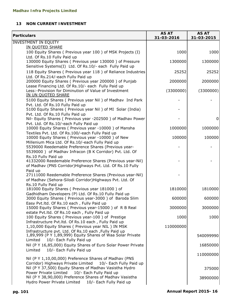# **13 NON CURRENT INVESTMENT**

| <b>Particulars</b>                                                                                                                                                           | <b>AS AT</b><br>31-03-2016 | <b>AS AT</b><br>31-03-2015 |
|------------------------------------------------------------------------------------------------------------------------------------------------------------------------------|----------------------------|----------------------------|
| <b>INVESTMENT IN EQUITY</b>                                                                                                                                                  |                            |                            |
| <b>IN QUOTED SHARE</b>                                                                                                                                                       |                            |                            |
| 100 Equity Shares (Previous year 100) of MSK Projects (I)                                                                                                                    | 1000                       | 1000                       |
| Ltd. Of Rs.10 Fully Paid up<br>130000 Equity Shares ( Previous year 130000 ) of Pressure<br>Sensitive Systems(I) Ltd. Of Rs.10/- each Fully Paid up                          | 1300000                    | 1300000                    |
| 118 Equity Shares (Previous year 118) of Reliance Industries                                                                                                                 | 25252                      | 25252                      |
| Ltd. Of Rs.214/-each Fully Paid up<br>200000 Equity Shares ( Previous year 200000 ) of Punjab                                                                                | 2000000                    | 2000000                    |
| Lease Financing Ltd. Of Rs.10/- each Fully Paid up<br>Less:-Provision for Diminution of Value of Investment<br>IN UN QUOTED SHARE                                            | (3300000)                  | (3300000)                  |
| 5100 Equity Shares ( Previous year Nil ) of Madhav Ind Park                                                                                                                  |                            |                            |
| Pvt. Ltd. Of Rs.10 Fully Paid up<br>5100 Equity Shares (Previous year Nil) of MI Solar (India)                                                                               |                            |                            |
| Pvt. Ltd. Of Rs.10 Fully Paid up<br>Nil- Equity Shares ( Previous year -202500 ) of Madhav Power                                                                             |                            | 0                          |
| Pvt. Ltd. Of Rs.10/-each Fully Paid up<br>10000 Equity Shares ( Previous year -10000 ) of Mansha                                                                             | 1000000                    | 1000000                    |
| Textiles Pvt. Ltd. Of Rs.100/-each Fully Paid up<br>10000 Equity Shares ( Previous year -10000 ) of New                                                                      | 100000                     | 100000                     |
| Millenium Mica Ltd. Of Rs.10/-each Fully Paid up<br>5539000 Reedemable Preference Shares (Previous year-<br>5539000 ) of Madhav Infracon (B K Corridor) Pvt. Ltd. Of         |                            |                            |
| Rs.10 Fully Paid up<br>41332000 Reedemable Preference Shares (Previous year-Nil)                                                                                             |                            |                            |
| of Madhav (PNS Corridor)Highways Pvt. Ltd. Of Rs.10 Fully                                                                                                                    |                            |                            |
| Paid up<br>27111000 Reedemable Preference Shares (Previous year-Nil)                                                                                                         |                            |                            |
| of Madhav (Sehora-Silodi Corridor)Highways Pvt. Ltd. Of<br>Rs.10 Fully Paid up                                                                                               |                            |                            |
| 181000 Equity Shares ( Previous year 181000 ) of<br>Gadhidham Developers (P) Ltd. Of Rs.10 Fully Paid up                                                                     | 1810000                    | 1810000                    |
| 3000 Equity Shares ( Previous year-3000 ) of Baroda Slim<br>Easy Pvt.ltd. Of Rs.10 each, Fully Paid up                                                                       | 600000                     | 600000                     |
| 15000 Equity Shares (Previous year-15000) of R B Real<br>estate Pvt.ltd. Of Rs.10 each, Fully Paid up                                                                        | 3000000                    | 3000000                    |
| 100 Equity Shares (Previous year-100) of Prestige<br>Infrastructure Pvt.ltd. Of Rs.10 each, Fully Paid up                                                                    | 1000                       | 1000                       |
| 1,10,000 Equity Shares ( Previous year NIL ) IN MSK                                                                                                                          | 110000000                  |                            |
| Infrastructure pvt. Ltd. Of Rs.10 each ,Fully Paid up<br>1,89,999 (P Y 1,89,999) Equity Shares of Waa Solar Private<br>Limited<br>10/- Each Fully Paid up                    |                            | 540099990                  |
| Nil (P Y 16,85,000) Equity Shares of Euro Solar Power Private<br>Limited<br>10/- Each Fully Paid up                                                                          |                            | 16850000                   |
| Nil (P Y 1,10,00,000) Preference Shares of Madhav (PNS                                                                                                                       |                            | 110000000                  |
| Corridor) Highways Private Limited<br>10/- Each Fully Paid up<br>Nil (P Y 37,500) Equity Shares of Madhav Vasistha Hydro<br>10/- Each Fully Paid up<br>Power Private Limited |                            | 375000                     |
| Nil (P Y 38,90,000) Preference Shares of Madhav Vasistha<br>Hydro Power Private Limited<br>10/- Each Fully Paid up                                                           |                            | 38900000                   |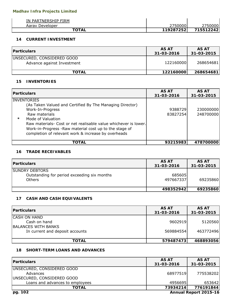| IN PARTNERSHIP FIRM |            |            |
|---------------------|------------|------------|
| Aaray Developer     | 750000     | 7500001    |
| <b>TOTAL</b>        | 1192872521 | 7155122421 |

### **14 CURRENT INVESTMENT**

| <b>IParticulars</b>                                      | AS AT<br>31-03-2016 | <b>AS AT</b><br>31-03-2015 |
|----------------------------------------------------------|---------------------|----------------------------|
| UNSECURED, CONSIDERED GOOD<br>Advance against Investment | 122160000           | 268654681                  |
| <b>TOTAL</b>                                             | 122160000           | 268654681                  |

## **15 INVENTORIES**

| <b>IParticulars</b>                                                                                                                                                                                                                                                                                                                     | <b>AS AT</b><br>31-03-2016 | <b>AS AT</b><br>31-03-2015 |
|-----------------------------------------------------------------------------------------------------------------------------------------------------------------------------------------------------------------------------------------------------------------------------------------------------------------------------------------|----------------------------|----------------------------|
| <b>INVENTORIES</b><br>(As Taken Valued and Certified By The Managing Director)<br>Work-In-Progress<br>Raw materials<br>$\star$<br>Mode of Valuation<br>Raw materials- Cost or net realisable value whichever is lower.<br>Work-in-Progress -Raw material cost up to the stage of<br>completion of relevant work & increase by overheads | 9388729<br>83827254        | 230000000<br>248700000     |
| TOTAL                                                                                                                                                                                                                                                                                                                                   | 93215983                   | 478700000                  |

#### **16 TRADE RECEIVABLES**

| <b>Particulars</b>                                                                    | AS AT<br>31-03-2016 | AS AT<br>31-03-2015 |
|---------------------------------------------------------------------------------------|---------------------|---------------------|
| <b>SUNDRY DEBTORS</b><br>Outstanding for period exceeding six months<br><b>Others</b> | 685605<br>497667337 | 69235860            |
|                                                                                       | 498352942           | 69235860            |

# **17 CASH AND CASH EQUIVALENTS**

| <b>Particulars</b>              | AS AT<br>31-03-2016 | AS AT<br>31-03-2015 |
|---------------------------------|---------------------|---------------------|
| <b>CASH ON HAND</b>             |                     |                     |
| Cash on hand                    | 9602919             | 5120560             |
| <b>BALANCES WITH BANKS</b>      |                     |                     |
| In current and deposit accounts | 569884554           | 463772496           |
|                                 |                     |                     |
| <b>TOTAL</b>                    | 579487473           | 468893056           |

# **18 SHORT-TERM LOANS AND ADVANCES**

| <b>Particulars</b>                 | AS AT<br>31-03-2016   | AS AT<br>31-03-2015 |  |
|------------------------------------|-----------------------|---------------------|--|
| UNSECURED, CONSIDERED GOOD         |                       |                     |  |
| Advances                           | 68977519              | 775538202           |  |
| <b>JUNSECURED, CONSIDERED GOOD</b> |                       |                     |  |
| Loans and advances to employees    | 4956695               | 653642              |  |
| <b>TOTAL</b>                       | 73934214              | 776191844           |  |
| pg. 102                            | Annual Report 2015-16 |                     |  |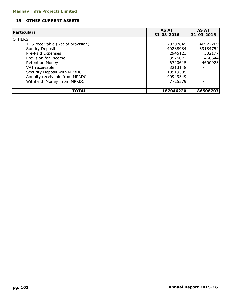# **19 OTHER CURRENT ASSETS**

| <b>Particulars</b>                | <b>AS AT</b> | <b>AS AT</b> |  |
|-----------------------------------|--------------|--------------|--|
|                                   | 31-03-2016   | 31-03-2015   |  |
| <b>OTHERS</b>                     |              |              |  |
| TDS receivable (Net of provision) | 70707845     | 40922209     |  |
| Sundry Deposit                    | 40288984     | 39184754     |  |
| Pre-Paid Expenses                 | 2945123      | 332177       |  |
| Provision for Income              | 3576072      | 1468644      |  |
| <b>Retention Money</b>            | 6720615      | 4600923      |  |
| VAT receivable                    | 3213148      |              |  |
| Security Deposit with MPRDC       | 10919505     |              |  |
| Annuity receivable from MPRDC     | 40949349     |              |  |
| Withheld Money from MPRDC         | 7725579      |              |  |
|                                   |              |              |  |
| <b>TOTAL</b>                      | 187046220    | 86508707     |  |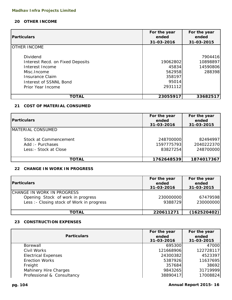# **20 OTHER INCOME**

| <b>Particulars</b>                                                                                                                                | For the year<br>ended                                     | For the year<br>ended                     |  |
|---------------------------------------------------------------------------------------------------------------------------------------------------|-----------------------------------------------------------|-------------------------------------------|--|
|                                                                                                                                                   | 31-03-2016                                                | 31-03-2015                                |  |
| <b>OTHER INCOME</b>                                                                                                                               |                                                           |                                           |  |
| Dividend<br>Interest Recd. on Fixed Deposits<br>Interest Income<br>Misc. Income<br>Insurance Claim<br>Interest of SSNNL Bond<br>Prior Year Income | 19062802<br>45834<br>562958<br>358197<br>95014<br>2931112 | 7904416<br>10898897<br>14590806<br>288398 |  |
| TOTAL                                                                                                                                             | 23055917                                                  | 33682517                                  |  |

### **21 COST OF MATERIAL CONSUMED**

| <b>Particulars</b>                                                  | For the year<br>ended<br>31-03-2016 | For the year<br>ended<br>31-03-2015 |  |
|---------------------------------------------------------------------|-------------------------------------|-------------------------------------|--|
| MATERIAL CONSUMED                                                   |                                     |                                     |  |
| Stock at Commencement<br>Add: - Purchases<br>Less: - Stock at Close | 248700000<br>1597775793<br>83827254 | 82494997<br>2040222370<br>248700000 |  |
| TOTAL                                                               | 1762648539                          | 1874017367                          |  |

# **22 CHANGE IN WORK IN PROGRESS**

| <b>Particulars</b>                                                                                            | For the year<br>ended<br>31-03-2016 | For the year<br>ended<br>31-03-2015 |
|---------------------------------------------------------------------------------------------------------------|-------------------------------------|-------------------------------------|
| CHANGE IN WORK IN PROGRESS<br>Opening Stock of work in progress<br>Less : - Closing stock of Work in progress | 230000000<br>9388729                | 67479598<br>230000000               |
| <b>TOTAL</b>                                                                                                  | 220611271                           | (162520402)                         |

# **23 CONSTRUCTION EXPENSES**

| <b>Particulars</b>           | For the year<br>ended<br>31-03-2016 | For the year<br>ended<br>31-03-2015 |
|------------------------------|-------------------------------------|-------------------------------------|
| Borewall                     | 695300                              | 47000                               |
| Civil Works                  | 121668906                           | 122728117                           |
| <b>Electrical Expenses</b>   | 24300382                            | 4523397                             |
| <b>Erection Works</b>        | 5387926                             | 11637695                            |
| Freight                      | 357684                              | 38692                               |
| <b>Mahinery Hire Charges</b> | 9843265                             | 31719999                            |
| Professional & Consultancy   | 38890417                            | 17008824                            |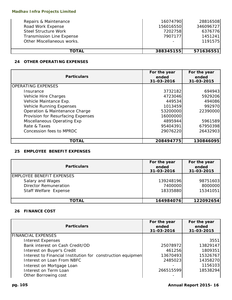| Repairs & Maintenance            | 16074790                 | 28816508  |
|----------------------------------|--------------------------|-----------|
| Road Work Expense                | 156016550                | 346096727 |
| <b>Steel Structure Work</b>      | 7202758                  | 6376776   |
| <b>Transmission Line Expense</b> | 7907177                  | 1451241   |
| Other Miscellaneous works.       | $\overline{\phantom{a}}$ | 1191575   |
|                                  |                          |           |
| <b>TOTAL</b>                     | 388345155                | 571636551 |

# **24 OTHER OPERATING EXPENSES**

| <b>Particulars</b>                 | For the year<br>ended<br>31-03-2016 | For the year<br>ended<br>31-03-2015 |
|------------------------------------|-------------------------------------|-------------------------------------|
| <b>OPERATING EXPENSES</b>          |                                     |                                     |
| Insurance                          | 3732182                             | 694943                              |
| Vehicle Hire Charges               | 4723046                             | 5929206                             |
| Vehicle Maintance Exp.             | 449534                              | 494086                              |
| Vehicle Running Expenses           | 1013459                             | 992970                              |
| Operation & Maintenance Charge     | 53200000                            | 22390000                            |
| Provision for Resurfacing Expenses | 16000000                            |                                     |
| Miscellaneous Operating Exp        | 4895944                             | 5961589                             |
| Rate & Taxes                       | 95404391                            | 67950398                            |
| Concession fees to MPRDC           | 29076220                            | 26432903                            |
| TOTAL                              | 208494775                           | 130846095                           |

# **25 EMPLOYEE BENEFIT EXPENSES**

| <b>Particulars</b>               | For the year<br>ended<br>31-03-2016 | For the year<br>ended<br>31-03-2015 |
|----------------------------------|-------------------------------------|-------------------------------------|
| <b>EMPLOYEE BENEFIT EXPENSES</b> |                                     |                                     |
| Salary and Wages                 | 139248196                           | 98751603                            |
| <b>Director Remuneration</b>     | 7400000                             | 8000000                             |
| Staff Welfare Expense            | 18335880                            | 15341051                            |
|                                  |                                     |                                     |
| <b>TOTAL</b>                     | 164984076                           | 122092654                           |

# **26 FINANCE COST**

| <b>Particulars</b>                                          | For the year<br>ended<br>31-03-2016 | For the year<br>ended<br>31-03-2015 |
|-------------------------------------------------------------|-------------------------------------|-------------------------------------|
| <b>FINANCIAL EXPENSES</b>                                   |                                     |                                     |
| <b>Interest Expenses</b>                                    |                                     | 3551                                |
| Bank interest on Cash Credit/OD                             | 25078972                            | 13829147                            |
| Interest on Buyer's Credit                                  | 461256                              | 1809351                             |
| Interest to Financial Institution for construction equipmen | 13670493                            | 15326767                            |
| Interest on Loan From NBFC                                  | 2485023                             | 14358270                            |
| Interest on Mortgage Loan                                   |                                     | 1156103                             |
| Interest on Term Loan                                       | 266515599                           | 18538294                            |
| Other Borrowing cost                                        |                                     |                                     |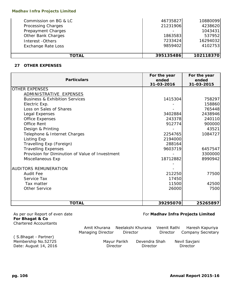#### **Madhav Infra Projects Limited**

| <b>TOTAL</b>              | 395135486 | 102118370 |
|---------------------------|-----------|-----------|
|                           |           |           |
| <b>Exchange Rate Loss</b> | 9859402   | 4102753   |
| Interest - Others         | 7233424   | 16294032  |
| Other Bank Charges        | 1863583   | 537952    |
| Prepayment Charges        |           | 1043431   |
| Processing Charges        | 21231906  | 4238620   |
| Commission on BG & LC     | 46735827  | 10880099  |

### **27 OTHER EXPENSES**

| <b>Particulars</b>                              | For the year<br>ended<br>31-03-2016 | For the year<br>ended<br>31-03-2015 |
|-------------------------------------------------|-------------------------------------|-------------------------------------|
| <b>OTHER EXPENSES</b>                           |                                     |                                     |
| ADMINISTRATIVE EXPENSES                         |                                     |                                     |
| <b>Business &amp; Exhibition Services</b>       | 1415304                             | 758297                              |
| Electric Exp.                                   |                                     | 158860                              |
| Loss on Sales of Shares                         |                                     | 765448                              |
| Legal Expenses                                  | 3402884                             | 2438946                             |
| <b>Office Expenses</b>                          | 243378                              | 240110                              |
| <b>Office Rent</b>                              | 912774                              | 900000                              |
| Design & Printing                               |                                     | 43521                               |
| Telephone & Internet Charges                    | 2254765                             | 1084727                             |
| Listing Exp                                     | 2194000                             |                                     |
| Travelling Exp (Foreign)                        | 288164                              |                                     |
| <b>Travelling Expenses</b>                      | 9603719                             | 6457547                             |
| Provision for Diminution of Value of Investment |                                     | 3300000                             |
| Miscellaneous Exp                               | 18712882                            | 8990942                             |
|                                                 |                                     |                                     |
| <b>AUDITORS REMUNERATION</b>                    |                                     |                                     |
| <b>Audit Fee</b>                                | 212250                              | 77500                               |
| Service Tax                                     | 17450                               |                                     |
| Tax matter                                      | 11500                               | 42500                               |
| <b>Other Service</b>                            | 26000                               | 7500                                |
|                                                 |                                     |                                     |
| <b>TOTAL</b>                                    | 39295070                            | 25265897                            |

**For Bhagat & Co** Chartered Accountants

# As per our Report of even date **For Madhav Infra Projects Limited**

|                                                                      | Amit Khurana<br>Managing Director | Director     | Neelakshi Khurana         | Veenit Rathi<br>Director | Haresh Kapuriya<br><b>Company Secretary</b> |  |
|----------------------------------------------------------------------|-----------------------------------|--------------|---------------------------|--------------------------|---------------------------------------------|--|
| (S.Bhagat - Partner)<br>Membership No.52725<br>Date: August 14, 2016 | Director                          | Mayur Parikh | Devendra Shah<br>Director |                          | Nevil Savjani<br>Director                   |  |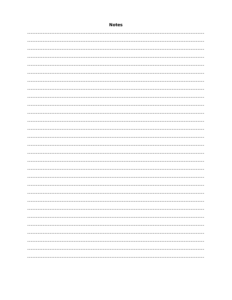# **Notes**